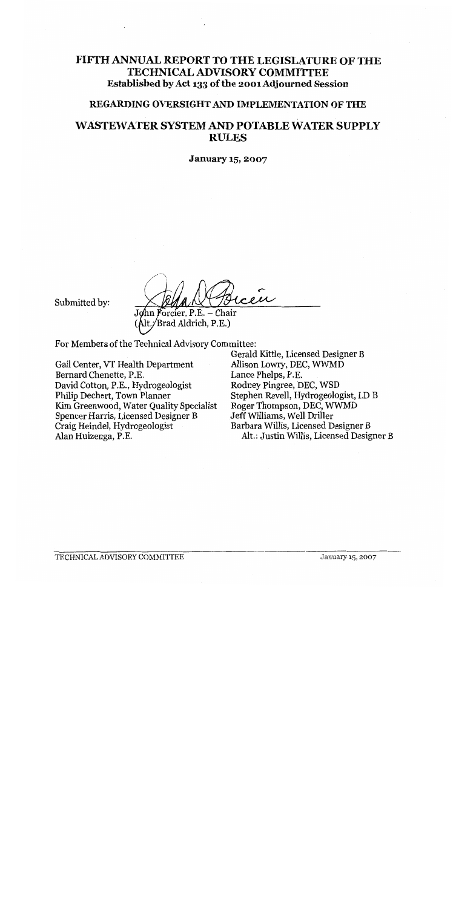## FIFTH ANNUAL REPORT TO THE LEGISLATURE OF THE **TECHNICAL ADVISORY COMMITTEE** Established by Act 133 of the 2001 Adjourned Session

## REGARDING OVERSIGHT AND IMPLEMENTATION OF THE

## **WASTEWATER SYSTEM AND POTABLE WATER SUPPLY RULES**

**January 15, 2007** 

Submitted by:

John Forcier, P.E. - Chair Alt./Brad Aldrich, P.E.)

For Members of the Technical Advisory Committee:

Gail Center, VT Health Department Bernard Chenette, P.E. David Cotton, P.E., Hydrogeologist Philip Dechert, Town Planner Kim Greenwood, Water Quality Specialist Spencer Harris, Licensed Designer B Craig Heindel, Hydrogeologist Alan Huizenga, P.E.

Gerald Kittle, Licensed Designer B Allison Lowry, DEC, WWMD Lance Phelps, P.E. Rodney Pingree, DEC, WSD Stephen Revell, Hydrogeologist, LD B Roger Thompson, DEC, WWMD Jeff Williams, Well Driller Barbara Willis, Licensed Designer B Alt.: Justin Willis, Licensed Designer B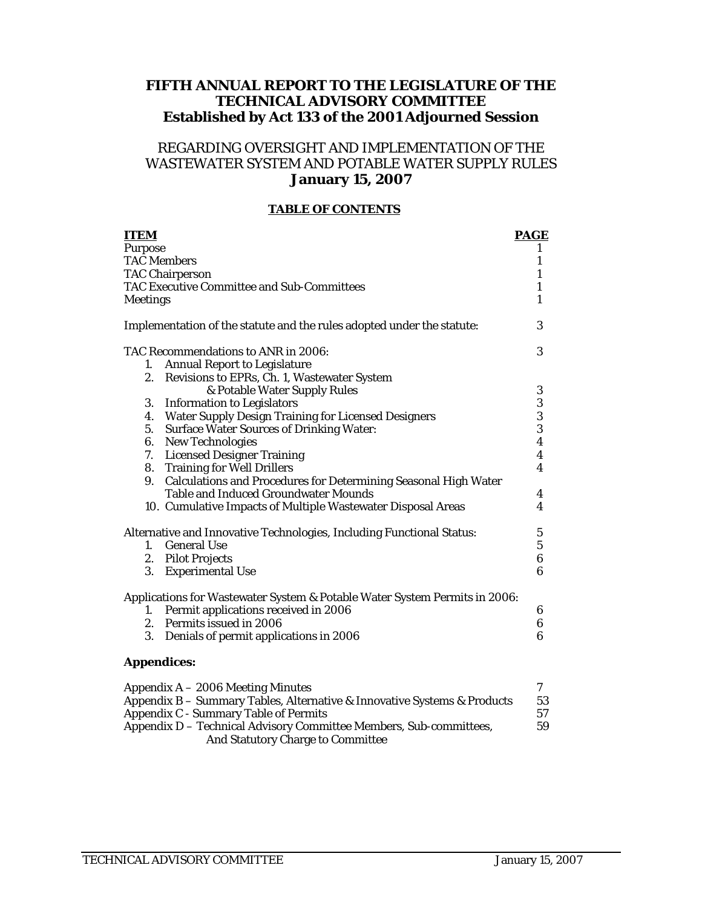## **FIFTH ANNUAL REPORT TO THE LEGISLATURE OF THE TECHNICAL ADVISORY COMMITTEE Established by Act 133 of the 2001 Adjourned Session**

## REGARDING OVERSIGHT AND IMPLEMENTATION OF THE WASTEWATER SYSTEM AND POTABLE WATER SUPPLY RULES **January 15, 2007**

#### **TABLE OF CONTENTS**

| <b>ITEM</b>     |                                                                                                                          | <b>PAGE</b>             |
|-----------------|--------------------------------------------------------------------------------------------------------------------------|-------------------------|
| Purpose         |                                                                                                                          | 1                       |
|                 | <b>TAC</b> Members                                                                                                       | $\mathbf{1}$            |
|                 | <b>TAC Chairperson</b>                                                                                                   | 1                       |
|                 | TAC Executive Committee and Sub-Committees                                                                               | $\mathbf{1}$            |
| <b>Meetings</b> |                                                                                                                          | $\mathbf{1}$            |
|                 | Implementation of the statute and the rules adopted under the statute:                                                   | 3                       |
|                 | TAC Recommendations to ANR in 2006:                                                                                      | 3                       |
| 1.              | <b>Annual Report to Legislature</b>                                                                                      |                         |
| 2.              | Revisions to EPRs, Ch. 1, Wastewater System                                                                              |                         |
|                 | & Potable Water Supply Rules                                                                                             | $\boldsymbol{3}$        |
|                 | 3. Information to Legislators                                                                                            | 3                       |
|                 | 4. Water Supply Design Training for Licensed Designers                                                                   | $\bf 3$                 |
|                 | 5. Surface Water Sources of Drinking Water:                                                                              | $\bf 3$                 |
|                 | 6. New Technologies                                                                                                      | $\boldsymbol{4}$        |
|                 | 7. Licensed Designer Training                                                                                            | $\boldsymbol{4}$        |
|                 | 8. Training for Well Drillers                                                                                            | $\overline{\mathbf{4}}$ |
|                 | 9. Calculations and Procedures for Determining Seasonal High Water                                                       |                         |
|                 | <b>Table and Induced Groundwater Mounds</b>                                                                              | 4                       |
|                 | 10. Cumulative Impacts of Multiple Wastewater Disposal Areas                                                             | $\boldsymbol{4}$        |
|                 | Alternative and Innovative Technologies, Including Functional Status:                                                    | $\mathbf{5}$            |
| 1.              | <b>General Use</b>                                                                                                       | $5\phantom{.0}$         |
|                 | 2. Pilot Projects                                                                                                        | $\bf 6$                 |
| 3.              | <b>Experimental Use</b>                                                                                                  | $\boldsymbol{6}$        |
|                 | Applications for Wastewater System & Potable Water System Permits in 2006:                                               |                         |
| 1.              | Permit applications received in 2006                                                                                     | 6                       |
|                 | 2. Permits issued in 2006                                                                                                | $\boldsymbol{6}$        |
| 3.              | Denials of permit applications in 2006                                                                                   | $6\phantom{1}6$         |
|                 | <b>Appendices:</b>                                                                                                       |                         |
|                 | Appendix A - 2006 Meeting Minutes                                                                                        | 7                       |
|                 | Appendix B - Summary Tables, Alternative & Innovative Systems & Products<br><b>Appendix C - Summary Table of Permits</b> | 53<br>57                |

| Appendix C - Summary Table of Permits                              |    |
|--------------------------------------------------------------------|----|
| Appendix D – Technical Advisory Committee Members, Sub-committees, | 59 |
| <b>And Statutory Charge to Committee</b>                           |    |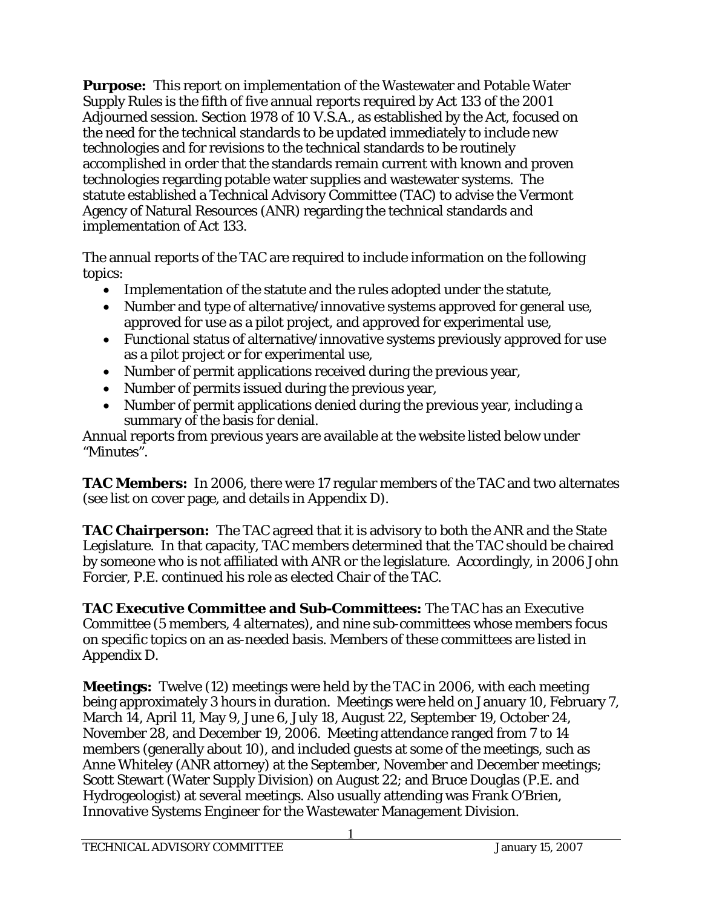**Purpose:** This report on implementation of the Wastewater and Potable Water Supply Rules is the fifth of five annual reports required by Act 133 of the 2001 Adjourned session. Section 1978 of 10 V.S.A., as established by the Act, focused on the need for the technical standards to be updated immediately to include new technologies and for revisions to the technical standards to be routinely accomplished in order that the standards remain current with known and proven technologies regarding potable water supplies and wastewater systems. The statute established a Technical Advisory Committee (TAC) to advise the Vermont Agency of Natural Resources (ANR) regarding the technical standards and implementation of Act 133.

The annual reports of the TAC are required to include information on the following topics:

- Implementation of the statute and the rules adopted under the statute,
- Number and type of alternative/innovative systems approved for general use, approved for use as a pilot project, and approved for experimental use,
- Functional status of alternative/innovative systems previously approved for use as a pilot project or for experimental use,
- Number of permit applications received during the previous year,
- Number of permits issued during the previous year,
- Number of permit applications denied during the previous year, including a summary of the basis for denial.

Annual reports from previous years are available at the website listed below under "Minutes".

**TAC Members:** In 2006, there were 17 regular members of the TAC and two alternates (see list on cover page, and details in Appendix D).

**TAC Chairperson:** The TAC agreed that it is advisory to both the ANR and the State Legislature. In that capacity, TAC members determined that the TAC should be chaired by someone who is not affiliated with ANR or the legislature. Accordingly, in 2006 John Forcier, P.E. continued his role as elected Chair of the TAC.

**TAC Executive Committee and Sub-Committees:** The TAC has an Executive Committee (5 members, 4 alternates), and nine sub-committees whose members focus on specific topics on an as-needed basis. Members of these committees are listed in Appendix D.

**Meetings:** Twelve (12) meetings were held by the TAC in 2006, with each meeting being approximately 3 hours in duration. Meetings were held on January 10, February 7, March 14, April 11, May 9, June 6, July 18, August 22, September 19, October 24, November 28, and December 19, 2006. Meeting attendance ranged from 7 to 14 members (generally about 10), and included guests at some of the meetings, such as Anne Whiteley (ANR attorney) at the September, November and December meetings; Scott Stewart (Water Supply Division) on August 22; and Bruce Douglas (P.E. and Hydrogeologist) at several meetings. Also usually attending was Frank O'Brien, Innovative Systems Engineer for the Wastewater Management Division.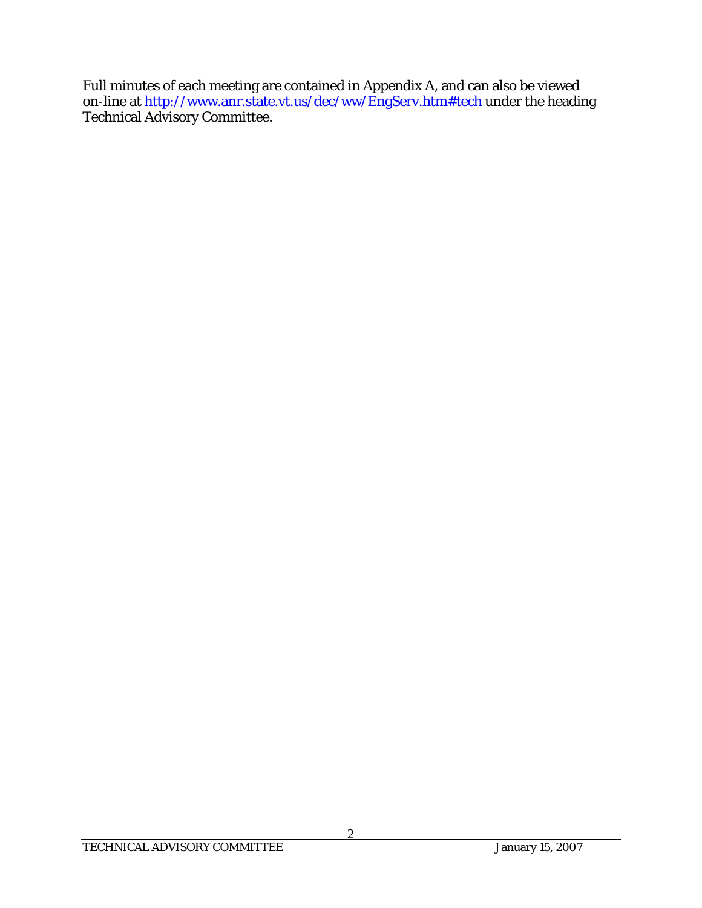Full minutes of each meeting are contained in Appendix A, and can also be viewed on-line at <u>http://www.anr.state.vt.us/dec/ww/EngServ.htm#tech</u> under the heading Technical Advisory Committee.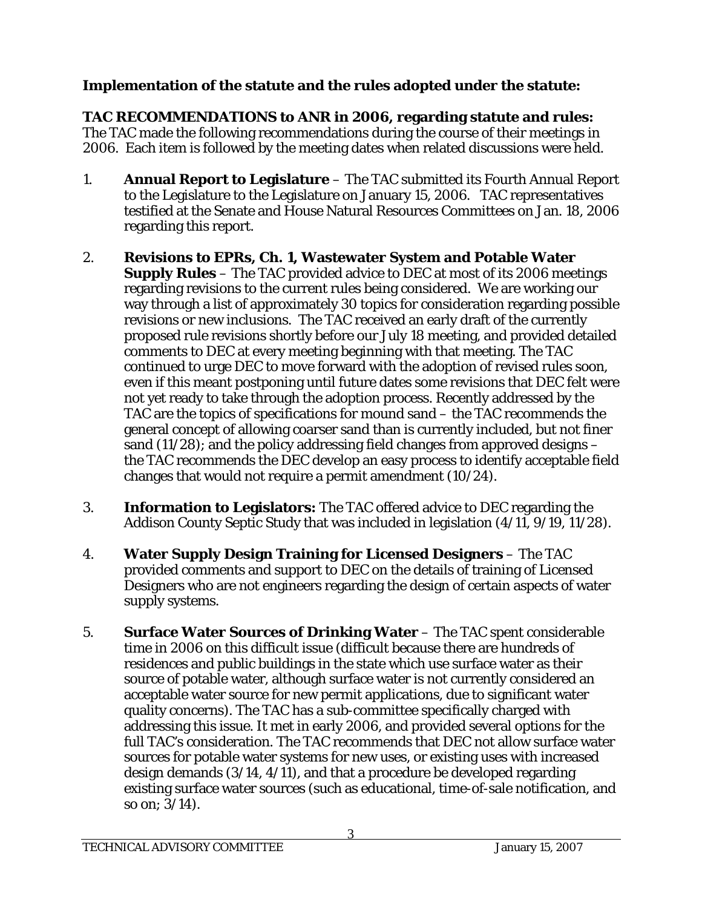## **Implementation of the statute and the rules adopted under the statute:**

**TAC RECOMMENDATIONS to ANR in 2006, regarding statute and rules:** The TAC made the following recommendations during the course of their meetings in 2006. Each item is followed by the meeting dates when related discussions were held.

- 1. **Annual Report to Legislature**  The TAC submitted its Fourth Annual Report to the Legislature to the Legislature on January 15, 2006. TAC representatives testified at the Senate and House Natural Resources Committees on Jan. 18, 2006 regarding this report.
- 2. **Revisions to EPRs, Ch. 1, Wastewater System and Potable Water Supply Rules** – The TAC provided advice to DEC at most of its 2006 meetings regarding revisions to the current rules being considered. We are working our way through a list of approximately 30 topics for consideration regarding possible revisions or new inclusions. The TAC received an early draft of the currently proposed rule revisions shortly before our July 18 meeting, and provided detailed comments to DEC at every meeting beginning with that meeting. The TAC continued to urge DEC to move forward with the adoption of revised rules soon, even if this meant postponing until future dates some revisions that DEC felt were not yet ready to take through the adoption process. Recently addressed by the TAC are the topics of specifications for mound sand – the TAC recommends the general concept of allowing coarser sand than is currently included, but not finer sand (11/28); and the policy addressing field changes from approved designs – the TAC recommends the DEC develop an easy process to identify acceptable field changes that would not require a permit amendment (10/24).
- 3. **Information to Legislators:** The TAC offered advice to DEC regarding the Addison County Septic Study that was included in legislation (4/11, 9/19, 11/28).
- 4. **Water Supply Design Training for Licensed Designers** The TAC provided comments and support to DEC on the details of training of Licensed Designers who are not engineers regarding the design of certain aspects of water supply systems.
- 5. **Surface Water Sources of Drinking Water** The TAC spent considerable time in 2006 on this difficult issue (difficult because there are hundreds of residences and public buildings in the state which use surface water as their source of potable water, although surface water is not currently considered an acceptable water source for new permit applications, due to significant water quality concerns). The TAC has a sub-committee specifically charged with addressing this issue. It met in early 2006, and provided several options for the full TAC's consideration. The TAC recommends that DEC not allow surface water sources for potable water systems for new uses, or existing uses with increased design demands (3/14, 4/11), and that a procedure be developed regarding existing surface water sources (such as educational, time-of-sale notification, and so on; 3/14).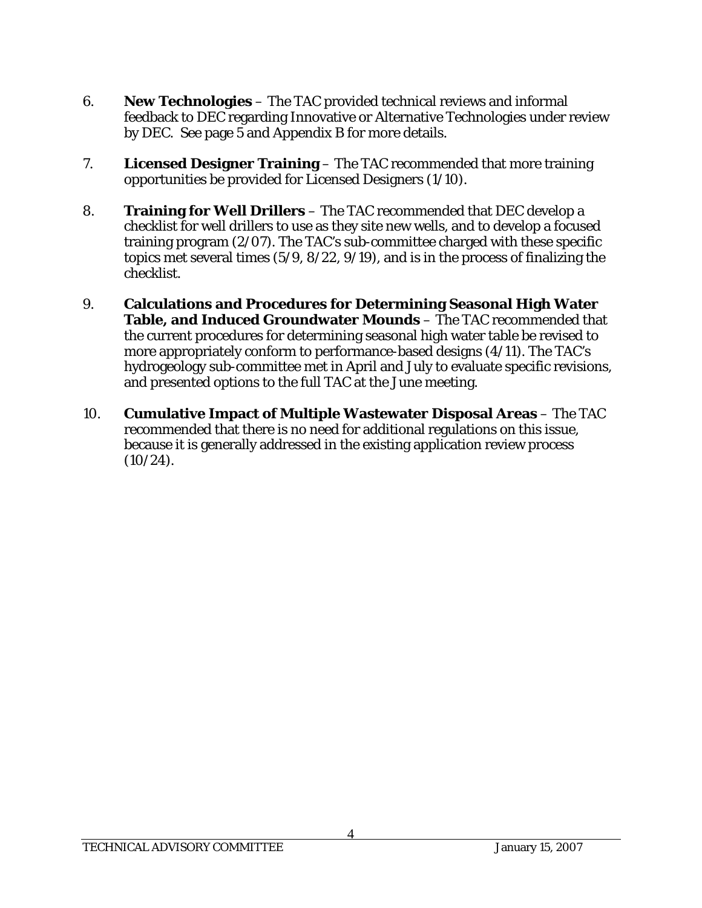- 6. **New Technologies** The TAC provided technical reviews and informal feedback to DEC regarding Innovative or Alternative Technologies under review by DEC. See page 5 and Appendix B for more details.
- 7. **Licensed Designer Training** The TAC recommended that more training opportunities be provided for Licensed Designers (1/10).
- 8. **Training for Well Drillers** The TAC recommended that DEC develop a checklist for well drillers to use as they site new wells, and to develop a focused training program (2/07). The TAC's sub-committee charged with these specific topics met several times (5/9, 8/22, 9/19), and is in the process of finalizing the checklist.
- 9. **Calculations and Procedures for Determining Seasonal High Water Table, and Induced Groundwater Mounds** – The TAC recommended that the current procedures for determining seasonal high water table be revised to more appropriately conform to performance-based designs (4/11). The TAC's hydrogeology sub-committee met in April and July to evaluate specific revisions, and presented options to the full TAC at the June meeting.
- 10. **Cumulative Impact of Multiple Wastewater Disposal Areas** The TAC recommended that there is no need for additional regulations on this issue, because it is generally addressed in the existing application review process  $(10/24)$ .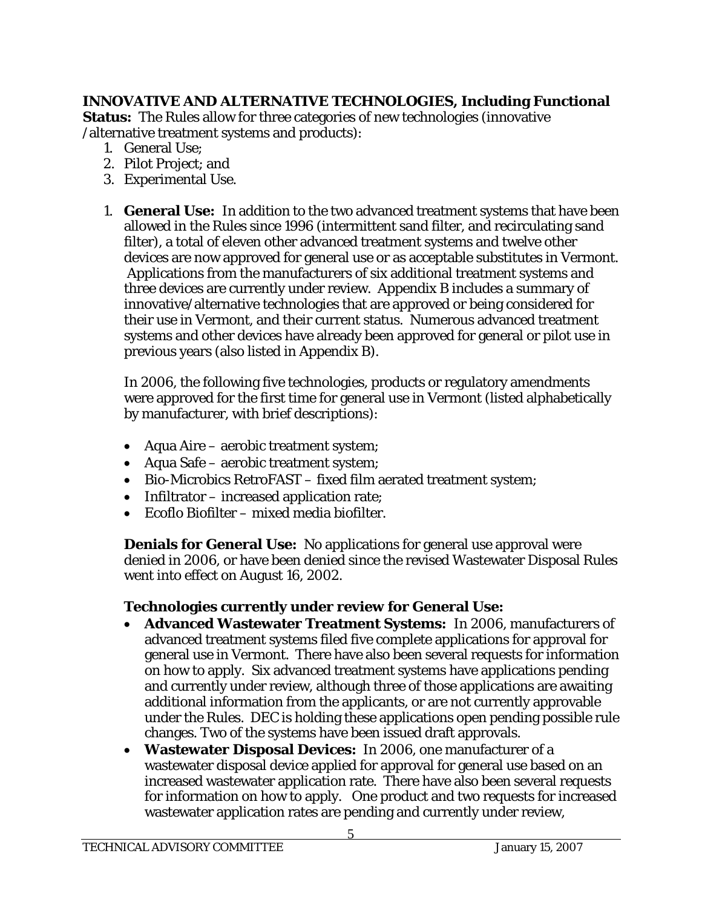## **INNOVATIVE AND ALTERNATIVE TECHNOLOGIES, Including Functional**

**Status:** The Rules allow for three categories of new technologies (innovative /alternative treatment systems and products):

- 1. General Use;
- 2. Pilot Project; and
- 3. Experimental Use.
- 1. **General Use:** In addition to the two advanced treatment systems that have been allowed in the Rules since 1996 (intermittent sand filter, and recirculating sand filter), a total of eleven other advanced treatment systems and twelve other devices are now approved for general use or as acceptable substitutes in Vermont. Applications from the manufacturers of six additional treatment systems and three devices are currently under review. Appendix B includes a summary of innovative/alternative technologies that are approved or being considered for their use in Vermont, and their current status. Numerous advanced treatment systems and other devices have already been approved for general or pilot use in previous years (also listed in Appendix B).

In 2006, the following five technologies, products or regulatory amendments were approved for the first time for general use in Vermont (listed alphabetically by manufacturer, with brief descriptions):

- Aqua Aire aerobic treatment system;
- Aqua Safe aerobic treatment system;
- Bio-Microbics RetroFAST fixed film aerated treatment system;
- Infiltrator increased application rate;
- Ecoflo Biofilter mixed media biofilter.

**Denials for General Use:** No applications for general use approval were denied in 2006, or have been denied since the revised Wastewater Disposal Rules went into effect on August 16, 2002.

## **Technologies currently under review for General Use:**

- **Advanced Wastewater Treatment Systems:** In 2006, manufacturers of advanced treatment systems filed five complete applications for approval for general use in Vermont. There have also been several requests for information on how to apply. Six advanced treatment systems have applications pending and currently under review, although three of those applications are awaiting additional information from the applicants, or are not currently approvable under the Rules. DEC is holding these applications open pending possible rule changes. Two of the systems have been issued draft approvals.
- **Wastewater Disposal Devices:** In 2006, one manufacturer of a wastewater disposal device applied for approval for general use based on an increased wastewater application rate. There have also been several requests for information on how to apply. One product and two requests for increased wastewater application rates are pending and currently under review,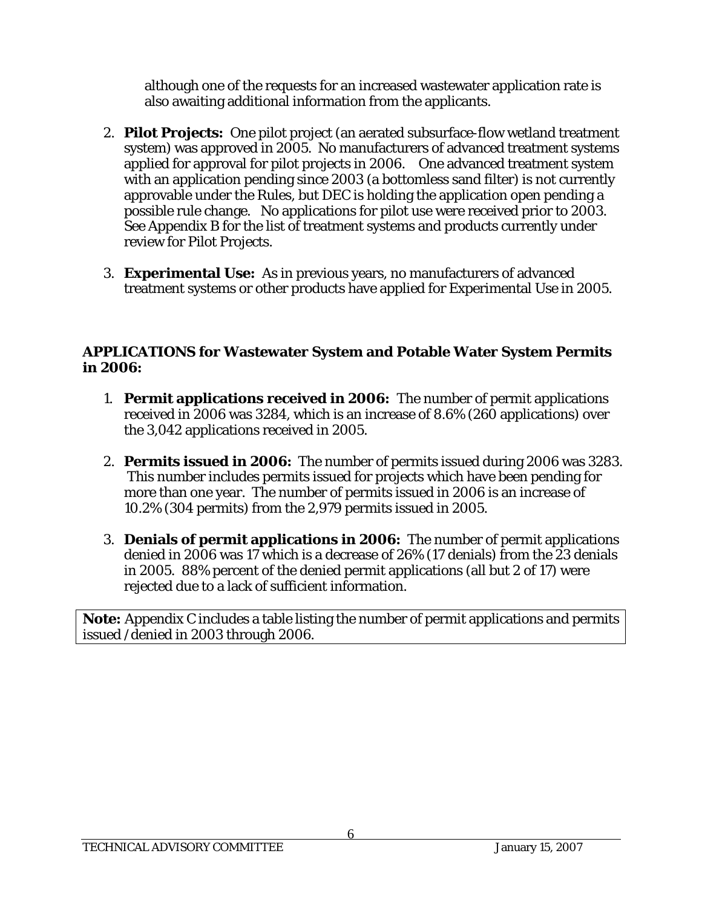although one of the requests for an increased wastewater application rate is also awaiting additional information from the applicants.

- 2. **Pilot Projects:** One pilot project (an aerated subsurface-flow wetland treatment system) was approved in 2005. No manufacturers of advanced treatment systems applied for approval for pilot projects in 2006. One advanced treatment system with an application pending since 2003 (a bottomless sand filter) is not currently approvable under the Rules, but DEC is holding the application open pending a possible rule change. No applications for pilot use were received prior to 2003. See Appendix B for the list of treatment systems and products currently under review for Pilot Projects.
- 3. **Experimental Use:** As in previous years, no manufacturers of advanced treatment systems or other products have applied for Experimental Use in 2005.

## **APPLICATIONS for Wastewater System and Potable Water System Permits in 2006:**

- 1. **Permit applications received in 2006:** The number of permit applications received in 2006 was 3284, which is an increase of 8.6% (260 applications) over the 3,042 applications received in 2005.
- 2. **Permits issued in 2006:** The number of permits issued during 2006 was 3283. This number includes permits issued for projects which have been pending for more than one year. The number of permits issued in 2006 is an increase of 10.2% (304 permits) from the 2,979 permits issued in 2005.
- 3. **Denials of permit applications in 2006:** The number of permit applications denied in 2006 was 17 which is a decrease of 26% (17 denials) from the 23 denials in 2005. 88% percent of the denied permit applications (all but 2 of 17) were rejected due to a lack of sufficient information.

**Note:** Appendix C includes a table listing the number of permit applications and permits issued /denied in 2003 through 2006.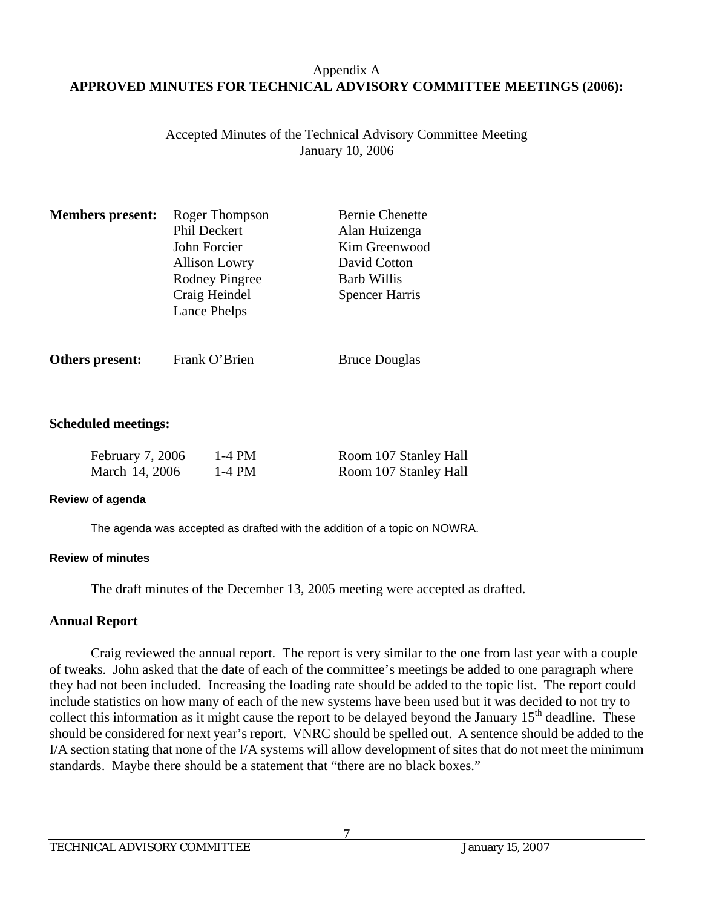## Appendix A **APPROVED MINUTES FOR TECHNICAL ADVISORY COMMITTEE MEETINGS (2006):**

Accepted Minutes of the Technical Advisory Committee Meeting January 10, 2006

| <b>Members present:</b> | Roger Thompson        | <b>Bernie Chenette</b> |
|-------------------------|-----------------------|------------------------|
|                         | Phil Deckert          | Alan Huizenga          |
|                         | John Forcier          | Kim Greenwood          |
|                         | <b>Allison Lowry</b>  | David Cotton           |
|                         | <b>Rodney Pingree</b> | <b>Barb Willis</b>     |
|                         | Craig Heindel         | <b>Spencer Harris</b>  |
|                         | Lance Phelps          |                        |
|                         |                       |                        |

**Others present:** Frank O'Brien Bruce Douglas

### **Scheduled meetings:**

| February 7, 2006 | 1-4 PM | Room 107 Stanley Hall |
|------------------|--------|-----------------------|
| March 14, 2006   | 1-4 PM | Room 107 Stanley Hall |

#### **Review of agenda**

The agenda was accepted as drafted with the addition of a topic on NOWRA.

#### **Review of minutes**

The draft minutes of the December 13, 2005 meeting were accepted as drafted.

## **Annual Report**

 Craig reviewed the annual report. The report is very similar to the one from last year with a couple of tweaks. John asked that the date of each of the committee's meetings be added to one paragraph where they had not been included. Increasing the loading rate should be added to the topic list. The report could include statistics on how many of each of the new systems have been used but it was decided to not try to collect this information as it might cause the report to be delayed beyond the January 15<sup>th</sup> deadline. These should be considered for next year's report. VNRC should be spelled out. A sentence should be added to the I/A section stating that none of the I/A systems will allow development of sites that do not meet the minimum standards. Maybe there should be a statement that "there are no black boxes."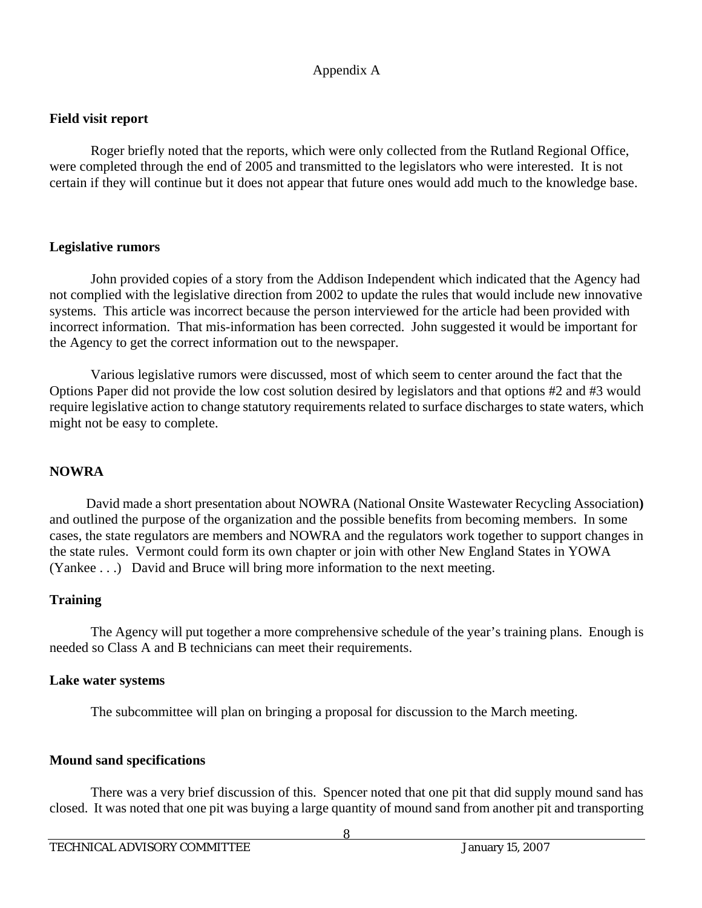## **Field visit report**

 Roger briefly noted that the reports, which were only collected from the Rutland Regional Office, were completed through the end of 2005 and transmitted to the legislators who were interested. It is not certain if they will continue but it does not appear that future ones would add much to the knowledge base.

## **Legislative rumors**

 John provided copies of a story from the Addison Independent which indicated that the Agency had not complied with the legislative direction from 2002 to update the rules that would include new innovative systems. This article was incorrect because the person interviewed for the article had been provided with incorrect information. That mis-information has been corrected. John suggested it would be important for the Agency to get the correct information out to the newspaper.

 Various legislative rumors were discussed, most of which seem to center around the fact that the Options Paper did not provide the low cost solution desired by legislators and that options #2 and #3 would require legislative action to change statutory requirements related to surface discharges to state waters, which might not be easy to complete.

## **NOWRA**

 David made a short presentation about NOWRA (National Onsite Wastewater Recycling Association**)** and outlined the purpose of the organization and the possible benefits from becoming members. In some cases, the state regulators are members and NOWRA and the regulators work together to support changes in the state rules. Vermont could form its own chapter or join with other New England States in YOWA (Yankee . . .) David and Bruce will bring more information to the next meeting.

## **Training**

 The Agency will put together a more comprehensive schedule of the year's training plans. Enough is needed so Class A and B technicians can meet their requirements.

## **Lake water systems**

The subcommittee will plan on bringing a proposal for discussion to the March meeting.

## **Mound sand specifications**

 There was a very brief discussion of this. Spencer noted that one pit that did supply mound sand has closed. It was noted that one pit was buying a large quantity of mound sand from another pit and transporting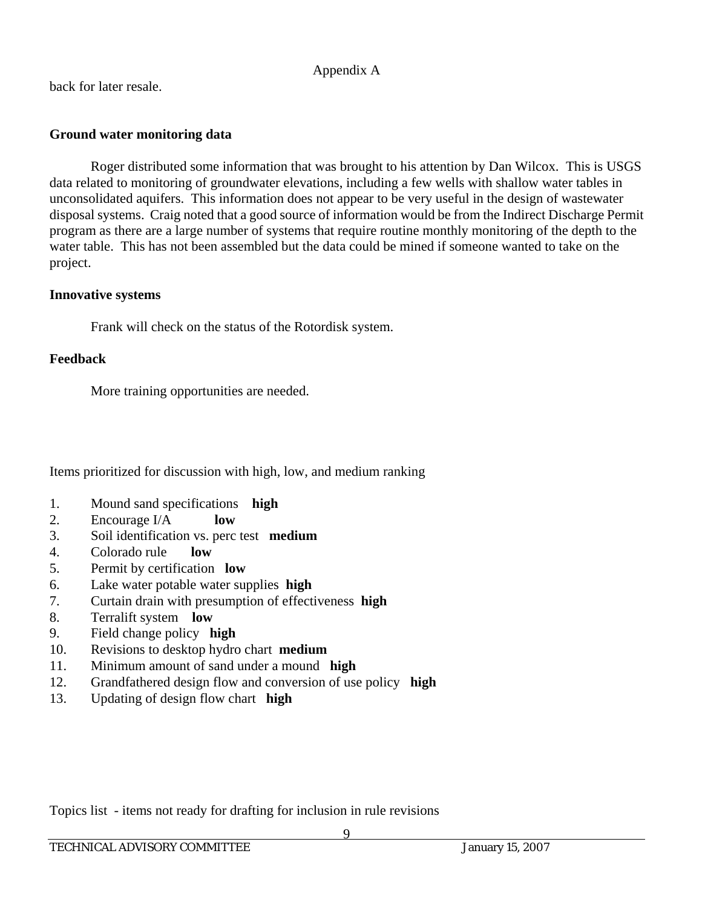back for later resale.

## **Ground water monitoring data**

 Roger distributed some information that was brought to his attention by Dan Wilcox. This is USGS data related to monitoring of groundwater elevations, including a few wells with shallow water tables in unconsolidated aquifers. This information does not appear to be very useful in the design of wastewater disposal systems. Craig noted that a good source of information would be from the Indirect Discharge Permit program as there are a large number of systems that require routine monthly monitoring of the depth to the water table. This has not been assembled but the data could be mined if someone wanted to take on the project.

## **Innovative systems**

Frank will check on the status of the Rotordisk system.

## **Feedback**

More training opportunities are needed.

Items prioritized for discussion with high, low, and medium ranking

- 1. Mound sand specifications **high**
- 2. Encourage I/A **low**
- 3. Soil identification vs. perc test **medium**
- 4. Colorado rule **low**
- 5. Permit by certification **low**
- 6. Lake water potable water supplies **high**
- 7. Curtain drain with presumption of effectiveness **high**
- 8. Terralift system **low**
- 9. Field change policy **high**
- 10. Revisions to desktop hydro chart **medium**
- 11. Minimum amount of sand under a mound **high**
- 12. Grandfathered design flow and conversion of use policy **high**
- 13. Updating of design flow chart **high**

Topics list - items not ready for drafting for inclusion in rule revisions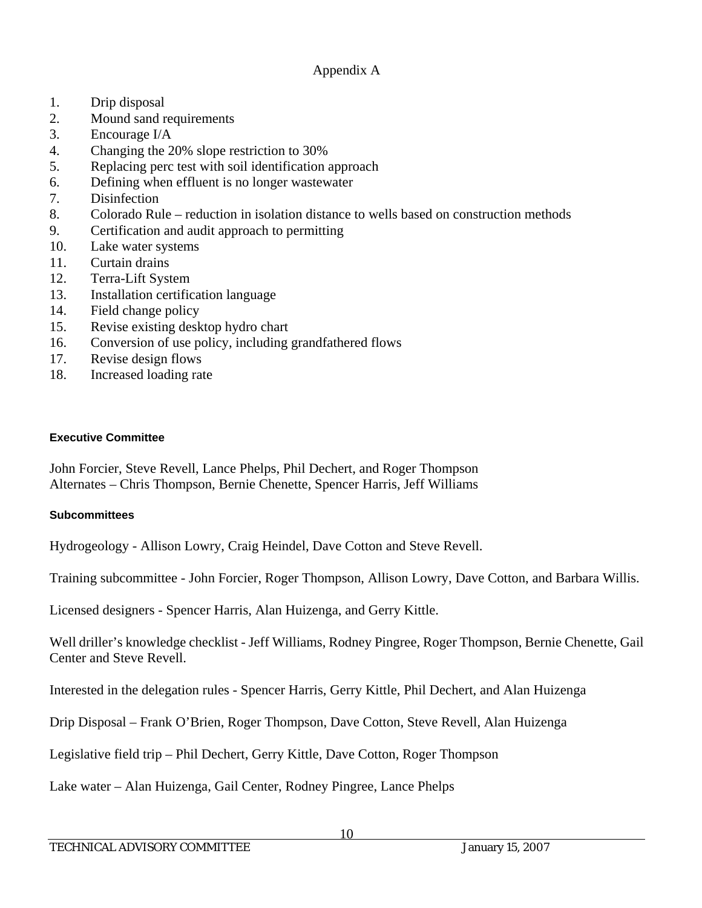- 1. Drip disposal
- 2. Mound sand requirements
- 3. Encourage I/A
- 4. Changing the 20% slope restriction to 30%
- 5. Replacing perc test with soil identification approach
- 6. Defining when effluent is no longer wastewater
- 7. Disinfection
- 8. Colorado Rule reduction in isolation distance to wells based on construction methods
- 9. Certification and audit approach to permitting
- 10. Lake water systems
- 11. Curtain drains
- 12. Terra-Lift System
- 13. Installation certification language
- 14. Field change policy
- 15. Revise existing desktop hydro chart
- 16. Conversion of use policy, including grandfathered flows
- 17. Revise design flows
- 18. Increased loading rate

#### **Executive Committee**

John Forcier, Steve Revell, Lance Phelps, Phil Dechert, and Roger Thompson Alternates – Chris Thompson, Bernie Chenette, Spencer Harris, Jeff Williams

#### **Subcommittees**

Hydrogeology - Allison Lowry, Craig Heindel, Dave Cotton and Steve Revell.

Training subcommittee - John Forcier, Roger Thompson, Allison Lowry, Dave Cotton, and Barbara Willis.

Licensed designers - Spencer Harris, Alan Huizenga, and Gerry Kittle.

Well driller's knowledge checklist - Jeff Williams, Rodney Pingree, Roger Thompson, Bernie Chenette, Gail Center and Steve Revell.

Interested in the delegation rules - Spencer Harris, Gerry Kittle, Phil Dechert, and Alan Huizenga

Drip Disposal – Frank O'Brien, Roger Thompson, Dave Cotton, Steve Revell, Alan Huizenga

Legislative field trip – Phil Dechert, Gerry Kittle, Dave Cotton, Roger Thompson

Lake water – Alan Huizenga, Gail Center, Rodney Pingree, Lance Phelps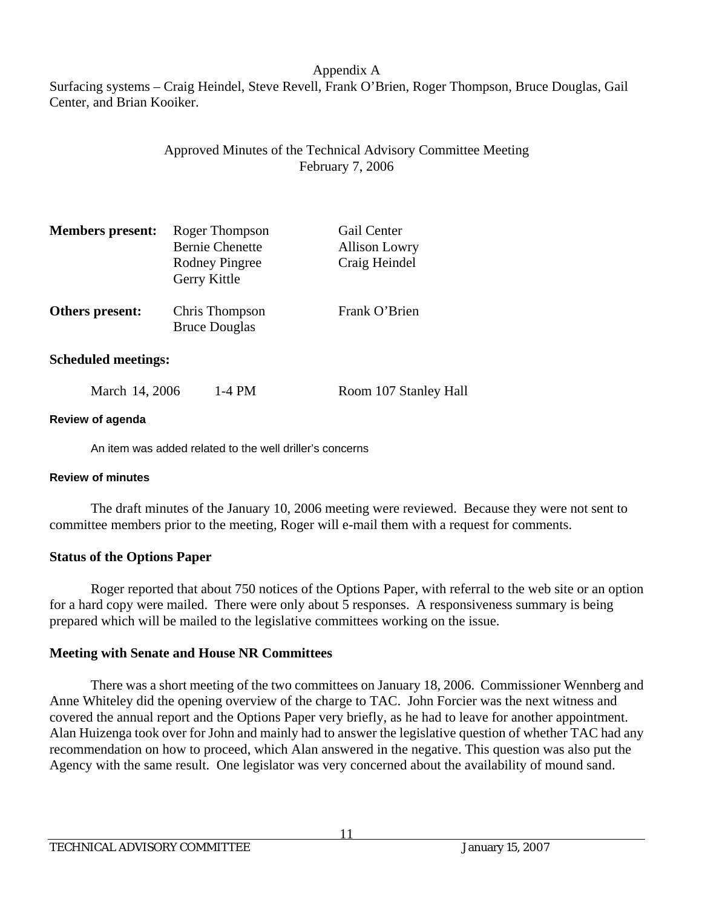Surfacing systems – Craig Heindel, Steve Revell, Frank O'Brien, Roger Thompson, Bruce Douglas, Gail Center, and Brian Kooiker.

## Approved Minutes of the Technical Advisory Committee Meeting February 7, 2006

| <b>Members present:</b> | Roger Thompson<br><b>Bernie Chenette</b><br>Rodney Pingree<br>Gerry Kittle | Gail Center<br><b>Allison Lowry</b><br>Craig Heindel |
|-------------------------|----------------------------------------------------------------------------|------------------------------------------------------|
| Others present:         | Chris Thompson<br><b>Bruce Douglas</b>                                     | Frank O'Brien                                        |
|                         |                                                                            |                                                      |

**Scheduled meetings:** 

March 14, 2006 1-4 PM Room 107 Stanley Hall

## **Review of agenda**

An item was added related to the well driller's concerns

## **Review of minutes**

 The draft minutes of the January 10, 2006 meeting were reviewed. Because they were not sent to committee members prior to the meeting, Roger will e-mail them with a request for comments.

## **Status of the Options Paper**

 Roger reported that about 750 notices of the Options Paper, with referral to the web site or an option for a hard copy were mailed. There were only about 5 responses. A responsiveness summary is being prepared which will be mailed to the legislative committees working on the issue.

## **Meeting with Senate and House NR Committees**

 There was a short meeting of the two committees on January 18, 2006. Commissioner Wennberg and Anne Whiteley did the opening overview of the charge to TAC. John Forcier was the next witness and covered the annual report and the Options Paper very briefly, as he had to leave for another appointment. Alan Huizenga took over for John and mainly had to answer the legislative question of whether TAC had any recommendation on how to proceed, which Alan answered in the negative. This question was also put the Agency with the same result. One legislator was very concerned about the availability of mound sand.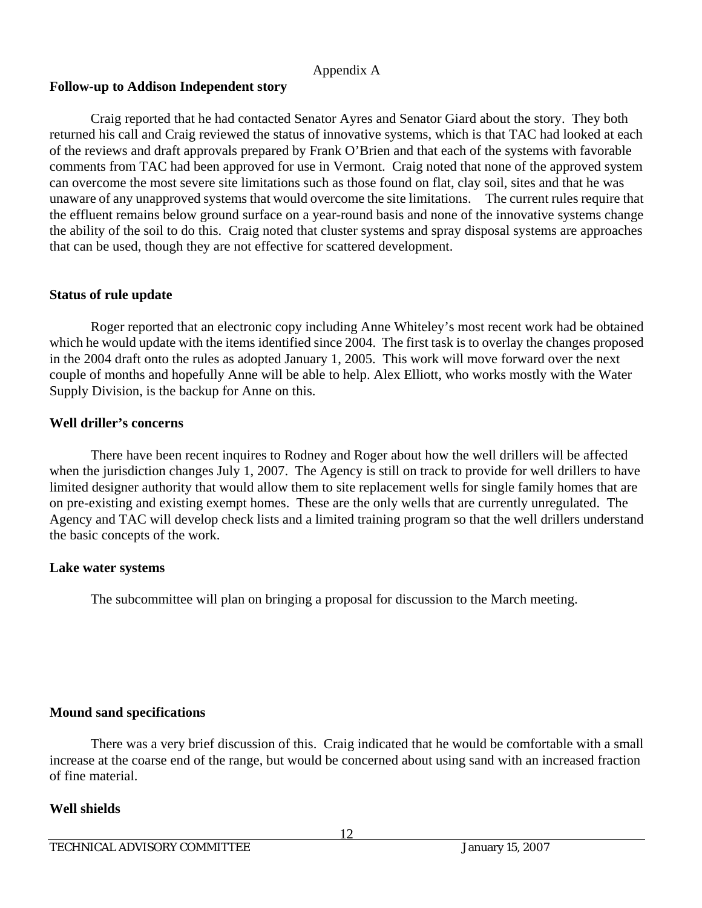### **Follow-up to Addison Independent story**

 Craig reported that he had contacted Senator Ayres and Senator Giard about the story. They both returned his call and Craig reviewed the status of innovative systems, which is that TAC had looked at each of the reviews and draft approvals prepared by Frank O'Brien and that each of the systems with favorable comments from TAC had been approved for use in Vermont. Craig noted that none of the approved system can overcome the most severe site limitations such as those found on flat, clay soil, sites and that he was unaware of any unapproved systems that would overcome the site limitations. The current rules require that the effluent remains below ground surface on a year-round basis and none of the innovative systems change the ability of the soil to do this. Craig noted that cluster systems and spray disposal systems are approaches that can be used, though they are not effective for scattered development.

## **Status of rule update**

 Roger reported that an electronic copy including Anne Whiteley's most recent work had be obtained which he would update with the items identified since 2004. The first task is to overlay the changes proposed in the 2004 draft onto the rules as adopted January 1, 2005. This work will move forward over the next couple of months and hopefully Anne will be able to help. Alex Elliott, who works mostly with the Water Supply Division, is the backup for Anne on this.

### **Well driller's concerns**

 There have been recent inquires to Rodney and Roger about how the well drillers will be affected when the jurisdiction changes July 1, 2007. The Agency is still on track to provide for well drillers to have limited designer authority that would allow them to site replacement wells for single family homes that are on pre-existing and existing exempt homes. These are the only wells that are currently unregulated. The Agency and TAC will develop check lists and a limited training program so that the well drillers understand the basic concepts of the work.

## **Lake water systems**

The subcommittee will plan on bringing a proposal for discussion to the March meeting.

## **Mound sand specifications**

 There was a very brief discussion of this. Craig indicated that he would be comfortable with a small increase at the coarse end of the range, but would be concerned about using sand with an increased fraction of fine material.

## **Well shields**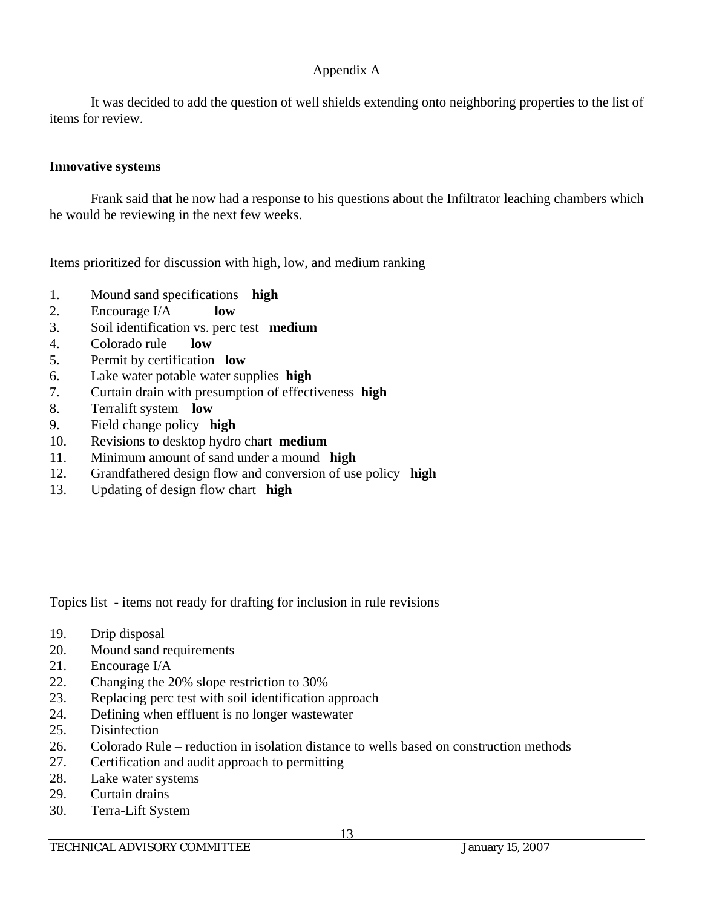It was decided to add the question of well shields extending onto neighboring properties to the list of items for review.

## **Innovative systems**

 Frank said that he now had a response to his questions about the Infiltrator leaching chambers which he would be reviewing in the next few weeks.

Items prioritized for discussion with high, low, and medium ranking

- 1. Mound sand specifications **high**
- 2. Encourage I/A **low**
- 3. Soil identification vs. perc test **medium**
- 4. Colorado rule **low**
- 5. Permit by certification **low**
- 6. Lake water potable water supplies **high**
- 7. Curtain drain with presumption of effectiveness **high**
- 8. Terralift system **low**
- 9. Field change policy **high**
- 10. Revisions to desktop hydro chart **medium**
- 11. Minimum amount of sand under a mound **high**
- 12. Grandfathered design flow and conversion of use policy **high**
- 13. Updating of design flow chart **high**

Topics list - items not ready for drafting for inclusion in rule revisions

- 19. Drip disposal
- 20. Mound sand requirements
- 21. Encourage I/A
- 22. Changing the 20% slope restriction to 30%
- 23. Replacing perc test with soil identification approach
- 24. Defining when effluent is no longer wastewater
- 25. Disinfection
- 26. Colorado Rule reduction in isolation distance to wells based on construction methods
- 27. Certification and audit approach to permitting
- 28. Lake water systems
- 29. Curtain drains
- 30. Terra-Lift System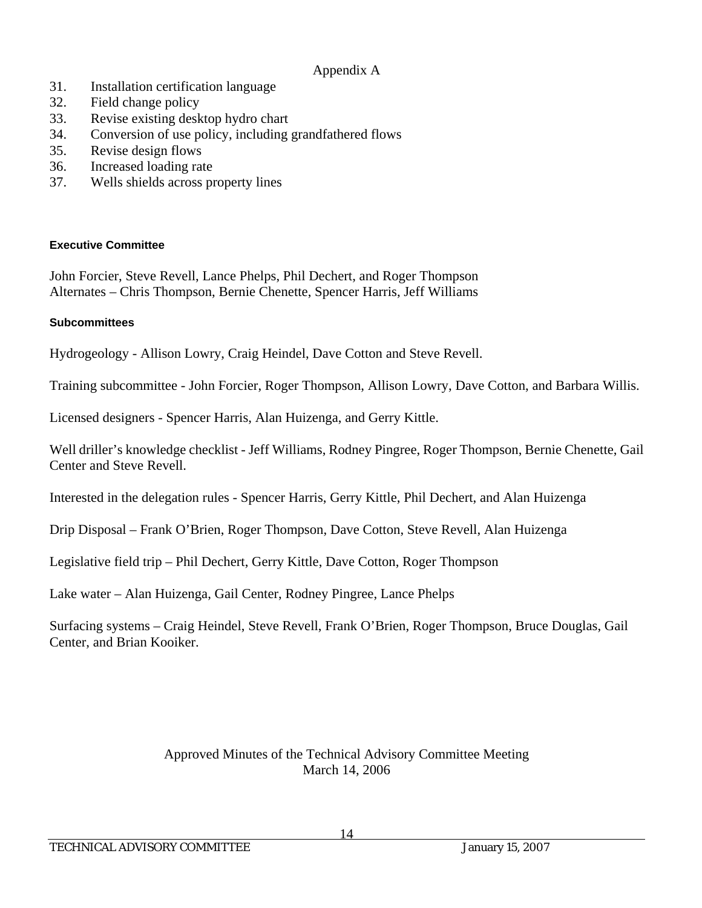- 31. Installation certification language
- 32. Field change policy
- 33. Revise existing desktop hydro chart
- 34. Conversion of use policy, including grandfathered flows
- 35. Revise design flows
- 36. Increased loading rate
- 37. Wells shields across property lines

## **Executive Committee**

John Forcier, Steve Revell, Lance Phelps, Phil Dechert, and Roger Thompson Alternates – Chris Thompson, Bernie Chenette, Spencer Harris, Jeff Williams

## **Subcommittees**

Hydrogeology - Allison Lowry, Craig Heindel, Dave Cotton and Steve Revell.

Training subcommittee - John Forcier, Roger Thompson, Allison Lowry, Dave Cotton, and Barbara Willis.

Licensed designers - Spencer Harris, Alan Huizenga, and Gerry Kittle.

Well driller's knowledge checklist - Jeff Williams, Rodney Pingree, Roger Thompson, Bernie Chenette, Gail Center and Steve Revell.

Interested in the delegation rules - Spencer Harris, Gerry Kittle, Phil Dechert, and Alan Huizenga

Drip Disposal – Frank O'Brien, Roger Thompson, Dave Cotton, Steve Revell, Alan Huizenga

Legislative field trip – Phil Dechert, Gerry Kittle, Dave Cotton, Roger Thompson

Lake water – Alan Huizenga, Gail Center, Rodney Pingree, Lance Phelps

Surfacing systems – Craig Heindel, Steve Revell, Frank O'Brien, Roger Thompson, Bruce Douglas, Gail Center, and Brian Kooiker.

## Approved Minutes of the Technical Advisory Committee Meeting March 14, 2006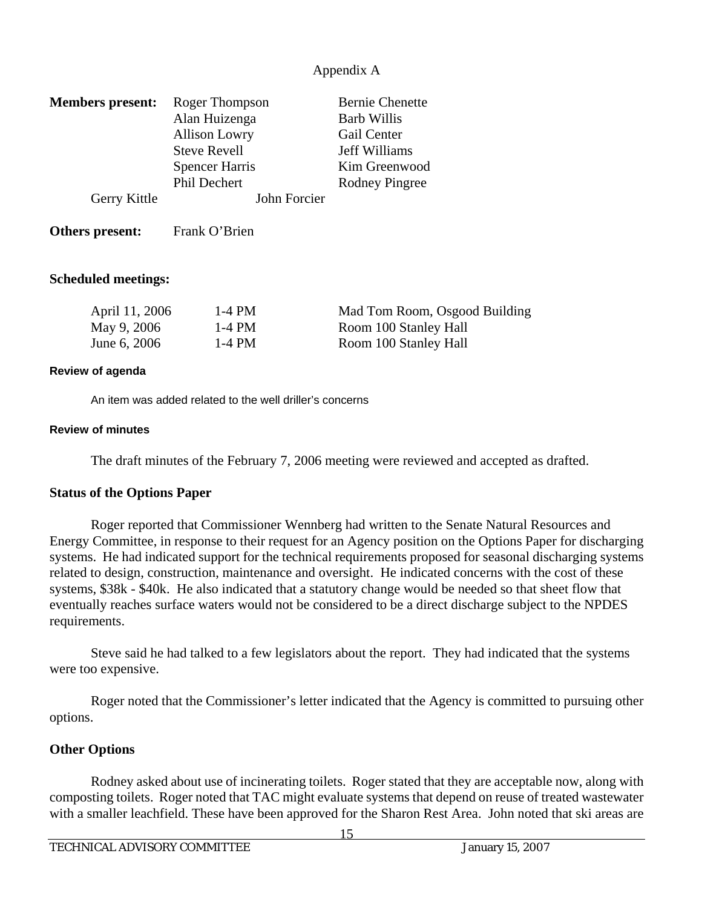| <b>Members</b> present: | Roger Thompson<br>Alan Huizenga | <b>Bernie Chenette</b><br><b>Barb Willis</b> |
|-------------------------|---------------------------------|----------------------------------------------|
|                         | <b>Allison Lowry</b>            | Gail Center                                  |
|                         | <b>Steve Revell</b>             | Jeff Williams                                |
|                         | <b>Spencer Harris</b>           | Kim Greenwood                                |
|                         | Phil Dechert                    | Rodney Pingree                               |
| Gerry Kittle            | John Forcier                    |                                              |
| Others present:         | Frank O'Brien                   |                                              |

#### **Scheduled meetings:**

| April 11, 2006 | 1-4 PM | Mad Tom Room, Osgood Building |
|----------------|--------|-------------------------------|
| May 9, 2006    | 1-4 PM | Room 100 Stanley Hall         |
| June 6, 2006   | 1-4 PM | Room 100 Stanley Hall         |

#### **Review of agenda**

An item was added related to the well driller's concerns

#### **Review of minutes**

The draft minutes of the February 7, 2006 meeting were reviewed and accepted as drafted.

#### **Status of the Options Paper**

 Roger reported that Commissioner Wennberg had written to the Senate Natural Resources and Energy Committee, in response to their request for an Agency position on the Options Paper for discharging systems. He had indicated support for the technical requirements proposed for seasonal discharging systems related to design, construction, maintenance and oversight. He indicated concerns with the cost of these systems, \$38k - \$40k. He also indicated that a statutory change would be needed so that sheet flow that eventually reaches surface waters would not be considered to be a direct discharge subject to the NPDES requirements.

 Steve said he had talked to a few legislators about the report. They had indicated that the systems were too expensive.

 Roger noted that the Commissioner's letter indicated that the Agency is committed to pursuing other options.

## **Other Options**

 Rodney asked about use of incinerating toilets. Roger stated that they are acceptable now, along with composting toilets. Roger noted that TAC might evaluate systems that depend on reuse of treated wastewater with a smaller leachfield. These have been approved for the Sharon Rest Area. John noted that ski areas are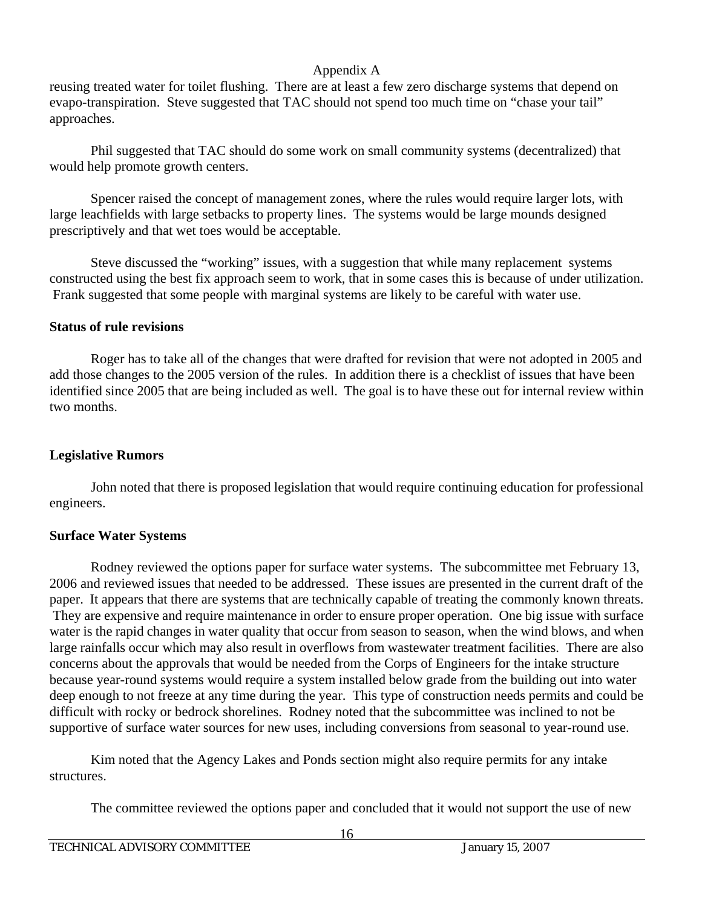reusing treated water for toilet flushing. There are at least a few zero discharge systems that depend on evapo-transpiration. Steve suggested that TAC should not spend too much time on "chase your tail" approaches.

 Phil suggested that TAC should do some work on small community systems (decentralized) that would help promote growth centers.

 Spencer raised the concept of management zones, where the rules would require larger lots, with large leachfields with large setbacks to property lines. The systems would be large mounds designed prescriptively and that wet toes would be acceptable.

 Steve discussed the "working" issues, with a suggestion that while many replacement systems constructed using the best fix approach seem to work, that in some cases this is because of under utilization. Frank suggested that some people with marginal systems are likely to be careful with water use.

## **Status of rule revisions**

 Roger has to take all of the changes that were drafted for revision that were not adopted in 2005 and add those changes to the 2005 version of the rules. In addition there is a checklist of issues that have been identified since 2005 that are being included as well. The goal is to have these out for internal review within two months.

## **Legislative Rumors**

 John noted that there is proposed legislation that would require continuing education for professional engineers.

## **Surface Water Systems**

 Rodney reviewed the options paper for surface water systems. The subcommittee met February 13, 2006 and reviewed issues that needed to be addressed. These issues are presented in the current draft of the paper. It appears that there are systems that are technically capable of treating the commonly known threats. They are expensive and require maintenance in order to ensure proper operation. One big issue with surface water is the rapid changes in water quality that occur from season to season, when the wind blows, and when large rainfalls occur which may also result in overflows from wastewater treatment facilities. There are also concerns about the approvals that would be needed from the Corps of Engineers for the intake structure because year-round systems would require a system installed below grade from the building out into water deep enough to not freeze at any time during the year. This type of construction needs permits and could be difficult with rocky or bedrock shorelines. Rodney noted that the subcommittee was inclined to not be supportive of surface water sources for new uses, including conversions from seasonal to year-round use.

 Kim noted that the Agency Lakes and Ponds section might also require permits for any intake structures.

The committee reviewed the options paper and concluded that it would not support the use of new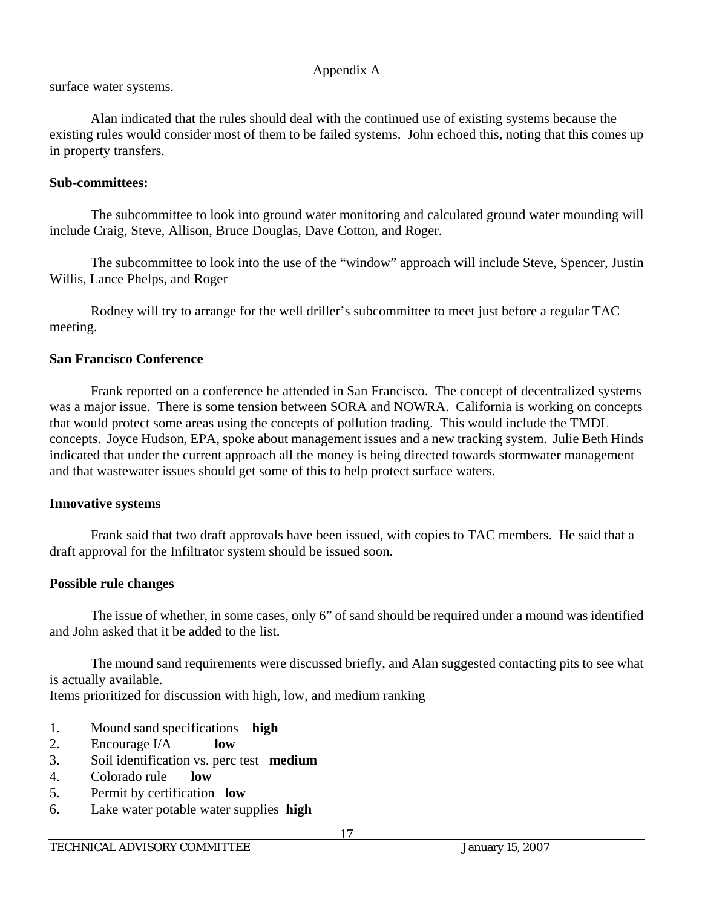surface water systems.

 Alan indicated that the rules should deal with the continued use of existing systems because the existing rules would consider most of them to be failed systems. John echoed this, noting that this comes up in property transfers.

## **Sub-committees:**

The subcommittee to look into ground water monitoring and calculated ground water mounding will include Craig, Steve, Allison, Bruce Douglas, Dave Cotton, and Roger.

 The subcommittee to look into the use of the "window" approach will include Steve, Spencer, Justin Willis, Lance Phelps, and Roger

 Rodney will try to arrange for the well driller's subcommittee to meet just before a regular TAC meeting.

## **San Francisco Conference**

 Frank reported on a conference he attended in San Francisco. The concept of decentralized systems was a major issue. There is some tension between SORA and NOWRA. California is working on concepts that would protect some areas using the concepts of pollution trading. This would include the TMDL concepts. Joyce Hudson, EPA, spoke about management issues and a new tracking system. Julie Beth Hinds indicated that under the current approach all the money is being directed towards stormwater management and that wastewater issues should get some of this to help protect surface waters.

## **Innovative systems**

 Frank said that two draft approvals have been issued, with copies to TAC members. He said that a draft approval for the Infiltrator system should be issued soon.

## **Possible rule changes**

 The issue of whether, in some cases, only 6" of sand should be required under a mound was identified and John asked that it be added to the list.

 The mound sand requirements were discussed briefly, and Alan suggested contacting pits to see what is actually available.

Items prioritized for discussion with high, low, and medium ranking

- 1. Mound sand specifications **high**
- 2. Encourage I/A **low**
- 3. Soil identification vs. perc test **medium**
- 4. Colorado rule **low**
- 5. Permit by certification **low**
- 6. Lake water potable water supplies **high**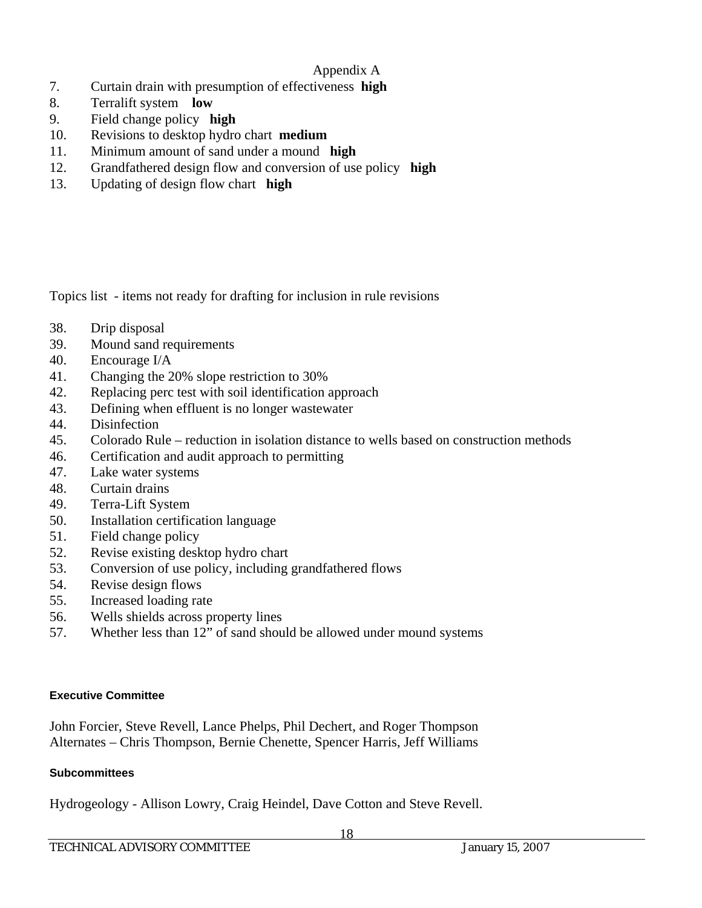- 7. Curtain drain with presumption of effectiveness **high**
- 8. Terralift system **low**
- 9. Field change policy **high**
- 10. Revisions to desktop hydro chart **medium**
- 11. Minimum amount of sand under a mound **high**
- 12. Grandfathered design flow and conversion of use policy **high**
- 13. Updating of design flow chart **high**

Topics list - items not ready for drafting for inclusion in rule revisions

- 38. Drip disposal
- 39. Mound sand requirements
- 40. Encourage I/A
- 41. Changing the 20% slope restriction to 30%
- 42. Replacing perc test with soil identification approach
- 43. Defining when effluent is no longer wastewater
- 44. Disinfection
- 45. Colorado Rule reduction in isolation distance to wells based on construction methods
- 46. Certification and audit approach to permitting
- 47. Lake water systems
- 48. Curtain drains
- 49. Terra-Lift System
- 50. Installation certification language
- 51. Field change policy
- 52. Revise existing desktop hydro chart
- 53. Conversion of use policy, including grandfathered flows
- 54. Revise design flows
- 55. Increased loading rate
- 56. Wells shields across property lines
- 57. Whether less than 12" of sand should be allowed under mound systems

## **Executive Committee**

John Forcier, Steve Revell, Lance Phelps, Phil Dechert, and Roger Thompson Alternates – Chris Thompson, Bernie Chenette, Spencer Harris, Jeff Williams

## **Subcommittees**

Hydrogeology - Allison Lowry, Craig Heindel, Dave Cotton and Steve Revell.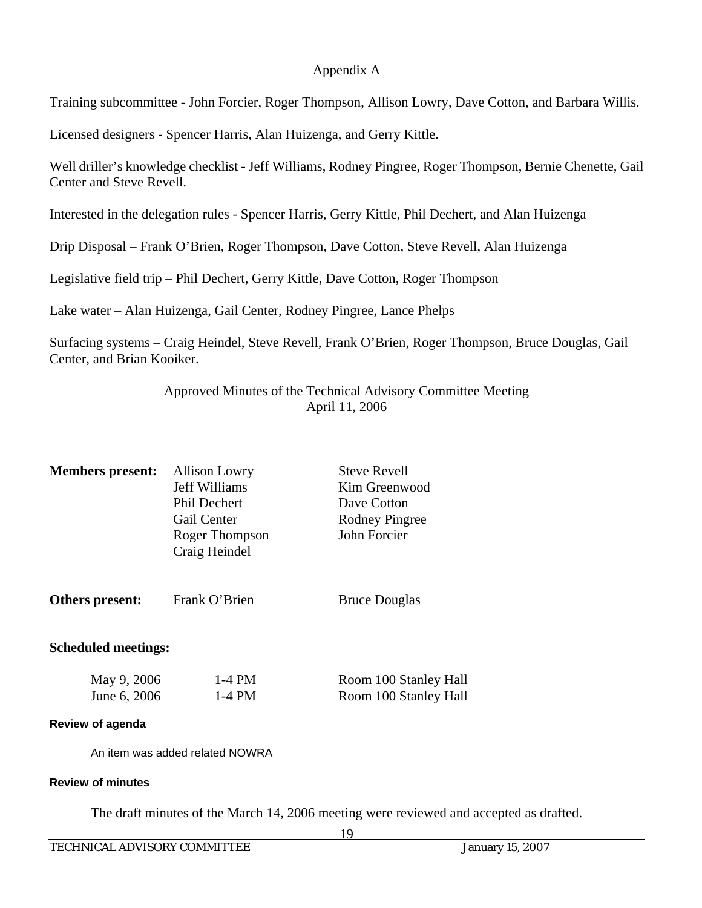Training subcommittee - John Forcier, Roger Thompson, Allison Lowry, Dave Cotton, and Barbara Willis.

Licensed designers - Spencer Harris, Alan Huizenga, and Gerry Kittle.

Well driller's knowledge checklist - Jeff Williams, Rodney Pingree, Roger Thompson, Bernie Chenette, Gail Center and Steve Revell.

Interested in the delegation rules - Spencer Harris, Gerry Kittle, Phil Dechert, and Alan Huizenga

Drip Disposal – Frank O'Brien, Roger Thompson, Dave Cotton, Steve Revell, Alan Huizenga

Legislative field trip – Phil Dechert, Gerry Kittle, Dave Cotton, Roger Thompson

Lake water – Alan Huizenga, Gail Center, Rodney Pingree, Lance Phelps

Surfacing systems – Craig Heindel, Steve Revell, Frank O'Brien, Roger Thompson, Bruce Douglas, Gail Center, and Brian Kooiker.

> Approved Minutes of the Technical Advisory Committee Meeting April 11, 2006

| <b>Members</b> present:     | <b>Allison Lowry</b><br><b>Jeff Williams</b><br><b>Phil Dechert</b> | <b>Steve Revell</b><br>Kim Greenwood<br>Dave Cotton |
|-----------------------------|---------------------------------------------------------------------|-----------------------------------------------------|
|                             | Gail Center                                                         | Rodney Pingree                                      |
|                             | Roger Thompson<br>Craig Heindel                                     | John Forcier                                        |
| Others present:             | Frank O'Brien                                                       | <b>Bruce Douglas</b>                                |
| <b>Scheduled meetings:</b>  |                                                                     |                                                     |
| May 9, 2006<br>June 6, 2006 | $1-4$ PM<br>$1-4$ PM                                                | Room 100 Stanley Hall<br>Room 100 Stanley Hall      |
|                             |                                                                     |                                                     |

#### **Review of agenda**

An item was added related NOWRA

#### **Review of minutes**

The draft minutes of the March 14, 2006 meeting were reviewed and accepted as drafted.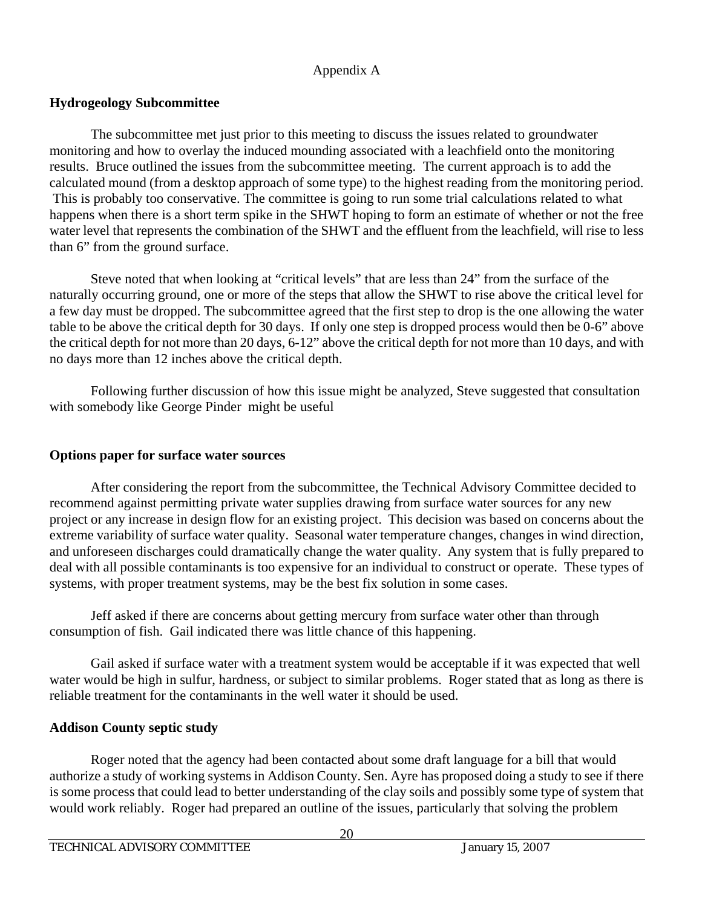## **Hydrogeology Subcommittee**

 The subcommittee met just prior to this meeting to discuss the issues related to groundwater monitoring and how to overlay the induced mounding associated with a leachfield onto the monitoring results. Bruce outlined the issues from the subcommittee meeting. The current approach is to add the calculated mound (from a desktop approach of some type) to the highest reading from the monitoring period. This is probably too conservative. The committee is going to run some trial calculations related to what happens when there is a short term spike in the SHWT hoping to form an estimate of whether or not the free water level that represents the combination of the SHWT and the effluent from the leachfield, will rise to less than 6" from the ground surface.

 Steve noted that when looking at "critical levels" that are less than 24" from the surface of the naturally occurring ground, one or more of the steps that allow the SHWT to rise above the critical level for a few day must be dropped. The subcommittee agreed that the first step to drop is the one allowing the water table to be above the critical depth for 30 days. If only one step is dropped process would then be 0-6" above the critical depth for not more than 20 days, 6-12" above the critical depth for not more than 10 days, and with no days more than 12 inches above the critical depth.

 Following further discussion of how this issue might be analyzed, Steve suggested that consultation with somebody like George Pinder might be useful

## **Options paper for surface water sources**

 After considering the report from the subcommittee, the Technical Advisory Committee decided to recommend against permitting private water supplies drawing from surface water sources for any new project or any increase in design flow for an existing project. This decision was based on concerns about the extreme variability of surface water quality. Seasonal water temperature changes, changes in wind direction, and unforeseen discharges could dramatically change the water quality. Any system that is fully prepared to deal with all possible contaminants is too expensive for an individual to construct or operate. These types of systems, with proper treatment systems, may be the best fix solution in some cases.

 Jeff asked if there are concerns about getting mercury from surface water other than through consumption of fish. Gail indicated there was little chance of this happening.

 Gail asked if surface water with a treatment system would be acceptable if it was expected that well water would be high in sulfur, hardness, or subject to similar problems. Roger stated that as long as there is reliable treatment for the contaminants in the well water it should be used.

## **Addison County septic study**

 Roger noted that the agency had been contacted about some draft language for a bill that would authorize a study of working systems in Addison County. Sen. Ayre has proposed doing a study to see if there is some process that could lead to better understanding of the clay soils and possibly some type of system that would work reliably. Roger had prepared an outline of the issues, particularly that solving the problem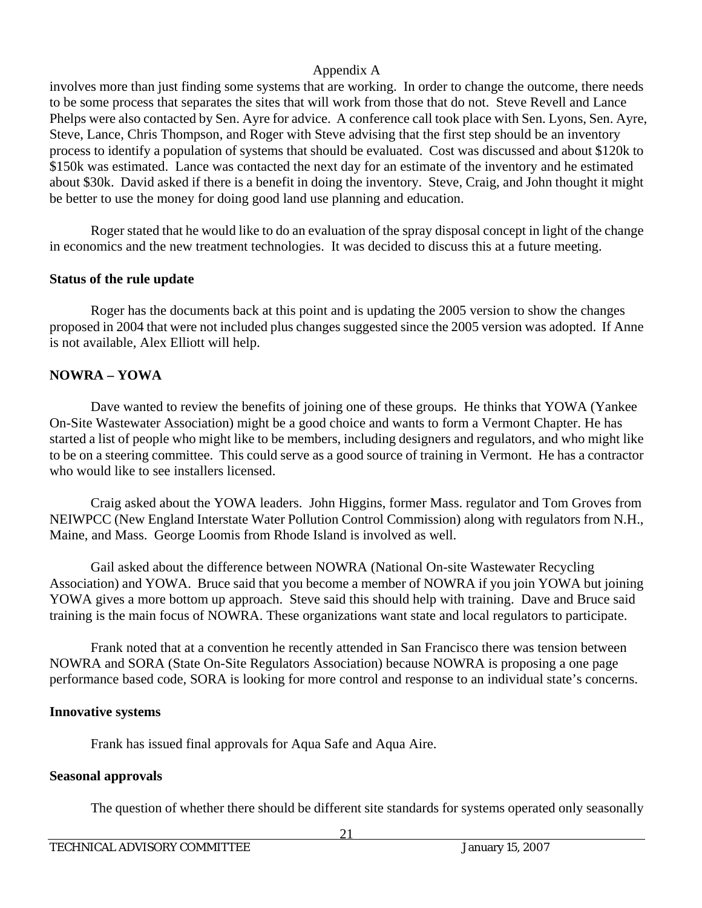involves more than just finding some systems that are working. In order to change the outcome, there needs to be some process that separates the sites that will work from those that do not. Steve Revell and Lance Phelps were also contacted by Sen. Ayre for advice. A conference call took place with Sen. Lyons, Sen. Ayre, Steve, Lance, Chris Thompson, and Roger with Steve advising that the first step should be an inventory process to identify a population of systems that should be evaluated. Cost was discussed and about \$120k to \$150k was estimated. Lance was contacted the next day for an estimate of the inventory and he estimated about \$30k. David asked if there is a benefit in doing the inventory. Steve, Craig, and John thought it might be better to use the money for doing good land use planning and education.

 Roger stated that he would like to do an evaluation of the spray disposal concept in light of the change in economics and the new treatment technologies. It was decided to discuss this at a future meeting.

## **Status of the rule update**

 Roger has the documents back at this point and is updating the 2005 version to show the changes proposed in 2004 that were not included plus changes suggested since the 2005 version was adopted. If Anne is not available, Alex Elliott will help.

## **NOWRA – YOWA**

 Dave wanted to review the benefits of joining one of these groups. He thinks that YOWA (Yankee On-Site Wastewater Association) might be a good choice and wants to form a Vermont Chapter. He has started a list of people who might like to be members, including designers and regulators, and who might like to be on a steering committee. This could serve as a good source of training in Vermont. He has a contractor who would like to see installers licensed.

 Craig asked about the YOWA leaders. John Higgins, former Mass. regulator and Tom Groves from NEIWPCC (New England Interstate Water Pollution Control Commission) along with regulators from N.H., Maine, and Mass. George Loomis from Rhode Island is involved as well.

 Gail asked about the difference between NOWRA (National On-site Wastewater Recycling Association) and YOWA. Bruce said that you become a member of NOWRA if you join YOWA but joining YOWA gives a more bottom up approach. Steve said this should help with training. Dave and Bruce said training is the main focus of NOWRA. These organizations want state and local regulators to participate.

 Frank noted that at a convention he recently attended in San Francisco there was tension between NOWRA and SORA (State On-Site Regulators Association) because NOWRA is proposing a one page performance based code, SORA is looking for more control and response to an individual state's concerns.

## **Innovative systems**

Frank has issued final approvals for Aqua Safe and Aqua Aire.

## **Seasonal approvals**

The question of whether there should be different site standards for systems operated only seasonally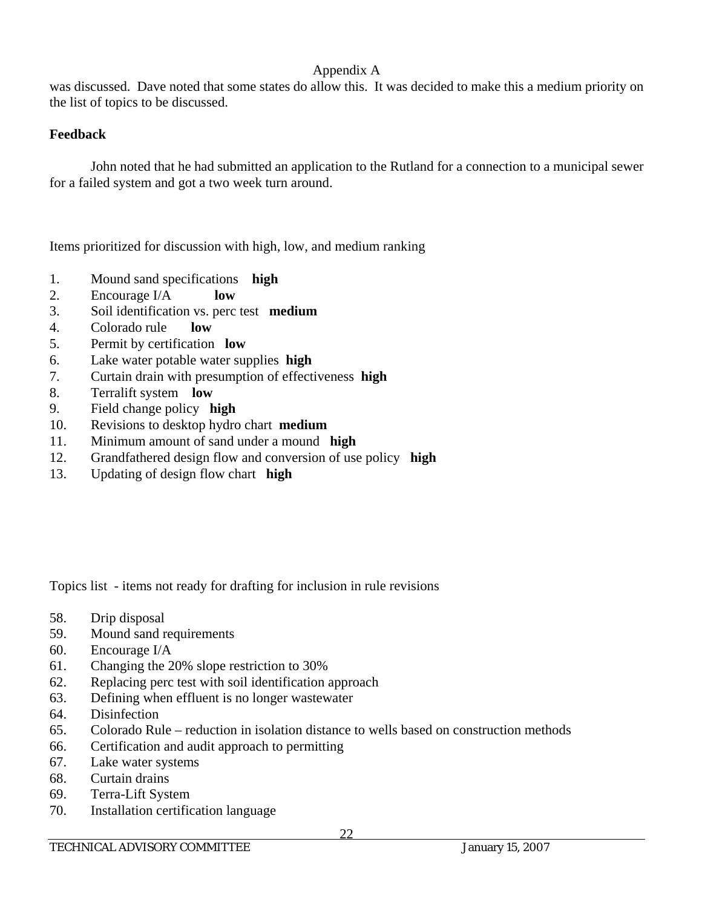was discussed. Dave noted that some states do allow this. It was decided to make this a medium priority on the list of topics to be discussed.

## **Feedback**

 John noted that he had submitted an application to the Rutland for a connection to a municipal sewer for a failed system and got a two week turn around.

Items prioritized for discussion with high, low, and medium ranking

- 1. Mound sand specifications **high**
- 2. Encourage I/A **low**
- 3. Soil identification vs. perc test **medium**
- 4. Colorado rule **low**
- 5. Permit by certification **low**
- 6. Lake water potable water supplies **high**
- 7. Curtain drain with presumption of effectiveness **high**
- 8. Terralift system **low**
- 9. Field change policy **high**
- 10. Revisions to desktop hydro chart **medium**
- 11. Minimum amount of sand under a mound **high**
- 12. Grandfathered design flow and conversion of use policy **high**
- 13. Updating of design flow chart **high**

Topics list - items not ready for drafting for inclusion in rule revisions

- 58. Drip disposal
- 59. Mound sand requirements
- 60. Encourage I/A
- 61. Changing the 20% slope restriction to 30%
- 62. Replacing perc test with soil identification approach
- 63. Defining when effluent is no longer wastewater
- 64. Disinfection
- 65. Colorado Rule reduction in isolation distance to wells based on construction methods
- 66. Certification and audit approach to permitting
- 67. Lake water systems
- 68. Curtain drains
- 69. Terra-Lift System
- 70. Installation certification language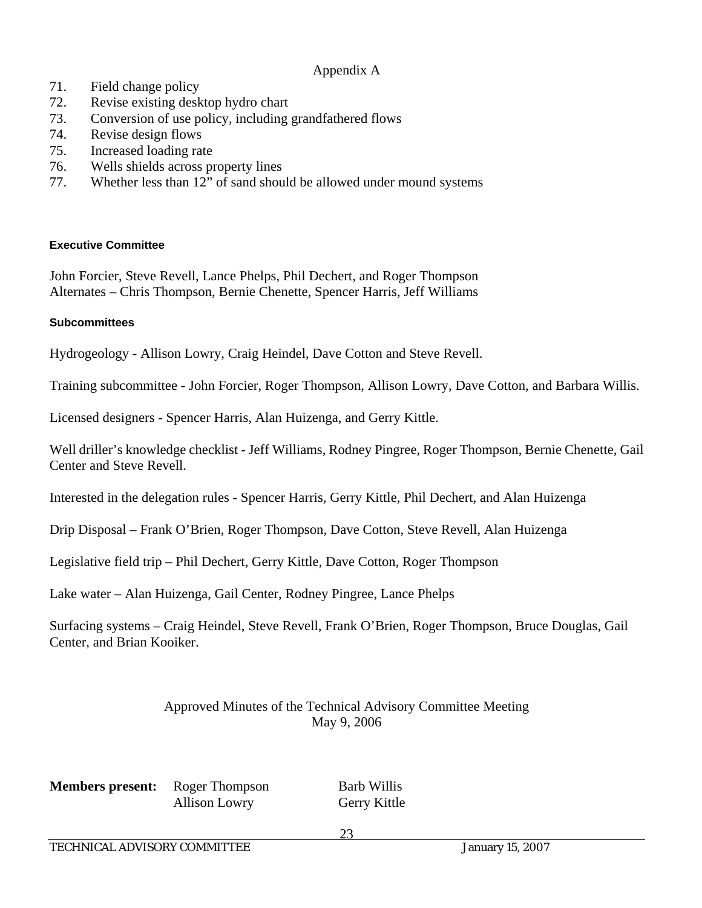- 71. Field change policy
- 72. Revise existing desktop hydro chart
- 73. Conversion of use policy, including grandfathered flows
- 74. Revise design flows
- 75. Increased loading rate
- 76. Wells shields across property lines
- 77. Whether less than 12" of sand should be allowed under mound systems

### **Executive Committee**

John Forcier, Steve Revell, Lance Phelps, Phil Dechert, and Roger Thompson Alternates – Chris Thompson, Bernie Chenette, Spencer Harris, Jeff Williams

### **Subcommittees**

Hydrogeology - Allison Lowry, Craig Heindel, Dave Cotton and Steve Revell.

Training subcommittee - John Forcier, Roger Thompson, Allison Lowry, Dave Cotton, and Barbara Willis.

Licensed designers - Spencer Harris, Alan Huizenga, and Gerry Kittle.

Well driller's knowledge checklist - Jeff Williams, Rodney Pingree, Roger Thompson, Bernie Chenette, Gail Center and Steve Revell.

Interested in the delegation rules - Spencer Harris, Gerry Kittle, Phil Dechert, and Alan Huizenga

Drip Disposal – Frank O'Brien, Roger Thompson, Dave Cotton, Steve Revell, Alan Huizenga

Legislative field trip – Phil Dechert, Gerry Kittle, Dave Cotton, Roger Thompson

Lake water – Alan Huizenga, Gail Center, Rodney Pingree, Lance Phelps

Surfacing systems – Craig Heindel, Steve Revell, Frank O'Brien, Roger Thompson, Bruce Douglas, Gail Center, and Brian Kooiker.

## Approved Minutes of the Technical Advisory Committee Meeting May 9, 2006

**Members present:** Roger Thompson Barb Willis

Allison Lowry Gerry Kittle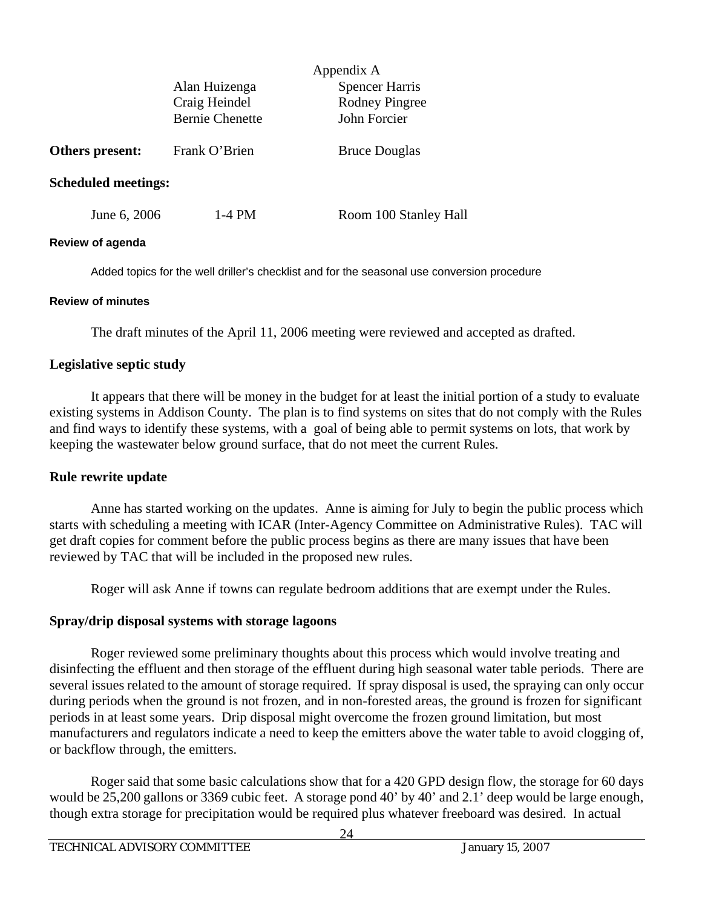|                            | Appendix A                             |                       |  |
|----------------------------|----------------------------------------|-----------------------|--|
|                            | <b>Spencer Harris</b><br>Alan Huizenga |                       |  |
|                            | Craig Heindel                          | <b>Rodney Pingree</b> |  |
|                            | <b>Bernie Chenette</b>                 | John Forcier          |  |
| Others present:            | Frank O'Brien                          | <b>Bruce Douglas</b>  |  |
| <b>Scheduled meetings:</b> |                                        |                       |  |
| June 6, 2006               | 1-4 PM                                 | Room 100 Stanley Hall |  |

#### **Review of agenda**

Added topics for the well driller's checklist and for the seasonal use conversion procedure

#### **Review of minutes**

The draft minutes of the April 11, 2006 meeting were reviewed and accepted as drafted.

#### **Legislative septic study**

 It appears that there will be money in the budget for at least the initial portion of a study to evaluate existing systems in Addison County. The plan is to find systems on sites that do not comply with the Rules and find ways to identify these systems, with a goal of being able to permit systems on lots, that work by keeping the wastewater below ground surface, that do not meet the current Rules.

#### **Rule rewrite update**

 Anne has started working on the updates. Anne is aiming for July to begin the public process which starts with scheduling a meeting with ICAR (Inter-Agency Committee on Administrative Rules). TAC will get draft copies for comment before the public process begins as there are many issues that have been reviewed by TAC that will be included in the proposed new rules.

Roger will ask Anne if towns can regulate bedroom additions that are exempt under the Rules.

## **Spray/drip disposal systems with storage lagoons**

 Roger reviewed some preliminary thoughts about this process which would involve treating and disinfecting the effluent and then storage of the effluent during high seasonal water table periods. There are several issues related to the amount of storage required. If spray disposal is used, the spraying can only occur during periods when the ground is not frozen, and in non-forested areas, the ground is frozen for significant periods in at least some years. Drip disposal might overcome the frozen ground limitation, but most manufacturers and regulators indicate a need to keep the emitters above the water table to avoid clogging of, or backflow through, the emitters.

 Roger said that some basic calculations show that for a 420 GPD design flow, the storage for 60 days would be 25,200 gallons or 3369 cubic feet. A storage pond 40' by 40' and 2.1' deep would be large enough, though extra storage for precipitation would be required plus whatever freeboard was desired. In actual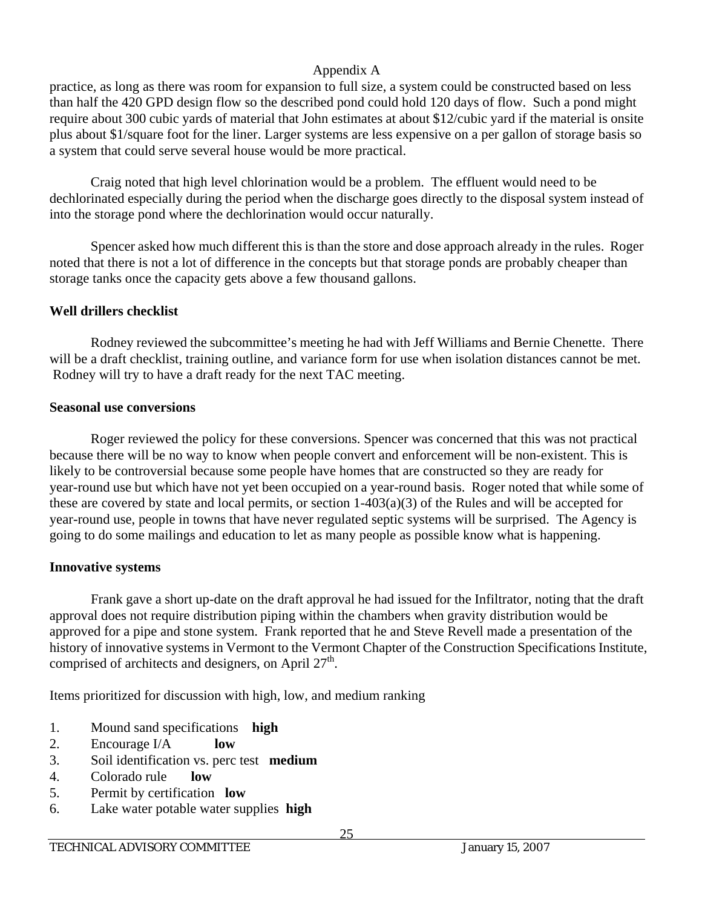practice, as long as there was room for expansion to full size, a system could be constructed based on less than half the 420 GPD design flow so the described pond could hold 120 days of flow. Such a pond might require about 300 cubic yards of material that John estimates at about \$12/cubic yard if the material is onsite plus about \$1/square foot for the liner. Larger systems are less expensive on a per gallon of storage basis so a system that could serve several house would be more practical.

 Craig noted that high level chlorination would be a problem. The effluent would need to be dechlorinated especially during the period when the discharge goes directly to the disposal system instead of into the storage pond where the dechlorination would occur naturally.

 Spencer asked how much different this is than the store and dose approach already in the rules. Roger noted that there is not a lot of difference in the concepts but that storage ponds are probably cheaper than storage tanks once the capacity gets above a few thousand gallons.

## **Well drillers checklist**

 Rodney reviewed the subcommittee's meeting he had with Jeff Williams and Bernie Chenette. There will be a draft checklist, training outline, and variance form for use when isolation distances cannot be met. Rodney will try to have a draft ready for the next TAC meeting.

## **Seasonal use conversions**

 Roger reviewed the policy for these conversions. Spencer was concerned that this was not practical because there will be no way to know when people convert and enforcement will be non-existent. This is likely to be controversial because some people have homes that are constructed so they are ready for year-round use but which have not yet been occupied on a year-round basis. Roger noted that while some of these are covered by state and local permits, or section 1-403(a)(3) of the Rules and will be accepted for year-round use, people in towns that have never regulated septic systems will be surprised. The Agency is going to do some mailings and education to let as many people as possible know what is happening.

## **Innovative systems**

 Frank gave a short up-date on the draft approval he had issued for the Infiltrator, noting that the draft approval does not require distribution piping within the chambers when gravity distribution would be approved for a pipe and stone system. Frank reported that he and Steve Revell made a presentation of the history of innovative systems in Vermont to the Vermont Chapter of the Construction Specifications Institute, comprised of architects and designers, on April  $27<sup>th</sup>$ .

Items prioritized for discussion with high, low, and medium ranking

- 1. Mound sand specifications **high**
- 2. Encourage I/A **low**
- 3. Soil identification vs. perc test **medium**
- 4. Colorado rule **low**
- 5. Permit by certification **low**
- 6. Lake water potable water supplies **high**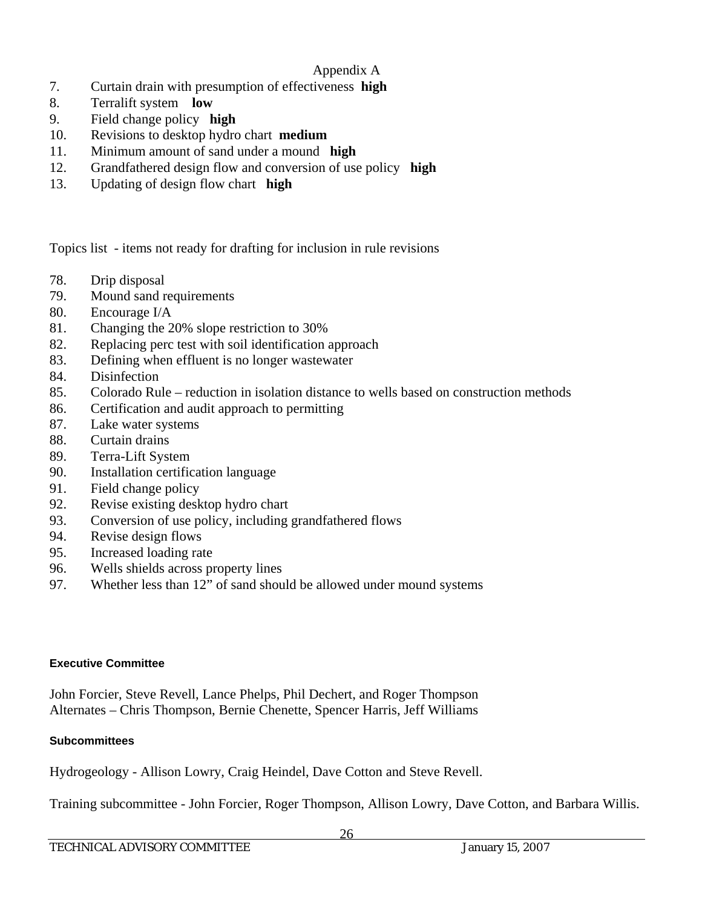- 7. Curtain drain with presumption of effectiveness **high**
- 8. Terralift system **low**
- 9. Field change policy **high**
- 10. Revisions to desktop hydro chart **medium**
- 11. Minimum amount of sand under a mound **high**
- 12. Grandfathered design flow and conversion of use policy **high**
- 13. Updating of design flow chart **high**

Topics list - items not ready for drafting for inclusion in rule revisions

- 78. Drip disposal
- 79. Mound sand requirements
- 80. Encourage I/A
- 81. Changing the 20% slope restriction to 30%
- 82. Replacing perc test with soil identification approach
- 83. Defining when effluent is no longer wastewater
- 84. Disinfection
- 85. Colorado Rule reduction in isolation distance to wells based on construction methods
- 86. Certification and audit approach to permitting
- 87. Lake water systems
- 88. Curtain drains
- 89. Terra-Lift System
- 90. Installation certification language
- 91. Field change policy
- 92. Revise existing desktop hydro chart
- 93. Conversion of use policy, including grandfathered flows
- 94. Revise design flows
- 95. Increased loading rate
- 96. Wells shields across property lines
- 97. Whether less than 12" of sand should be allowed under mound systems

## **Executive Committee**

John Forcier, Steve Revell, Lance Phelps, Phil Dechert, and Roger Thompson Alternates – Chris Thompson, Bernie Chenette, Spencer Harris, Jeff Williams

## **Subcommittees**

Hydrogeology - Allison Lowry, Craig Heindel, Dave Cotton and Steve Revell.

Training subcommittee - John Forcier, Roger Thompson, Allison Lowry, Dave Cotton, and Barbara Willis.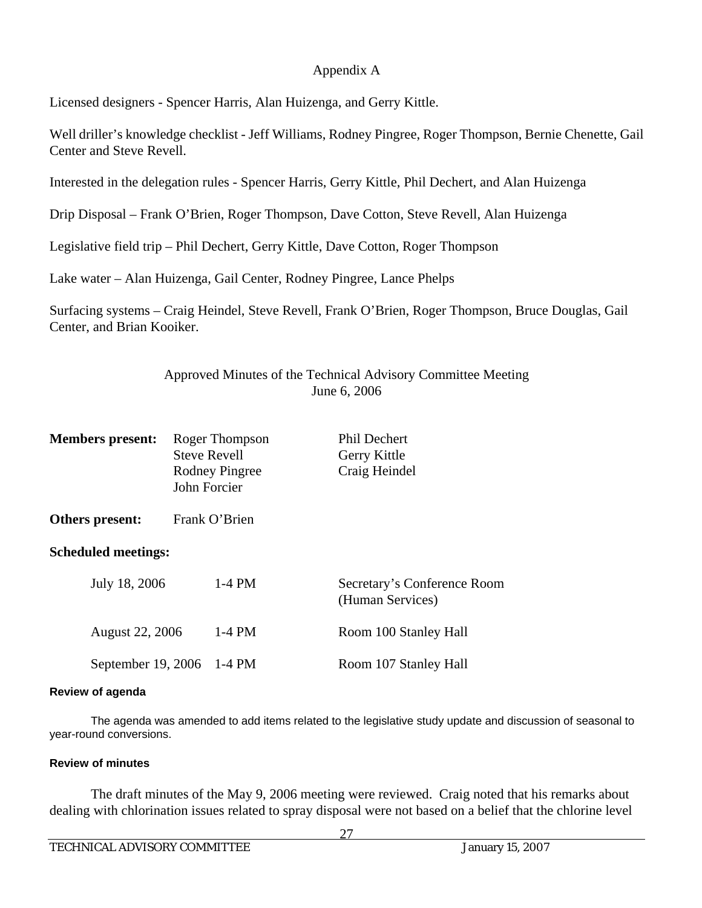Licensed designers - Spencer Harris, Alan Huizenga, and Gerry Kittle.

Well driller's knowledge checklist - Jeff Williams, Rodney Pingree, Roger Thompson, Bernie Chenette, Gail Center and Steve Revell.

Interested in the delegation rules - Spencer Harris, Gerry Kittle, Phil Dechert, and Alan Huizenga

Drip Disposal – Frank O'Brien, Roger Thompson, Dave Cotton, Steve Revell, Alan Huizenga

Legislative field trip – Phil Dechert, Gerry Kittle, Dave Cotton, Roger Thompson

Lake water – Alan Huizenga, Gail Center, Rodney Pingree, Lance Phelps

Surfacing systems – Craig Heindel, Steve Revell, Frank O'Brien, Roger Thompson, Bruce Douglas, Gail Center, and Brian Kooiker.

## Approved Minutes of the Technical Advisory Committee Meeting June 6, 2006

| <b>Members present:</b>    | Roger Thompson<br><b>Steve Revell</b><br>Rodney Pingree<br>John Forcier | <b>Phil Dechert</b><br>Gerry Kittle<br>Craig Heindel |
|----------------------------|-------------------------------------------------------------------------|------------------------------------------------------|
| Others present:            | Frank O'Brien                                                           |                                                      |
| <b>Scheduled meetings:</b> |                                                                         |                                                      |
| July 18, 2006              | $1-4$ PM                                                                | Secretary's Conference Room<br>(Human Services)      |
| <b>August 22, 2006</b>     | $1-4$ PM                                                                | Room 100 Stanley Hall                                |
| September 19, 2006         | 1-4 PM                                                                  | Room 107 Stanley Hall                                |

#### **Review of agenda**

The agenda was amended to add items related to the legislative study update and discussion of seasonal to year-round conversions.

## **Review of minutes**

 The draft minutes of the May 9, 2006 meeting were reviewed. Craig noted that his remarks about dealing with chlorination issues related to spray disposal were not based on a belief that the chlorine level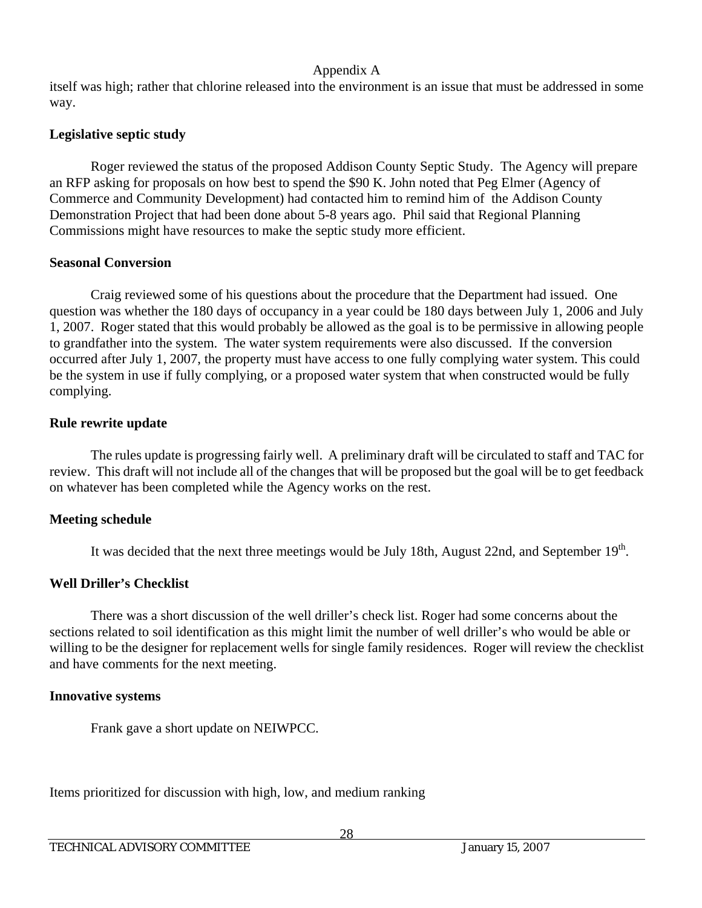itself was high; rather that chlorine released into the environment is an issue that must be addressed in some way.

## **Legislative septic study**

 Roger reviewed the status of the proposed Addison County Septic Study. The Agency will prepare an RFP asking for proposals on how best to spend the \$90 K. John noted that Peg Elmer (Agency of Commerce and Community Development) had contacted him to remind him of the Addison County Demonstration Project that had been done about 5-8 years ago. Phil said that Regional Planning Commissions might have resources to make the septic study more efficient.

## **Seasonal Conversion**

 Craig reviewed some of his questions about the procedure that the Department had issued. One question was whether the 180 days of occupancy in a year could be 180 days between July 1, 2006 and July 1, 2007. Roger stated that this would probably be allowed as the goal is to be permissive in allowing people to grandfather into the system. The water system requirements were also discussed. If the conversion occurred after July 1, 2007, the property must have access to one fully complying water system. This could be the system in use if fully complying, or a proposed water system that when constructed would be fully complying.

## **Rule rewrite update**

 The rules update is progressing fairly well. A preliminary draft will be circulated to staff and TAC for review. This draft will not include all of the changes that will be proposed but the goal will be to get feedback on whatever has been completed while the Agency works on the rest.

## **Meeting schedule**

It was decided that the next three meetings would be July 18th, August 22nd, and September 19<sup>th</sup>.

## **Well Driller's Checklist**

There was a short discussion of the well driller's check list. Roger had some concerns about the sections related to soil identification as this might limit the number of well driller's who would be able or willing to be the designer for replacement wells for single family residences. Roger will review the checklist and have comments for the next meeting.

## **Innovative systems**

Frank gave a short update on NEIWPCC.

Items prioritized for discussion with high, low, and medium ranking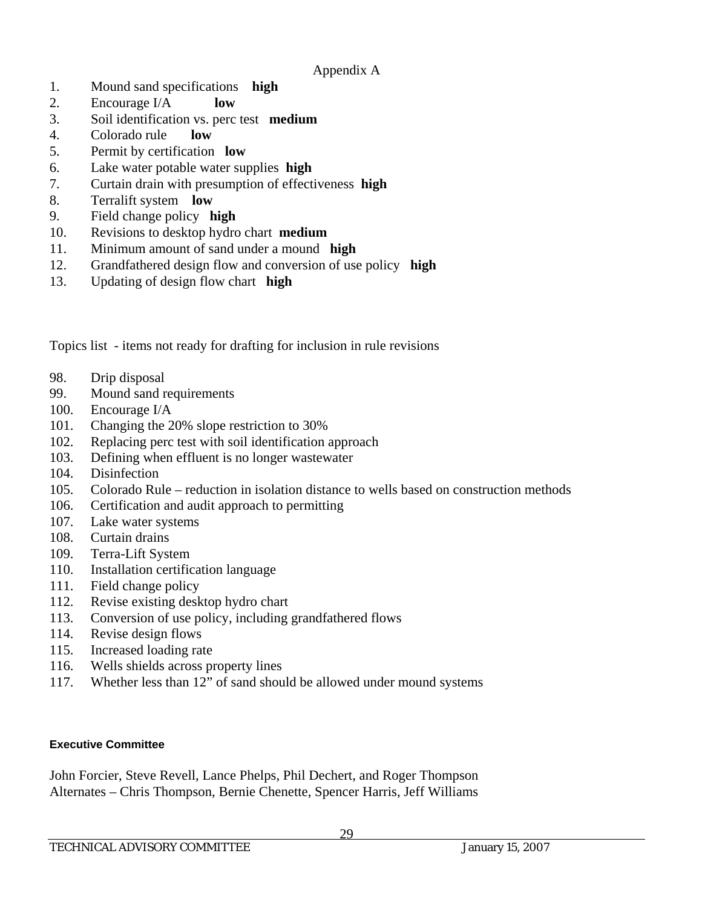- 1. Mound sand specifications **high**
- 2. Encourage I/A **low**
- 3. Soil identification vs. perc test **medium**
- 4. Colorado rule **low**
- 5. Permit by certification **low**
- 6. Lake water potable water supplies **high**
- 7. Curtain drain with presumption of effectiveness **high**
- 8. Terralift system **low**
- 9. Field change policy **high**
- 10. Revisions to desktop hydro chart **medium**
- 11. Minimum amount of sand under a mound **high**
- 12. Grandfathered design flow and conversion of use policy **high**
- 13. Updating of design flow chart **high**

Topics list - items not ready for drafting for inclusion in rule revisions

- 98. Drip disposal
- 99. Mound sand requirements
- 100. Encourage I/A
- 101. Changing the 20% slope restriction to 30%
- 102. Replacing perc test with soil identification approach
- 103. Defining when effluent is no longer wastewater
- 104. Disinfection
- 105. Colorado Rule reduction in isolation distance to wells based on construction methods
- 106. Certification and audit approach to permitting
- 107. Lake water systems
- 108. Curtain drains
- 109. Terra-Lift System
- 110. Installation certification language
- 111. Field change policy
- 112. Revise existing desktop hydro chart
- 113. Conversion of use policy, including grandfathered flows
- 114. Revise design flows
- 115. Increased loading rate
- 116. Wells shields across property lines
- 117. Whether less than 12" of sand should be allowed under mound systems

## **Executive Committee**

John Forcier, Steve Revell, Lance Phelps, Phil Dechert, and Roger Thompson Alternates – Chris Thompson, Bernie Chenette, Spencer Harris, Jeff Williams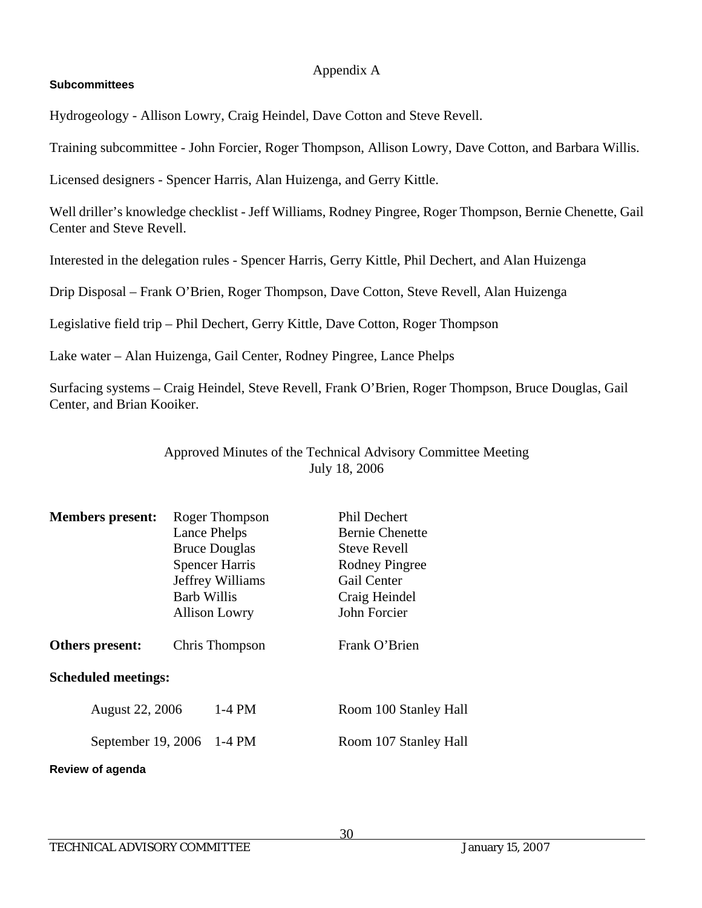## **Subcommittees**

Hydrogeology - Allison Lowry, Craig Heindel, Dave Cotton and Steve Revell.

Training subcommittee - John Forcier, Roger Thompson, Allison Lowry, Dave Cotton, and Barbara Willis.

Licensed designers - Spencer Harris, Alan Huizenga, and Gerry Kittle.

Well driller's knowledge checklist - Jeff Williams, Rodney Pingree, Roger Thompson, Bernie Chenette, Gail Center and Steve Revell.

Interested in the delegation rules - Spencer Harris, Gerry Kittle, Phil Dechert, and Alan Huizenga

Drip Disposal – Frank O'Brien, Roger Thompson, Dave Cotton, Steve Revell, Alan Huizenga

Legislative field trip – Phil Dechert, Gerry Kittle, Dave Cotton, Roger Thompson

Lake water – Alan Huizenga, Gail Center, Rodney Pingree, Lance Phelps

Surfacing systems – Craig Heindel, Steve Revell, Frank O'Brien, Roger Thompson, Bruce Douglas, Gail Center, and Brian Kooiker.

## Approved Minutes of the Technical Advisory Committee Meeting July 18, 2006

| <b>Members</b> present:    | Roger Thompson<br>Lance Phelps<br><b>Bruce Douglas</b><br><b>Spencer Harris</b><br>Jeffrey Williams<br>Barb Willis<br><b>Allison Lowry</b> | <b>Phil Dechert</b><br><b>Bernie Chenette</b><br><b>Steve Revell</b><br><b>Rodney Pingree</b><br>Gail Center<br>Craig Heindel<br>John Forcier |
|----------------------------|--------------------------------------------------------------------------------------------------------------------------------------------|-----------------------------------------------------------------------------------------------------------------------------------------------|
| Others present:            | Chris Thompson                                                                                                                             | Frank O'Brien                                                                                                                                 |
| <b>Scheduled meetings:</b> |                                                                                                                                            |                                                                                                                                               |
| <b>August 22, 2006</b>     | $1-4$ PM                                                                                                                                   | Room 100 Stanley Hall                                                                                                                         |
|                            | September 19, 2006 1-4 PM                                                                                                                  | Room 107 Stanley Hall                                                                                                                         |
| Review of agenda           |                                                                                                                                            |                                                                                                                                               |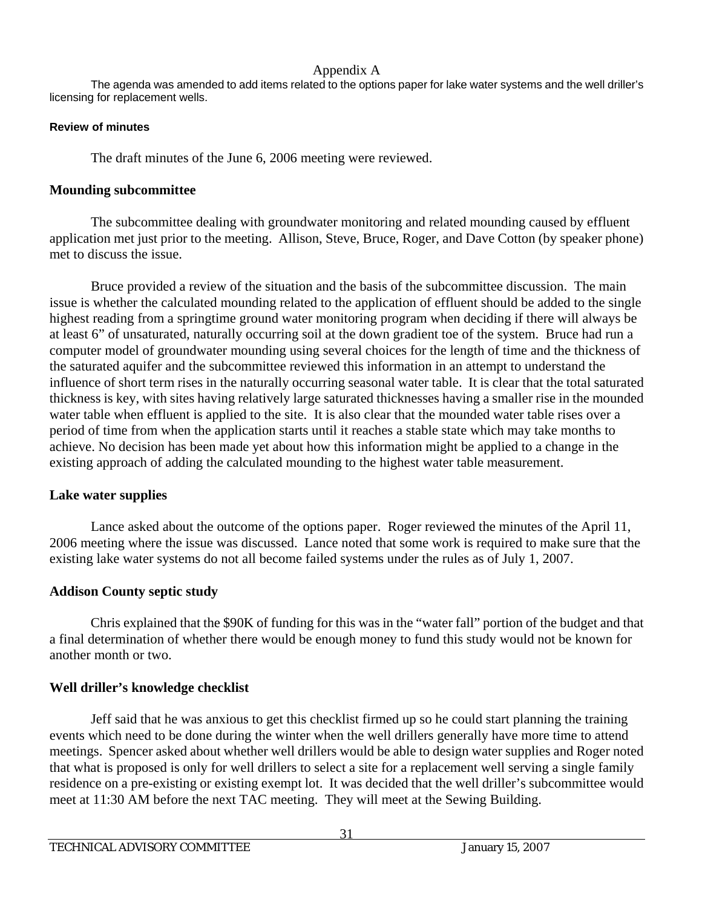The agenda was amended to add items related to the options paper for lake water systems and the well driller's licensing for replacement wells.

#### **Review of minutes**

The draft minutes of the June 6, 2006 meeting were reviewed.

## **Mounding subcommittee**

 The subcommittee dealing with groundwater monitoring and related mounding caused by effluent application met just prior to the meeting. Allison, Steve, Bruce, Roger, and Dave Cotton (by speaker phone) met to discuss the issue.

 Bruce provided a review of the situation and the basis of the subcommittee discussion. The main issue is whether the calculated mounding related to the application of effluent should be added to the single highest reading from a springtime ground water monitoring program when deciding if there will always be at least 6" of unsaturated, naturally occurring soil at the down gradient toe of the system. Bruce had run a computer model of groundwater mounding using several choices for the length of time and the thickness of the saturated aquifer and the subcommittee reviewed this information in an attempt to understand the influence of short term rises in the naturally occurring seasonal water table. It is clear that the total saturated thickness is key, with sites having relatively large saturated thicknesses having a smaller rise in the mounded water table when effluent is applied to the site. It is also clear that the mounded water table rises over a period of time from when the application starts until it reaches a stable state which may take months to achieve. No decision has been made yet about how this information might be applied to a change in the existing approach of adding the calculated mounding to the highest water table measurement.

## **Lake water supplies**

 Lance asked about the outcome of the options paper. Roger reviewed the minutes of the April 11, 2006 meeting where the issue was discussed. Lance noted that some work is required to make sure that the existing lake water systems do not all become failed systems under the rules as of July 1, 2007.

## **Addison County septic study**

 Chris explained that the \$90K of funding for this was in the "water fall" portion of the budget and that a final determination of whether there would be enough money to fund this study would not be known for another month or two.

## **Well driller's knowledge checklist**

 Jeff said that he was anxious to get this checklist firmed up so he could start planning the training events which need to be done during the winter when the well drillers generally have more time to attend meetings. Spencer asked about whether well drillers would be able to design water supplies and Roger noted that what is proposed is only for well drillers to select a site for a replacement well serving a single family residence on a pre-existing or existing exempt lot. It was decided that the well driller's subcommittee would meet at 11:30 AM before the next TAC meeting. They will meet at the Sewing Building.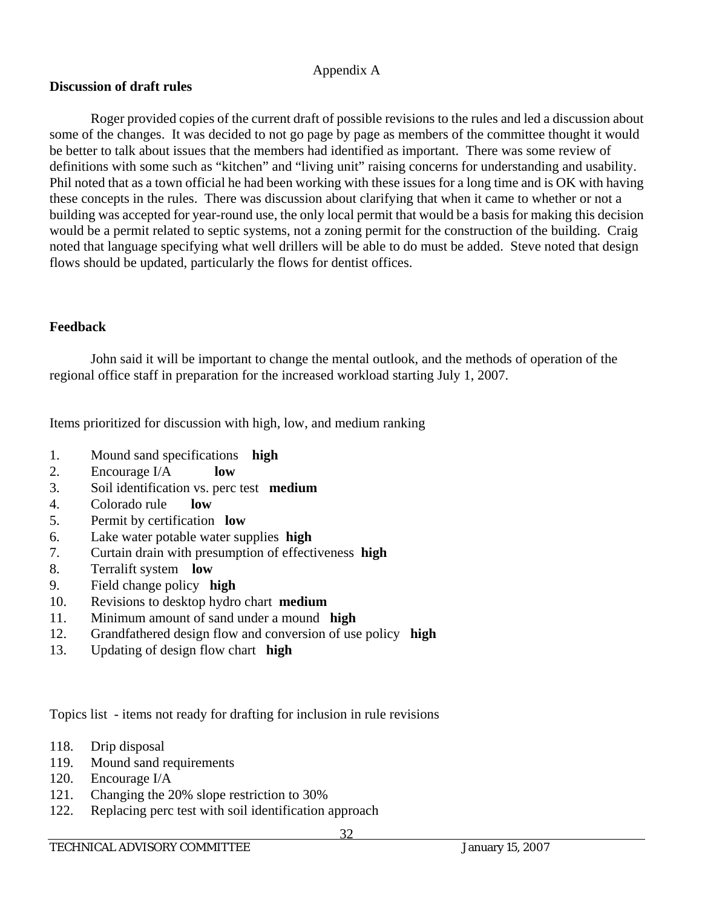## **Discussion of draft rules**

 Roger provided copies of the current draft of possible revisions to the rules and led a discussion about some of the changes. It was decided to not go page by page as members of the committee thought it would be better to talk about issues that the members had identified as important. There was some review of definitions with some such as "kitchen" and "living unit" raising concerns for understanding and usability. Phil noted that as a town official he had been working with these issues for a long time and is OK with having these concepts in the rules. There was discussion about clarifying that when it came to whether or not a building was accepted for year-round use, the only local permit that would be a basis for making this decision would be a permit related to septic systems, not a zoning permit for the construction of the building. Craig noted that language specifying what well drillers will be able to do must be added. Steve noted that design flows should be updated, particularly the flows for dentist offices.

## **Feedback**

John said it will be important to change the mental outlook, and the methods of operation of the regional office staff in preparation for the increased workload starting July 1, 2007.

Items prioritized for discussion with high, low, and medium ranking

- 1. Mound sand specifications **high**
- 2. Encourage I/A **low**
- 3. Soil identification vs. perc test **medium**
- 4. Colorado rule **low**
- 5. Permit by certification **low**
- 6. Lake water potable water supplies **high**
- 7. Curtain drain with presumption of effectiveness **high**
- 8. Terralift system **low**
- 9. Field change policy **high**
- 10. Revisions to desktop hydro chart **medium**
- 11. Minimum amount of sand under a mound **high**
- 12. Grandfathered design flow and conversion of use policy **high**
- 13. Updating of design flow chart **high**

Topics list - items not ready for drafting for inclusion in rule revisions

- 118. Drip disposal
- 119. Mound sand requirements
- 120. Encourage I/A
- 121. Changing the 20% slope restriction to 30%
- 122. Replacing perc test with soil identification approach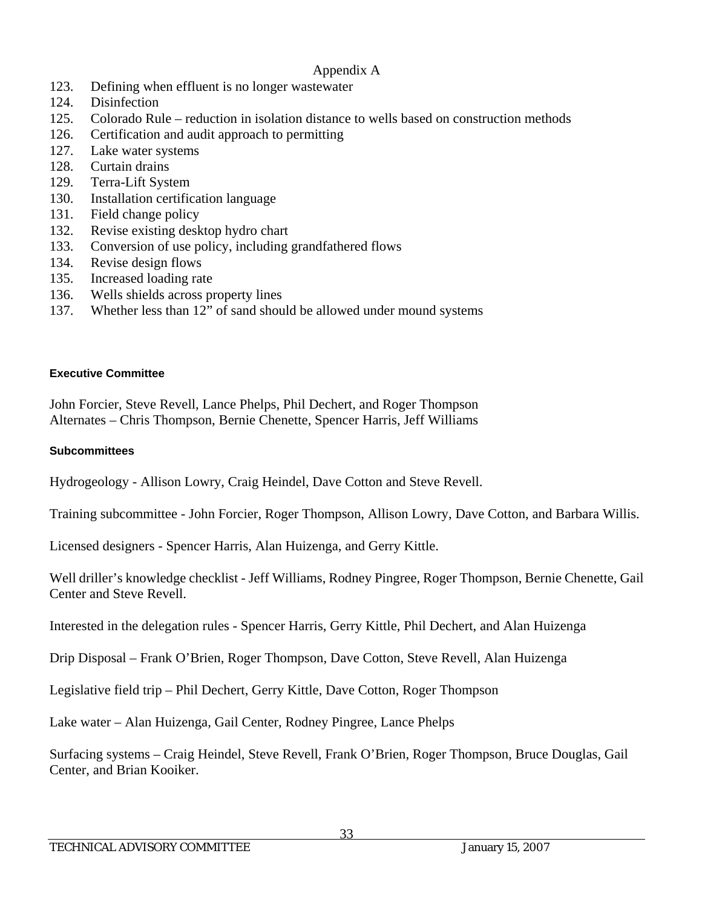- 123. Defining when effluent is no longer wastewater
- 124. Disinfection
- 125. Colorado Rule reduction in isolation distance to wells based on construction methods
- 126. Certification and audit approach to permitting
- 127. Lake water systems
- 128. Curtain drains
- 129. Terra-Lift System
- 130. Installation certification language
- 131. Field change policy
- 132. Revise existing desktop hydro chart
- 133. Conversion of use policy, including grandfathered flows
- 134. Revise design flows
- 135. Increased loading rate
- 136. Wells shields across property lines
- 137. Whether less than 12" of sand should be allowed under mound systems

#### **Executive Committee**

John Forcier, Steve Revell, Lance Phelps, Phil Dechert, and Roger Thompson Alternates – Chris Thompson, Bernie Chenette, Spencer Harris, Jeff Williams

### **Subcommittees**

Hydrogeology - Allison Lowry, Craig Heindel, Dave Cotton and Steve Revell.

Training subcommittee - John Forcier, Roger Thompson, Allison Lowry, Dave Cotton, and Barbara Willis.

Licensed designers - Spencer Harris, Alan Huizenga, and Gerry Kittle.

Well driller's knowledge checklist - Jeff Williams, Rodney Pingree, Roger Thompson, Bernie Chenette, Gail Center and Steve Revell.

Interested in the delegation rules - Spencer Harris, Gerry Kittle, Phil Dechert, and Alan Huizenga

Drip Disposal – Frank O'Brien, Roger Thompson, Dave Cotton, Steve Revell, Alan Huizenga

Legislative field trip – Phil Dechert, Gerry Kittle, Dave Cotton, Roger Thompson

Lake water – Alan Huizenga, Gail Center, Rodney Pingree, Lance Phelps

Surfacing systems – Craig Heindel, Steve Revell, Frank O'Brien, Roger Thompson, Bruce Douglas, Gail Center, and Brian Kooiker.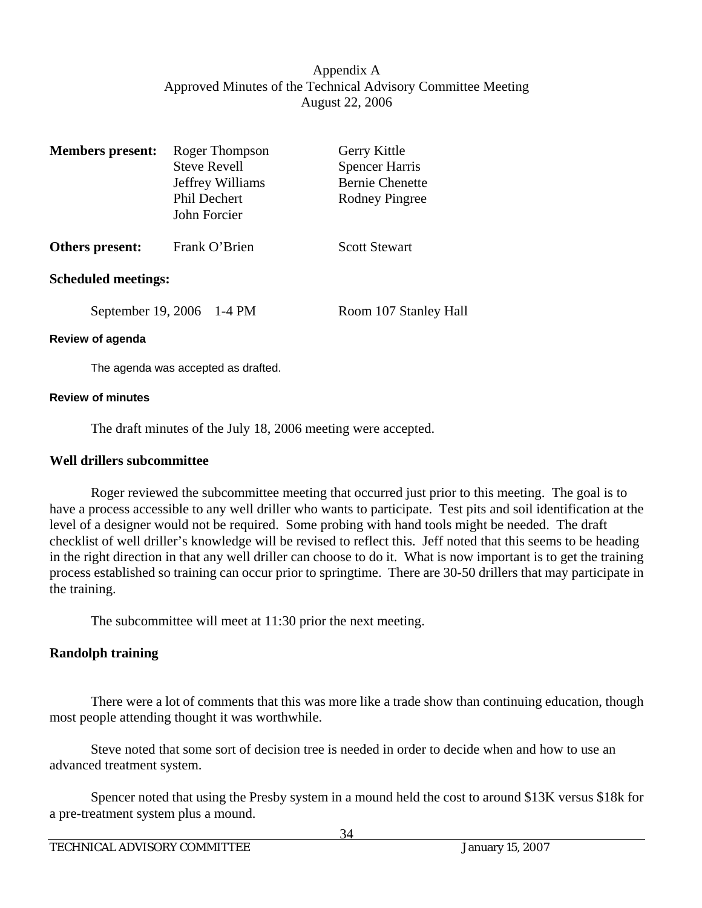## Appendix A Approved Minutes of the Technical Advisory Committee Meeting August 22, 2006

| <b>Members</b> present:    | Roger Thompson<br><b>Steve Revell</b><br>Jeffrey Williams<br><b>Phil Dechert</b><br>John Forcier | Gerry Kittle<br><b>Spencer Harris</b><br><b>Bernie Chenette</b><br><b>Rodney Pingree</b> |
|----------------------------|--------------------------------------------------------------------------------------------------|------------------------------------------------------------------------------------------|
| Others present:            | Frank O'Brien                                                                                    | <b>Scott Stewart</b>                                                                     |
| <b>Scheduled meetings:</b> |                                                                                                  |                                                                                          |
|                            | September 19, 2006 1-4 PM                                                                        | Room 107 Stanley Hall                                                                    |

#### **Review of agenda**

The agenda was accepted as drafted.

#### **Review of minutes**

The draft minutes of the July 18, 2006 meeting were accepted.

#### **Well drillers subcommittee**

 Roger reviewed the subcommittee meeting that occurred just prior to this meeting. The goal is to have a process accessible to any well driller who wants to participate. Test pits and soil identification at the level of a designer would not be required. Some probing with hand tools might be needed. The draft checklist of well driller's knowledge will be revised to reflect this. Jeff noted that this seems to be heading in the right direction in that any well driller can choose to do it. What is now important is to get the training process established so training can occur prior to springtime. There are 30-50 drillers that may participate in the training.

The subcommittee will meet at 11:30 prior the next meeting.

## **Randolph training**

 There were a lot of comments that this was more like a trade show than continuing education, though most people attending thought it was worthwhile.

 Steve noted that some sort of decision tree is needed in order to decide when and how to use an advanced treatment system.

 Spencer noted that using the Presby system in a mound held the cost to around \$13K versus \$18k for a pre-treatment system plus a mound.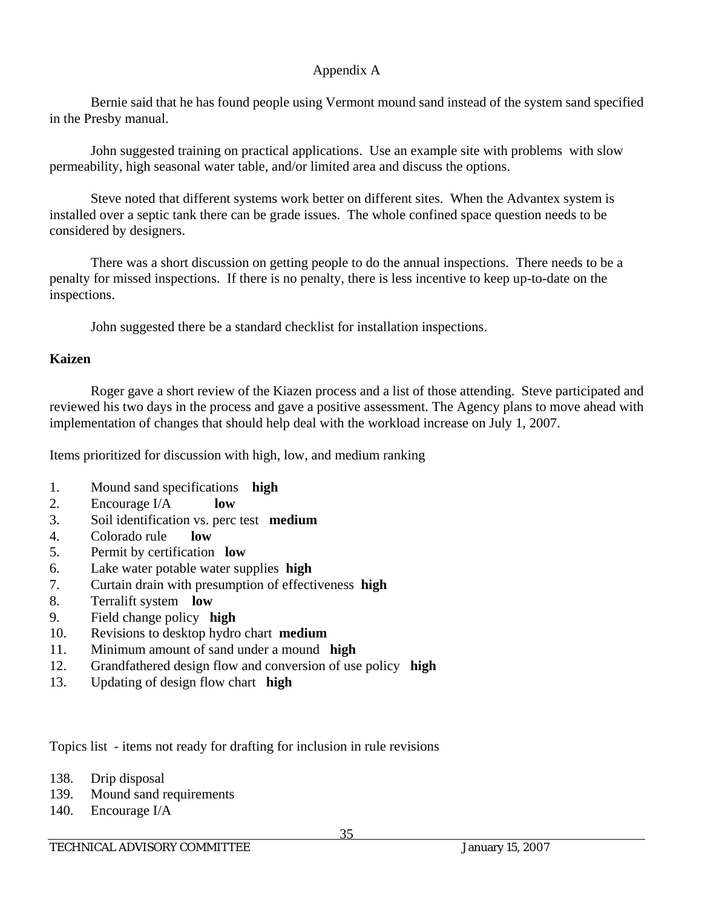Bernie said that he has found people using Vermont mound sand instead of the system sand specified in the Presby manual.

 John suggested training on practical applications. Use an example site with problems with slow permeability, high seasonal water table, and/or limited area and discuss the options.

 Steve noted that different systems work better on different sites. When the Advantex system is installed over a septic tank there can be grade issues. The whole confined space question needs to be considered by designers.

 There was a short discussion on getting people to do the annual inspections. There needs to be a penalty for missed inspections. If there is no penalty, there is less incentive to keep up-to-date on the inspections.

John suggested there be a standard checklist for installation inspections.

## **Kaizen**

 Roger gave a short review of the Kiazen process and a list of those attending. Steve participated and reviewed his two days in the process and gave a positive assessment. The Agency plans to move ahead with implementation of changes that should help deal with the workload increase on July 1, 2007.

Items prioritized for discussion with high, low, and medium ranking

- 1. Mound sand specifications **high**
- 2. Encourage I/A **low**
- 3. Soil identification vs. perc test **medium**
- 4. Colorado rule **low**
- 5. Permit by certification **low**
- 6. Lake water potable water supplies **high**
- 7. Curtain drain with presumption of effectiveness **high**
- 8. Terralift system **low**
- 9. Field change policy **high**
- 10. Revisions to desktop hydro chart **medium**
- 11. Minimum amount of sand under a mound **high**
- 12. Grandfathered design flow and conversion of use policy **high**
- 13. Updating of design flow chart **high**

Topics list - items not ready for drafting for inclusion in rule revisions

- 138. Drip disposal
- 139. Mound sand requirements
- 140. Encourage I/A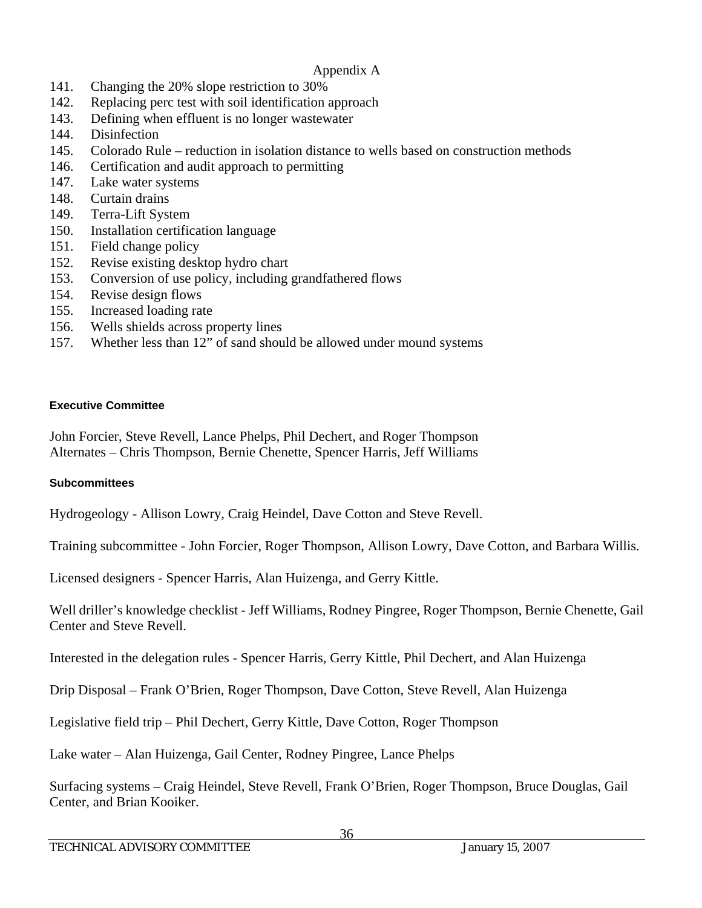- 141. Changing the 20% slope restriction to 30%
- 142. Replacing perc test with soil identification approach
- 143. Defining when effluent is no longer wastewater
- 144. Disinfection
- 145. Colorado Rule reduction in isolation distance to wells based on construction methods
- 146. Certification and audit approach to permitting
- 147. Lake water systems
- 148. Curtain drains
- 149. Terra-Lift System
- 150. Installation certification language
- 151. Field change policy
- 152. Revise existing desktop hydro chart
- 153. Conversion of use policy, including grandfathered flows
- 154. Revise design flows
- 155. Increased loading rate
- 156. Wells shields across property lines
- 157. Whether less than 12" of sand should be allowed under mound systems

#### **Executive Committee**

John Forcier, Steve Revell, Lance Phelps, Phil Dechert, and Roger Thompson Alternates – Chris Thompson, Bernie Chenette, Spencer Harris, Jeff Williams

## **Subcommittees**

Hydrogeology - Allison Lowry, Craig Heindel, Dave Cotton and Steve Revell.

Training subcommittee - John Forcier, Roger Thompson, Allison Lowry, Dave Cotton, and Barbara Willis.

Licensed designers - Spencer Harris, Alan Huizenga, and Gerry Kittle.

Well driller's knowledge checklist - Jeff Williams, Rodney Pingree, Roger Thompson, Bernie Chenette, Gail Center and Steve Revell.

Interested in the delegation rules - Spencer Harris, Gerry Kittle, Phil Dechert, and Alan Huizenga

Drip Disposal – Frank O'Brien, Roger Thompson, Dave Cotton, Steve Revell, Alan Huizenga

Legislative field trip – Phil Dechert, Gerry Kittle, Dave Cotton, Roger Thompson

Lake water – Alan Huizenga, Gail Center, Rodney Pingree, Lance Phelps

Surfacing systems – Craig Heindel, Steve Revell, Frank O'Brien, Roger Thompson, Bruce Douglas, Gail Center, and Brian Kooiker.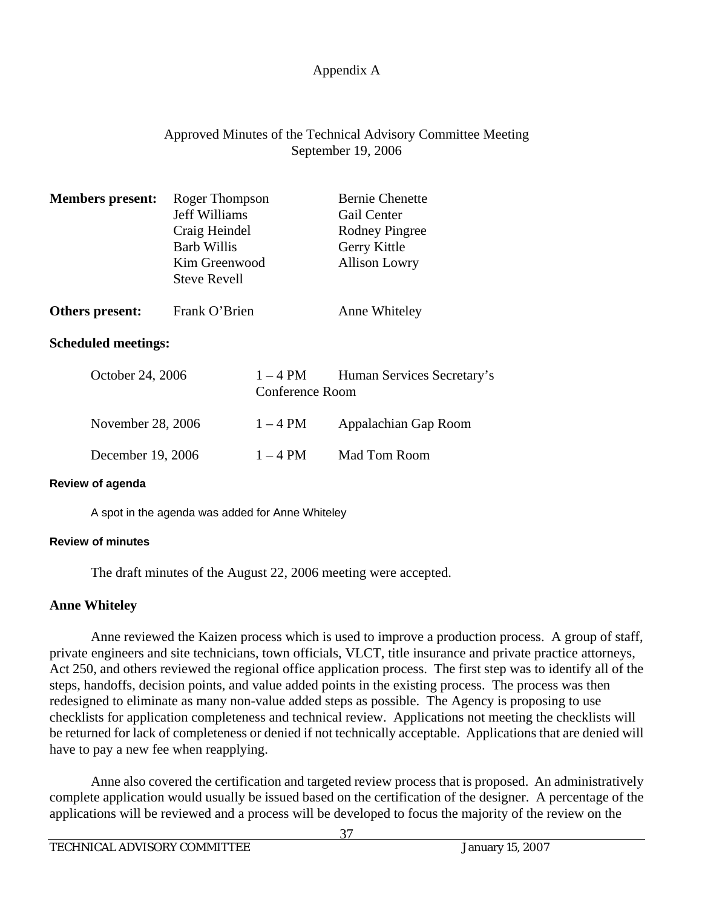## Approved Minutes of the Technical Advisory Committee Meeting September 19, 2006

| <b>Members present:</b>    | Roger Thompson<br><b>Jeff Williams</b><br>Craig Heindel<br><b>Barb Willis</b><br>Kim Greenwood<br><b>Steve Revell</b> |                             | <b>Bernie Chenette</b><br>Gail Center<br><b>Rodney Pingree</b><br>Gerry Kittle<br><b>Allison Lowry</b> |  |
|----------------------------|-----------------------------------------------------------------------------------------------------------------------|-----------------------------|--------------------------------------------------------------------------------------------------------|--|
| Others present:            | Frank O'Brien                                                                                                         |                             | Anne Whiteley                                                                                          |  |
| <b>Scheduled meetings:</b> |                                                                                                                       |                             |                                                                                                        |  |
| October 24, 2006           |                                                                                                                       | $1-4$ PM<br>Conference Room | Human Services Secretary's                                                                             |  |
| November 28, 2006          |                                                                                                                       | $1-4$ PM                    | Appalachian Gap Room                                                                                   |  |
| December 19, 2006          |                                                                                                                       | $1-4$ PM                    | Mad Tom Room                                                                                           |  |

#### **Review of agenda**

A spot in the agenda was added for Anne Whiteley

#### **Review of minutes**

The draft minutes of the August 22, 2006 meeting were accepted.

## **Anne Whiteley**

 Anne reviewed the Kaizen process which is used to improve a production process. A group of staff, private engineers and site technicians, town officials, VLCT, title insurance and private practice attorneys, Act 250, and others reviewed the regional office application process. The first step was to identify all of the steps, handoffs, decision points, and value added points in the existing process. The process was then redesigned to eliminate as many non-value added steps as possible. The Agency is proposing to use checklists for application completeness and technical review. Applications not meeting the checklists will be returned for lack of completeness or denied if not technically acceptable. Applications that are denied will have to pay a new fee when reapplying.

 Anne also covered the certification and targeted review process that is proposed. An administratively complete application would usually be issued based on the certification of the designer. A percentage of the applications will be reviewed and a process will be developed to focus the majority of the review on the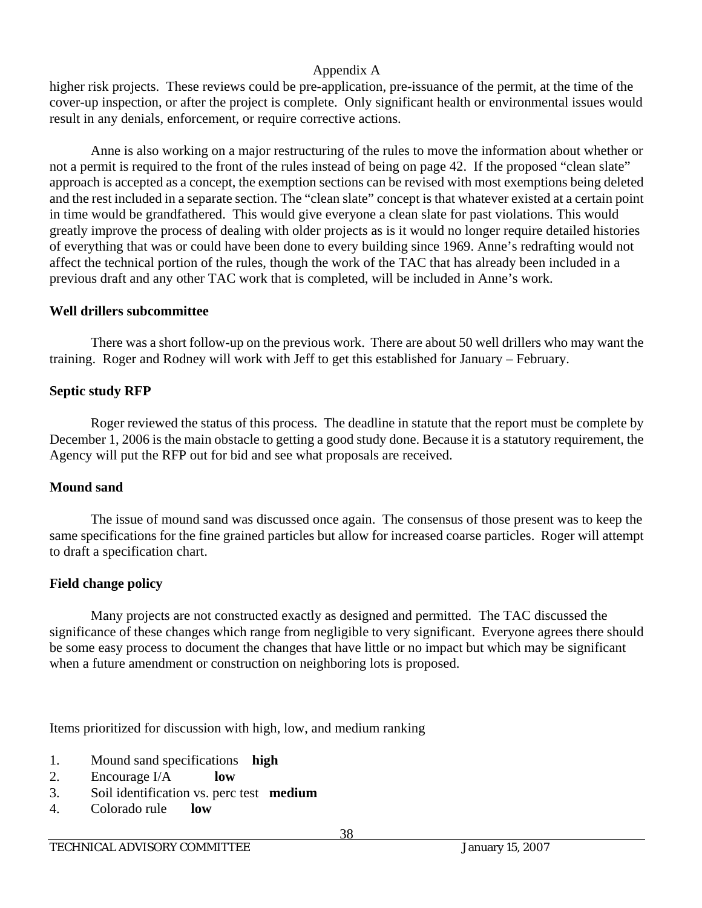higher risk projects. These reviews could be pre-application, pre-issuance of the permit, at the time of the cover-up inspection, or after the project is complete. Only significant health or environmental issues would result in any denials, enforcement, or require corrective actions.

 Anne is also working on a major restructuring of the rules to move the information about whether or not a permit is required to the front of the rules instead of being on page 42. If the proposed "clean slate" approach is accepted as a concept, the exemption sections can be revised with most exemptions being deleted and the rest included in a separate section. The "clean slate" concept is that whatever existed at a certain point in time would be grandfathered. This would give everyone a clean slate for past violations. This would greatly improve the process of dealing with older projects as is it would no longer require detailed histories of everything that was or could have been done to every building since 1969. Anne's redrafting would not affect the technical portion of the rules, though the work of the TAC that has already been included in a previous draft and any other TAC work that is completed, will be included in Anne's work.

## **Well drillers subcommittee**

 There was a short follow-up on the previous work. There are about 50 well drillers who may want the training. Roger and Rodney will work with Jeff to get this established for January – February.

## **Septic study RFP**

Roger reviewed the status of this process. The deadline in statute that the report must be complete by December 1, 2006 is the main obstacle to getting a good study done. Because it is a statutory requirement, the Agency will put the RFP out for bid and see what proposals are received.

## **Mound sand**

 The issue of mound sand was discussed once again. The consensus of those present was to keep the same specifications for the fine grained particles but allow for increased coarse particles. Roger will attempt to draft a specification chart.

## **Field change policy**

 Many projects are not constructed exactly as designed and permitted. The TAC discussed the significance of these changes which range from negligible to very significant. Everyone agrees there should be some easy process to document the changes that have little or no impact but which may be significant when a future amendment or construction on neighboring lots is proposed.

Items prioritized for discussion with high, low, and medium ranking

- 1. Mound sand specifications **high**
- 2. Encourage I/A **low**
- 3. Soil identification vs. perc test **medium**
- 4. Colorado rule **low**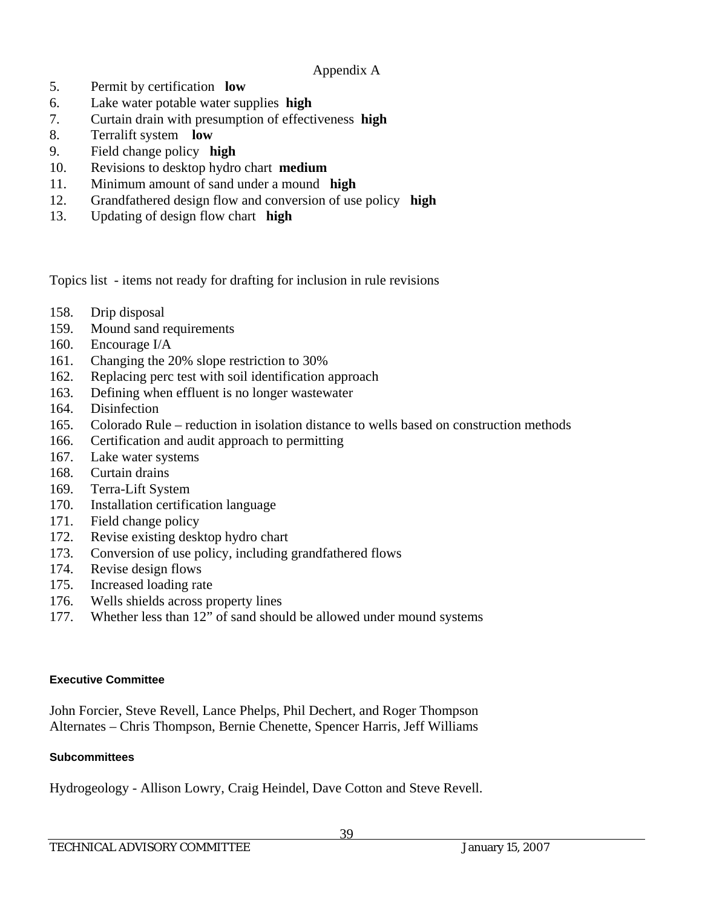- 5. Permit by certification **low**
- 6. Lake water potable water supplies **high**
- 7. Curtain drain with presumption of effectiveness **high**
- 8. Terralift system **low**
- 9. Field change policy **high**
- 10. Revisions to desktop hydro chart **medium**
- 11. Minimum amount of sand under a mound **high**
- 12. Grandfathered design flow and conversion of use policy **high**
- 13. Updating of design flow chart **high**

Topics list - items not ready for drafting for inclusion in rule revisions

- 158. Drip disposal
- 159. Mound sand requirements
- 160. Encourage I/A
- 161. Changing the 20% slope restriction to 30%
- 162. Replacing perc test with soil identification approach
- 163. Defining when effluent is no longer wastewater
- 164. Disinfection
- 165. Colorado Rule reduction in isolation distance to wells based on construction methods
- 166. Certification and audit approach to permitting
- 167. Lake water systems
- 168. Curtain drains
- 169. Terra-Lift System
- 170. Installation certification language
- 171. Field change policy
- 172. Revise existing desktop hydro chart
- 173. Conversion of use policy, including grandfathered flows
- 174. Revise design flows
- 175. Increased loading rate
- 176. Wells shields across property lines
- 177. Whether less than 12" of sand should be allowed under mound systems

#### **Executive Committee**

John Forcier, Steve Revell, Lance Phelps, Phil Dechert, and Roger Thompson Alternates – Chris Thompson, Bernie Chenette, Spencer Harris, Jeff Williams

#### **Subcommittees**

Hydrogeology - Allison Lowry, Craig Heindel, Dave Cotton and Steve Revell.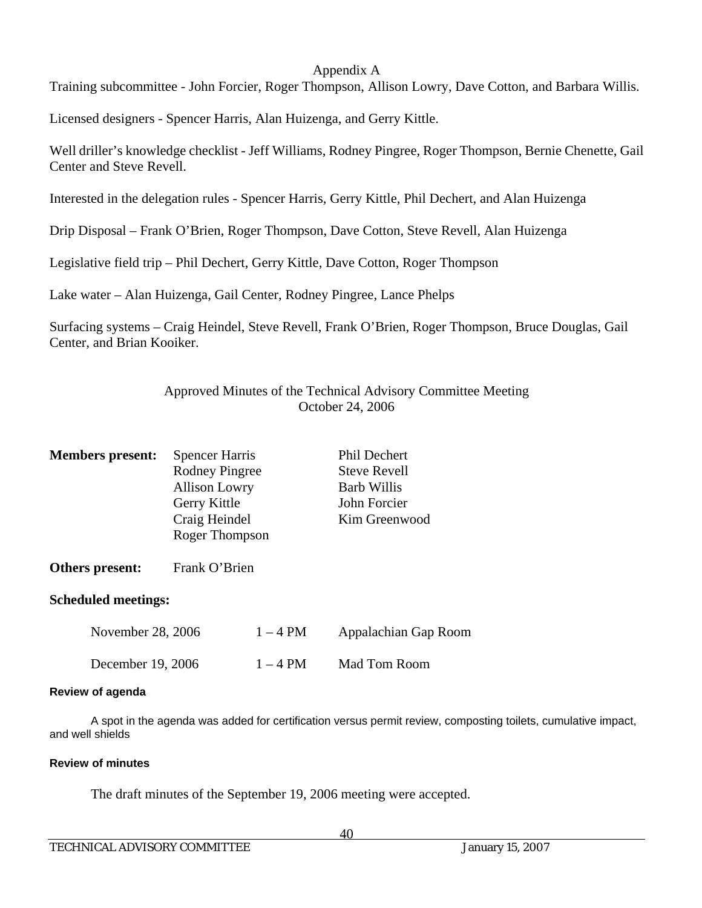Training subcommittee - John Forcier, Roger Thompson, Allison Lowry, Dave Cotton, and Barbara Willis.

Licensed designers - Spencer Harris, Alan Huizenga, and Gerry Kittle.

Well driller's knowledge checklist - Jeff Williams, Rodney Pingree, Roger Thompson, Bernie Chenette, Gail Center and Steve Revell.

Interested in the delegation rules - Spencer Harris, Gerry Kittle, Phil Dechert, and Alan Huizenga

Drip Disposal – Frank O'Brien, Roger Thompson, Dave Cotton, Steve Revell, Alan Huizenga

Legislative field trip – Phil Dechert, Gerry Kittle, Dave Cotton, Roger Thompson

Lake water – Alan Huizenga, Gail Center, Rodney Pingree, Lance Phelps

Surfacing systems – Craig Heindel, Steve Revell, Frank O'Brien, Roger Thompson, Bruce Douglas, Gail Center, and Brian Kooiker.

## Approved Minutes of the Technical Advisory Committee Meeting October 24, 2006

| <b>Members present:</b> | <b>Spencer Harris</b> | Phil Dechert        |
|-------------------------|-----------------------|---------------------|
|                         | <b>Rodney Pingree</b> | <b>Steve Revell</b> |
|                         | <b>Allison Lowry</b>  | <b>Barb Willis</b>  |
|                         | Gerry Kittle          | John Forcier        |
|                         | Craig Heindel         | Kim Greenwood       |
|                         | Roger Thompson        |                     |
|                         |                       |                     |

# **Others present:** Frank O'Brien

## **Scheduled meetings:**

| November 28, 2006 | $1 - 4$ PM | Appalachian Gap Room |
|-------------------|------------|----------------------|
| December 19, 2006 | $1 - 4$ PM | Mad Tom Room         |

## **Review of agenda**

A spot in the agenda was added for certification versus permit review, composting toilets, cumulative impact, and well shields

## **Review of minutes**

The draft minutes of the September 19, 2006 meeting were accepted.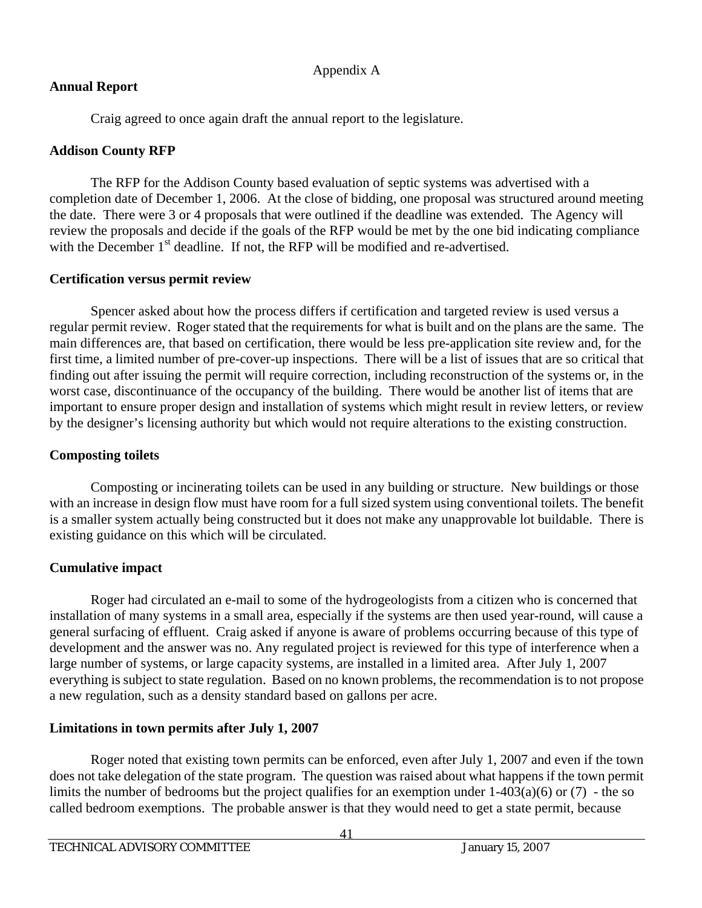## **Annual Report**

Craig agreed to once again draft the annual report to the legislature.

## **Addison County RFP**

 The RFP for the Addison County based evaluation of septic systems was advertised with a completion date of December 1, 2006. At the close of bidding, one proposal was structured around meeting the date. There were 3 or 4 proposals that were outlined if the deadline was extended. The Agency will review the proposals and decide if the goals of the RFP would be met by the one bid indicating compliance with the December  $1<sup>st</sup>$  deadline. If not, the RFP will be modified and re-advertised.

## **Certification versus permit review**

 Spencer asked about how the process differs if certification and targeted review is used versus a regular permit review. Roger stated that the requirements for what is built and on the plans are the same. The main differences are, that based on certification, there would be less pre-application site review and, for the first time, a limited number of pre-cover-up inspections. There will be a list of issues that are so critical that finding out after issuing the permit will require correction, including reconstruction of the systems or, in the worst case, discontinuance of the occupancy of the building. There would be another list of items that are important to ensure proper design and installation of systems which might result in review letters, or review by the designer's licensing authority but which would not require alterations to the existing construction.

## **Composting toilets**

 Composting or incinerating toilets can be used in any building or structure. New buildings or those with an increase in design flow must have room for a full sized system using conventional toilets. The benefit is a smaller system actually being constructed but it does not make any unapprovable lot buildable. There is existing guidance on this which will be circulated.

## **Cumulative impact**

Roger had circulated an e-mail to some of the hydrogeologists from a citizen who is concerned that installation of many systems in a small area, especially if the systems are then used year-round, will cause a general surfacing of effluent. Craig asked if anyone is aware of problems occurring because of this type of development and the answer was no. Any regulated project is reviewed for this type of interference when a large number of systems, or large capacity systems, are installed in a limited area. After July 1, 2007 everything is subject to state regulation. Based on no known problems, the recommendation is to not propose a new regulation, such as a density standard based on gallons per acre.

## **Limitations in town permits after July 1, 2007**

 Roger noted that existing town permits can be enforced, even after July 1, 2007 and even if the town does not take delegation of the state program. The question was raised about what happens if the town permit limits the number of bedrooms but the project qualifies for an exemption under  $1-403(a)(6)$  or (7) - the so called bedroom exemptions. The probable answer is that they would need to get a state permit, because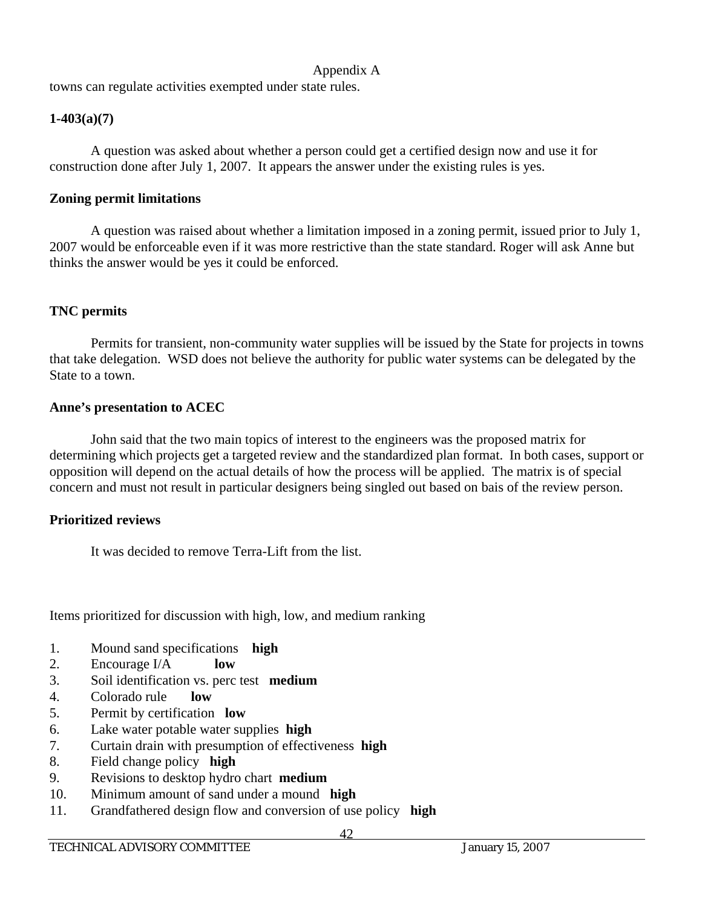towns can regulate activities exempted under state rules.

## **1-403(a)(7)**

 A question was asked about whether a person could get a certified design now and use it for construction done after July 1, 2007. It appears the answer under the existing rules is yes.

## **Zoning permit limitations**

 A question was raised about whether a limitation imposed in a zoning permit, issued prior to July 1, 2007 would be enforceable even if it was more restrictive than the state standard. Roger will ask Anne but thinks the answer would be yes it could be enforced.

## **TNC permits**

 Permits for transient, non-community water supplies will be issued by the State for projects in towns that take delegation. WSD does not believe the authority for public water systems can be delegated by the State to a town.

## **Anne's presentation to ACEC**

 John said that the two main topics of interest to the engineers was the proposed matrix for determining which projects get a targeted review and the standardized plan format. In both cases, support or opposition will depend on the actual details of how the process will be applied. The matrix is of special concern and must not result in particular designers being singled out based on bais of the review person.

## **Prioritized reviews**

It was decided to remove Terra-Lift from the list.

Items prioritized for discussion with high, low, and medium ranking

- 1. Mound sand specifications **high**
- 2. Encourage I/A **low**
- 3. Soil identification vs. perc test **medium**
- 4. Colorado rule **low**
- 5. Permit by certification **low**
- 6. Lake water potable water supplies **high**
- 7. Curtain drain with presumption of effectiveness **high**
- 8. Field change policy **high**
- 9. Revisions to desktop hydro chart **medium**
- 10. Minimum amount of sand under a mound **high**
- 11. Grandfathered design flow and conversion of use policy **high**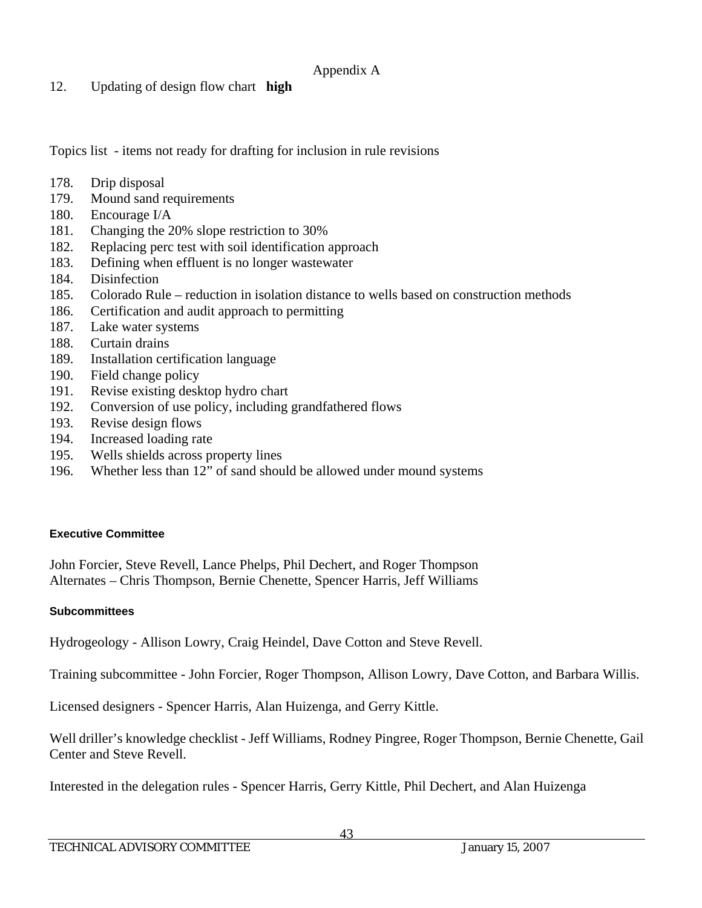12. Updating of design flow chart **high**

Topics list - items not ready for drafting for inclusion in rule revisions

- 178. Drip disposal
- 179. Mound sand requirements
- 180. Encourage I/A
- 181. Changing the 20% slope restriction to 30%
- 182. Replacing perc test with soil identification approach
- 183. Defining when effluent is no longer wastewater
- 184. Disinfection
- 185. Colorado Rule reduction in isolation distance to wells based on construction methods
- 186. Certification and audit approach to permitting
- 187. Lake water systems
- 188. Curtain drains
- 189. Installation certification language
- 190. Field change policy
- 191. Revise existing desktop hydro chart
- 192. Conversion of use policy, including grandfathered flows
- 193. Revise design flows
- 194. Increased loading rate
- 195. Wells shields across property lines
- 196. Whether less than 12" of sand should be allowed under mound systems

## **Executive Committee**

John Forcier, Steve Revell, Lance Phelps, Phil Dechert, and Roger Thompson Alternates – Chris Thompson, Bernie Chenette, Spencer Harris, Jeff Williams

## **Subcommittees**

Hydrogeology - Allison Lowry, Craig Heindel, Dave Cotton and Steve Revell.

Training subcommittee - John Forcier, Roger Thompson, Allison Lowry, Dave Cotton, and Barbara Willis.

Licensed designers - Spencer Harris, Alan Huizenga, and Gerry Kittle.

Well driller's knowledge checklist - Jeff Williams, Rodney Pingree, Roger Thompson, Bernie Chenette, Gail Center and Steve Revell.

Interested in the delegation rules - Spencer Harris, Gerry Kittle, Phil Dechert, and Alan Huizenga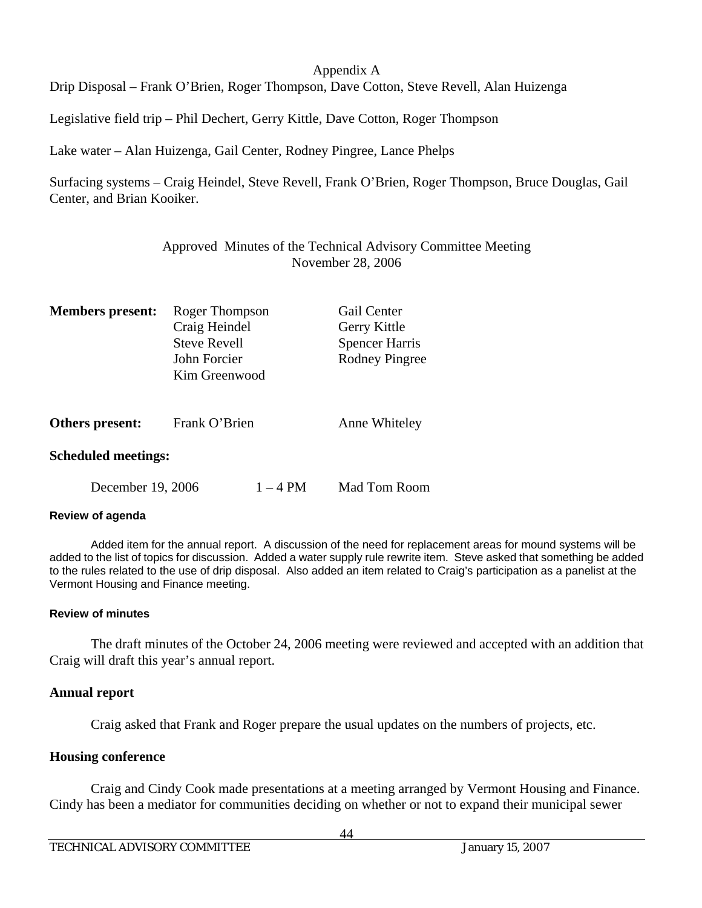Drip Disposal – Frank O'Brien, Roger Thompson, Dave Cotton, Steve Revell, Alan Huizenga

Legislative field trip – Phil Dechert, Gerry Kittle, Dave Cotton, Roger Thompson

Lake water – Alan Huizenga, Gail Center, Rodney Pingree, Lance Phelps

Surfacing systems – Craig Heindel, Steve Revell, Frank O'Brien, Roger Thompson, Bruce Douglas, Gail Center, and Brian Kooiker.

> Approved Minutes of the Technical Advisory Committee Meeting November 28, 2006

| <b>Members</b> present:    | Roger Thompson<br>Craig Heindel<br><b>Steve Revell</b><br>John Forcier<br>Kim Greenwood |            | Gail Center<br>Gerry Kittle<br><b>Spencer Harris</b><br>Rodney Pingree |
|----------------------------|-----------------------------------------------------------------------------------------|------------|------------------------------------------------------------------------|
| Others present:            | Frank O'Brien                                                                           |            | Anne Whiteley                                                          |
| <b>Scheduled meetings:</b> |                                                                                         |            |                                                                        |
| December 19, 2006          |                                                                                         | $1 - 4$ PM | Mad Tom Room                                                           |

#### **Review of agenda**

Added item for the annual report. A discussion of the need for replacement areas for mound systems will be added to the list of topics for discussion. Added a water supply rule rewrite item. Steve asked that something be added to the rules related to the use of drip disposal. Also added an item related to Craig's participation as a panelist at the Vermont Housing and Finance meeting.

#### **Review of minutes**

 The draft minutes of the October 24, 2006 meeting were reviewed and accepted with an addition that Craig will draft this year's annual report.

#### **Annual report**

Craig asked that Frank and Roger prepare the usual updates on the numbers of projects, etc.

#### **Housing conference**

 Craig and Cindy Cook made presentations at a meeting arranged by Vermont Housing and Finance. Cindy has been a mediator for communities deciding on whether or not to expand their municipal sewer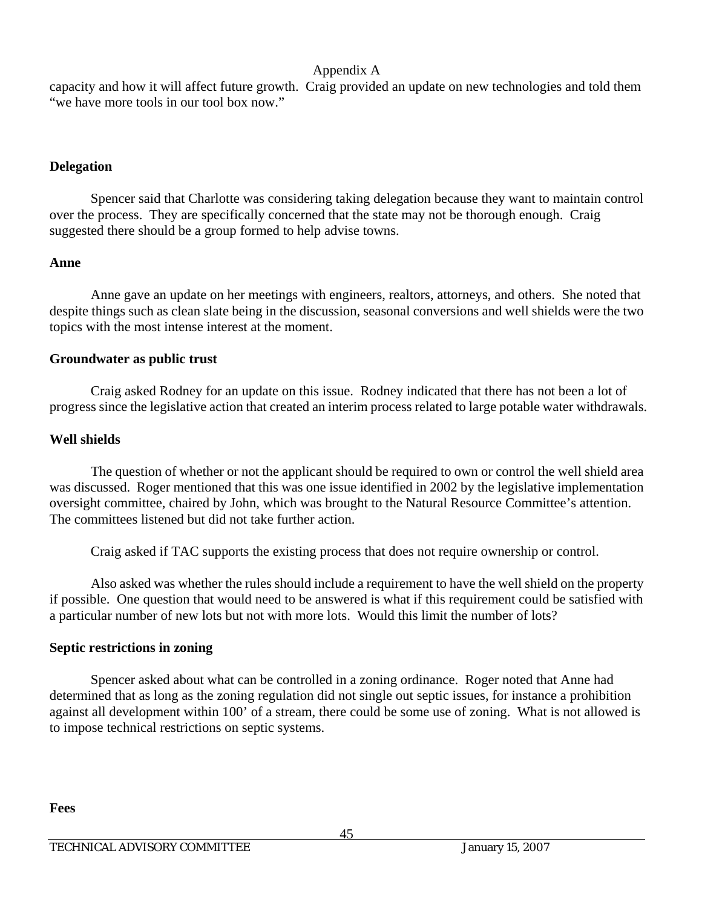capacity and how it will affect future growth. Craig provided an update on new technologies and told them "we have more tools in our tool box now."

## **Delegation**

 Spencer said that Charlotte was considering taking delegation because they want to maintain control over the process. They are specifically concerned that the state may not be thorough enough. Craig suggested there should be a group formed to help advise towns.

## **Anne**

 Anne gave an update on her meetings with engineers, realtors, attorneys, and others. She noted that despite things such as clean slate being in the discussion, seasonal conversions and well shields were the two topics with the most intense interest at the moment.

## **Groundwater as public trust**

 Craig asked Rodney for an update on this issue. Rodney indicated that there has not been a lot of progress since the legislative action that created an interim process related to large potable water withdrawals.

## **Well shields**

 The question of whether or not the applicant should be required to own or control the well shield area was discussed. Roger mentioned that this was one issue identified in 2002 by the legislative implementation oversight committee, chaired by John, which was brought to the Natural Resource Committee's attention. The committees listened but did not take further action.

Craig asked if TAC supports the existing process that does not require ownership or control.

 Also asked was whether the rules should include a requirement to have the well shield on the property if possible. One question that would need to be answered is what if this requirement could be satisfied with a particular number of new lots but not with more lots. Would this limit the number of lots?

## **Septic restrictions in zoning**

 Spencer asked about what can be controlled in a zoning ordinance. Roger noted that Anne had determined that as long as the zoning regulation did not single out septic issues, for instance a prohibition against all development within 100' of a stream, there could be some use of zoning. What is not allowed is to impose technical restrictions on septic systems.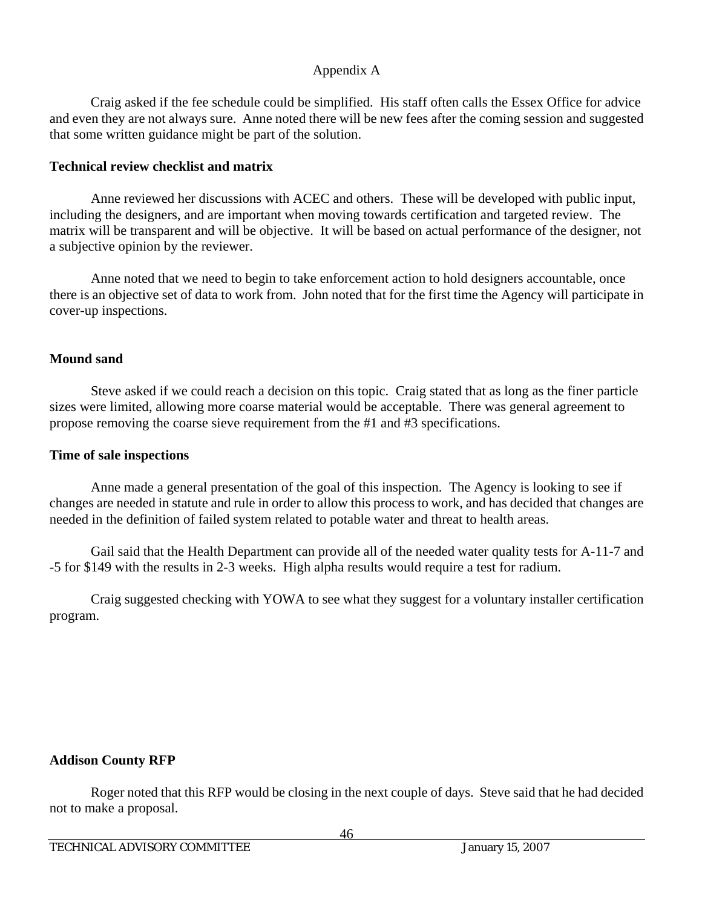Craig asked if the fee schedule could be simplified. His staff often calls the Essex Office for advice and even they are not always sure. Anne noted there will be new fees after the coming session and suggested that some written guidance might be part of the solution.

## **Technical review checklist and matrix**

 Anne reviewed her discussions with ACEC and others. These will be developed with public input, including the designers, and are important when moving towards certification and targeted review. The matrix will be transparent and will be objective. It will be based on actual performance of the designer, not a subjective opinion by the reviewer.

 Anne noted that we need to begin to take enforcement action to hold designers accountable, once there is an objective set of data to work from. John noted that for the first time the Agency will participate in cover-up inspections.

## **Mound sand**

 Steve asked if we could reach a decision on this topic. Craig stated that as long as the finer particle sizes were limited, allowing more coarse material would be acceptable. There was general agreement to propose removing the coarse sieve requirement from the #1 and #3 specifications.

## **Time of sale inspections**

 Anne made a general presentation of the goal of this inspection. The Agency is looking to see if changes are needed in statute and rule in order to allow this process to work, and has decided that changes are needed in the definition of failed system related to potable water and threat to health areas.

 Gail said that the Health Department can provide all of the needed water quality tests for A-11-7 and -5 for \$149 with the results in 2-3 weeks. High alpha results would require a test for radium.

 Craig suggested checking with YOWA to see what they suggest for a voluntary installer certification program.

## **Addison County RFP**

 Roger noted that this RFP would be closing in the next couple of days. Steve said that he had decided not to make a proposal.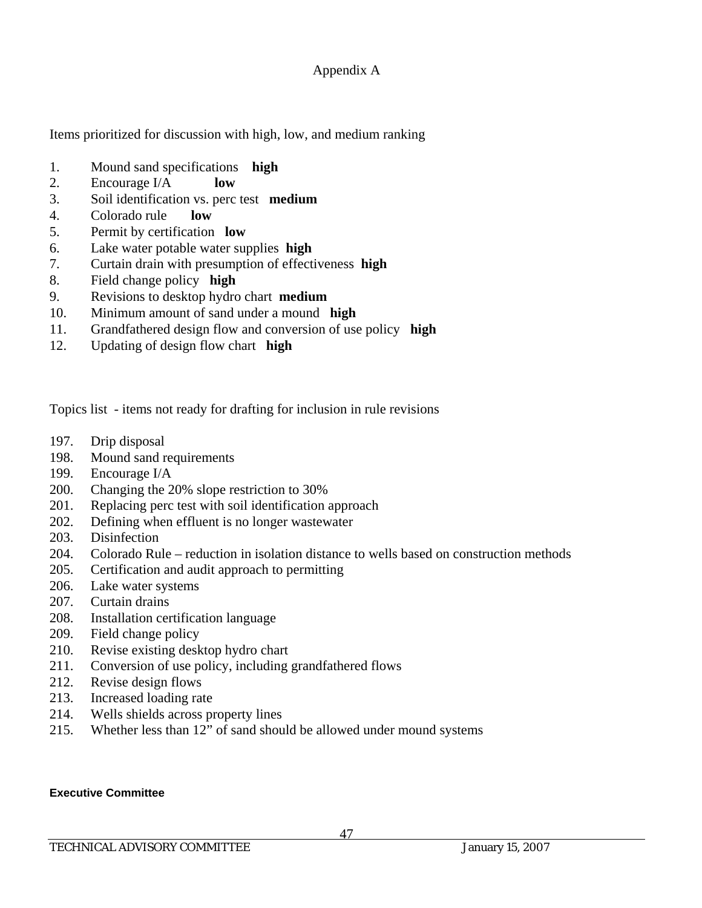Items prioritized for discussion with high, low, and medium ranking

- 1. Mound sand specifications **high**
- 2. Encourage I/A **low**
- 3. Soil identification vs. perc test **medium**
- 4. Colorado rule **low**
- 5. Permit by certification **low**
- 6. Lake water potable water supplies **high**
- 7. Curtain drain with presumption of effectiveness **high**
- 8. Field change policy **high**
- 9. Revisions to desktop hydro chart **medium**
- 10. Minimum amount of sand under a mound **high**
- 11. Grandfathered design flow and conversion of use policy **high**
- 12. Updating of design flow chart **high**

Topics list - items not ready for drafting for inclusion in rule revisions

- 197. Drip disposal
- 198. Mound sand requirements
- 199. Encourage I/A
- 200. Changing the 20% slope restriction to 30%
- 201. Replacing perc test with soil identification approach
- 202. Defining when effluent is no longer wastewater
- 203. Disinfection
- 204. Colorado Rule reduction in isolation distance to wells based on construction methods
- 205. Certification and audit approach to permitting
- 206. Lake water systems
- 207. Curtain drains
- 208. Installation certification language
- 209. Field change policy
- 210. Revise existing desktop hydro chart
- 211. Conversion of use policy, including grandfathered flows
- 212. Revise design flows
- 213. Increased loading rate
- 214. Wells shields across property lines
- 215. Whether less than 12" of sand should be allowed under mound systems

#### **Executive Committee**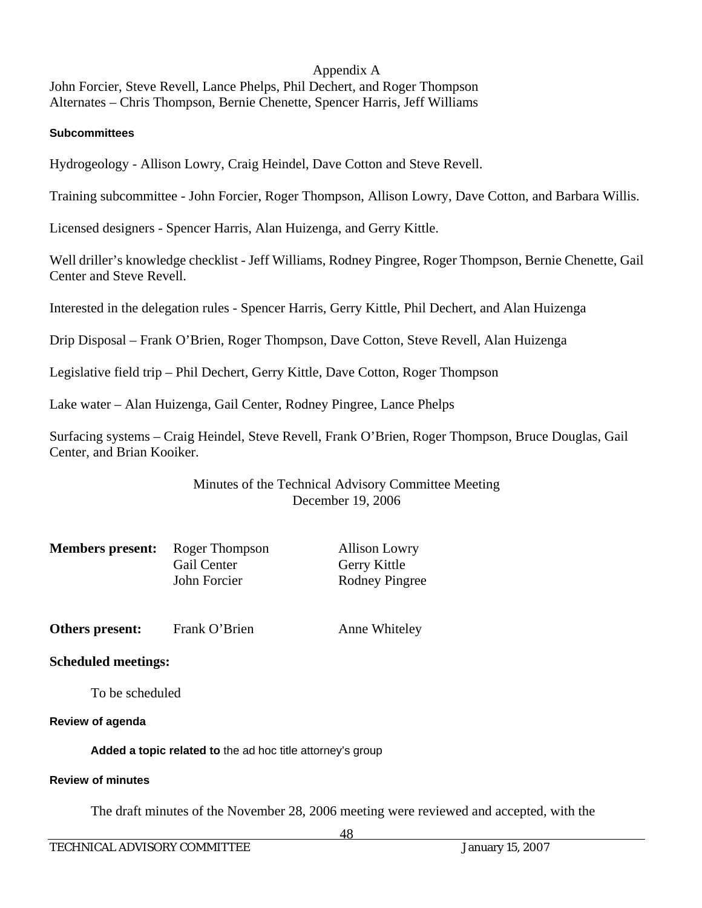John Forcier, Steve Revell, Lance Phelps, Phil Dechert, and Roger Thompson Alternates – Chris Thompson, Bernie Chenette, Spencer Harris, Jeff Williams

#### **Subcommittees**

Hydrogeology - Allison Lowry, Craig Heindel, Dave Cotton and Steve Revell.

Training subcommittee - John Forcier, Roger Thompson, Allison Lowry, Dave Cotton, and Barbara Willis.

Licensed designers - Spencer Harris, Alan Huizenga, and Gerry Kittle.

Well driller's knowledge checklist - Jeff Williams, Rodney Pingree, Roger Thompson, Bernie Chenette, Gail Center and Steve Revell.

Interested in the delegation rules - Spencer Harris, Gerry Kittle, Phil Dechert, and Alan Huizenga

Drip Disposal – Frank O'Brien, Roger Thompson, Dave Cotton, Steve Revell, Alan Huizenga

Legislative field trip – Phil Dechert, Gerry Kittle, Dave Cotton, Roger Thompson

Lake water – Alan Huizenga, Gail Center, Rodney Pingree, Lance Phelps

Surfacing systems – Craig Heindel, Steve Revell, Frank O'Brien, Roger Thompson, Bruce Douglas, Gail Center, and Brian Kooiker.

### Minutes of the Technical Advisory Committee Meeting December 19, 2006

| <b>Members present:</b> | Roger Thompson | <b>Allison Lowry</b> |
|-------------------------|----------------|----------------------|
|                         | Gail Center    | Gerry Kittle         |
|                         | John Forcier   | Rodney Pingree       |

**Others present:** Frank O'Brien Anne Whiteley

**Scheduled meetings:** 

To be scheduled

#### **Review of agenda**

 **Added a topic related to** the ad hoc title attorney's group

#### **Review of minutes**

The draft minutes of the November 28, 2006 meeting were reviewed and accepted, with the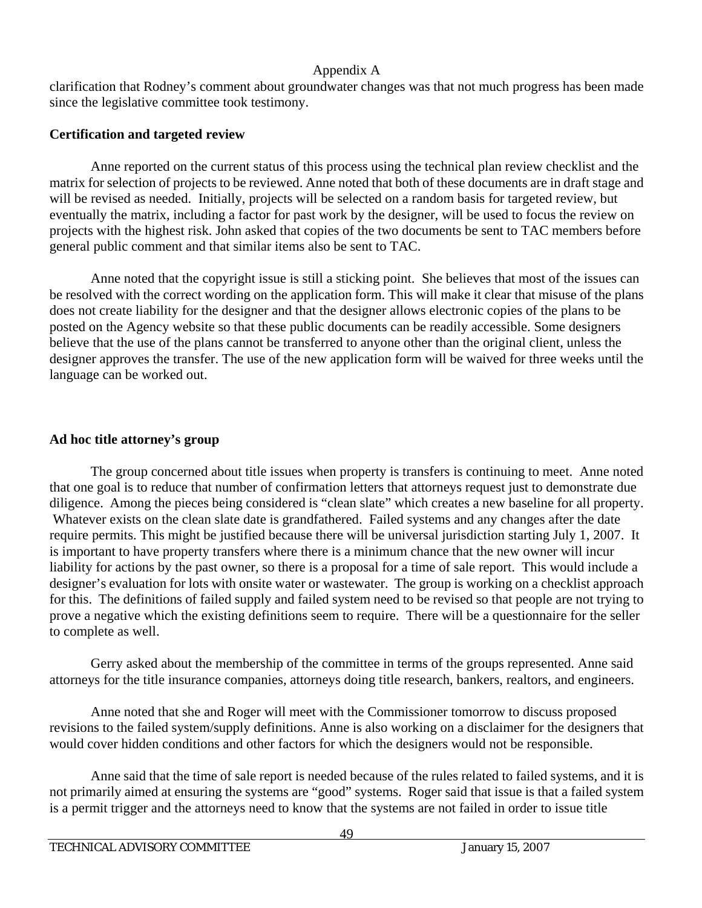clarification that Rodney's comment about groundwater changes was that not much progress has been made since the legislative committee took testimony.

## **Certification and targeted review**

 Anne reported on the current status of this process using the technical plan review checklist and the matrix for selection of projects to be reviewed. Anne noted that both of these documents are in draft stage and will be revised as needed. Initially, projects will be selected on a random basis for targeted review, but eventually the matrix, including a factor for past work by the designer, will be used to focus the review on projects with the highest risk. John asked that copies of the two documents be sent to TAC members before general public comment and that similar items also be sent to TAC.

 Anne noted that the copyright issue is still a sticking point. She believes that most of the issues can be resolved with the correct wording on the application form. This will make it clear that misuse of the plans does not create liability for the designer and that the designer allows electronic copies of the plans to be posted on the Agency website so that these public documents can be readily accessible. Some designers believe that the use of the plans cannot be transferred to anyone other than the original client, unless the designer approves the transfer. The use of the new application form will be waived for three weeks until the language can be worked out.

## **Ad hoc title attorney's group**

 The group concerned about title issues when property is transfers is continuing to meet. Anne noted that one goal is to reduce that number of confirmation letters that attorneys request just to demonstrate due diligence. Among the pieces being considered is "clean slate" which creates a new baseline for all property. Whatever exists on the clean slate date is grandfathered. Failed systems and any changes after the date require permits. This might be justified because there will be universal jurisdiction starting July 1, 2007. It is important to have property transfers where there is a minimum chance that the new owner will incur liability for actions by the past owner, so there is a proposal for a time of sale report. This would include a designer's evaluation for lots with onsite water or wastewater. The group is working on a checklist approach for this. The definitions of failed supply and failed system need to be revised so that people are not trying to prove a negative which the existing definitions seem to require. There will be a questionnaire for the seller to complete as well.

 Gerry asked about the membership of the committee in terms of the groups represented. Anne said attorneys for the title insurance companies, attorneys doing title research, bankers, realtors, and engineers.

 Anne noted that she and Roger will meet with the Commissioner tomorrow to discuss proposed revisions to the failed system/supply definitions. Anne is also working on a disclaimer for the designers that would cover hidden conditions and other factors for which the designers would not be responsible.

 Anne said that the time of sale report is needed because of the rules related to failed systems, and it is not primarily aimed at ensuring the systems are "good" systems. Roger said that issue is that a failed system is a permit trigger and the attorneys need to know that the systems are not failed in order to issue title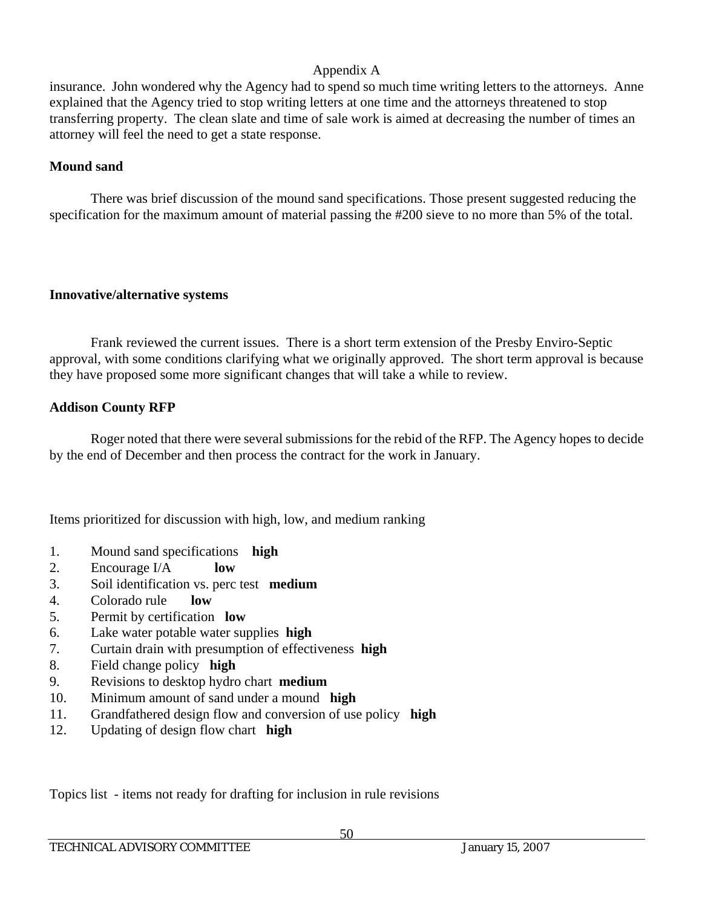insurance. John wondered why the Agency had to spend so much time writing letters to the attorneys. Anne explained that the Agency tried to stop writing letters at one time and the attorneys threatened to stop transferring property. The clean slate and time of sale work is aimed at decreasing the number of times an attorney will feel the need to get a state response.

## **Mound sand**

 There was brief discussion of the mound sand specifications. Those present suggested reducing the specification for the maximum amount of material passing the #200 sieve to no more than 5% of the total.

## **Innovative/alternative systems**

 Frank reviewed the current issues. There is a short term extension of the Presby Enviro-Septic approval, with some conditions clarifying what we originally approved. The short term approval is because they have proposed some more significant changes that will take a while to review.

## **Addison County RFP**

 Roger noted that there were several submissions for the rebid of the RFP. The Agency hopes to decide by the end of December and then process the contract for the work in January.

Items prioritized for discussion with high, low, and medium ranking

- 1. Mound sand specifications **high**
- 2. Encourage I/A **low**
- 3. Soil identification vs. perc test **medium**
- 4. Colorado rule **low**
- 5. Permit by certification **low**
- 6. Lake water potable water supplies **high**
- 7. Curtain drain with presumption of effectiveness **high**
- 8. Field change policy **high**
- 9. Revisions to desktop hydro chart **medium**
- 10. Minimum amount of sand under a mound **high**
- 11. Grandfathered design flow and conversion of use policy **high**
- 12. Updating of design flow chart **high**

Topics list - items not ready for drafting for inclusion in rule revisions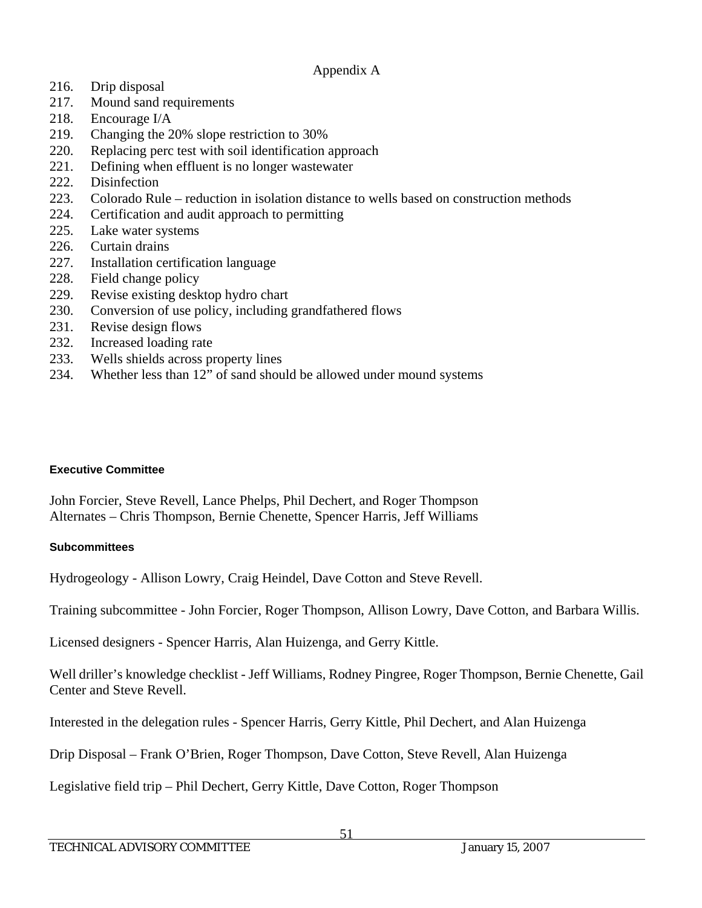- 216. Drip disposal
- 217. Mound sand requirements
- 218. Encourage I/A
- 219. Changing the 20% slope restriction to 30%
- 220. Replacing perc test with soil identification approach
- 221. Defining when effluent is no longer wastewater
- 222. Disinfection
- 223. Colorado Rule reduction in isolation distance to wells based on construction methods
- 224. Certification and audit approach to permitting
- 225. Lake water systems
- 226. Curtain drains
- 227. Installation certification language
- 228. Field change policy
- 229. Revise existing desktop hydro chart
- 230. Conversion of use policy, including grandfathered flows
- 231. Revise design flows
- 232. Increased loading rate
- 233. Wells shields across property lines
- 234. Whether less than 12" of sand should be allowed under mound systems

## **Executive Committee**

John Forcier, Steve Revell, Lance Phelps, Phil Dechert, and Roger Thompson Alternates – Chris Thompson, Bernie Chenette, Spencer Harris, Jeff Williams

## **Subcommittees**

Hydrogeology - Allison Lowry, Craig Heindel, Dave Cotton and Steve Revell.

Training subcommittee - John Forcier, Roger Thompson, Allison Lowry, Dave Cotton, and Barbara Willis.

Licensed designers - Spencer Harris, Alan Huizenga, and Gerry Kittle.

Well driller's knowledge checklist - Jeff Williams, Rodney Pingree, Roger Thompson, Bernie Chenette, Gail Center and Steve Revell.

Interested in the delegation rules - Spencer Harris, Gerry Kittle, Phil Dechert, and Alan Huizenga

Drip Disposal – Frank O'Brien, Roger Thompson, Dave Cotton, Steve Revell, Alan Huizenga

Legislative field trip – Phil Dechert, Gerry Kittle, Dave Cotton, Roger Thompson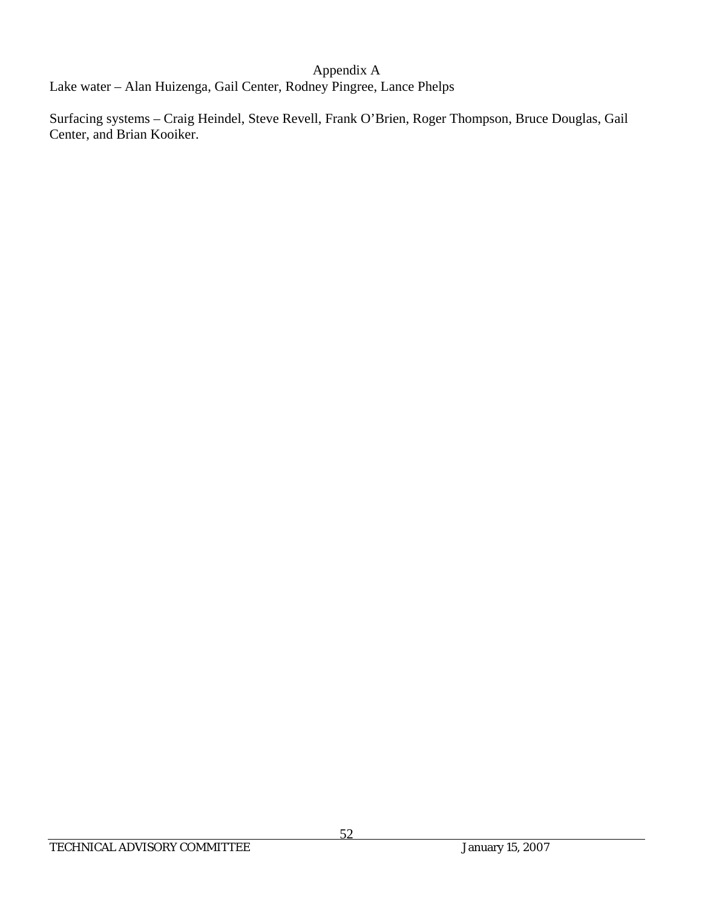Lake water – Alan Huizenga, Gail Center, Rodney Pingree, Lance Phelps

Surfacing systems – Craig Heindel, Steve Revell, Frank O'Brien, Roger Thompson, Bruce Douglas, Gail Center, and Brian Kooiker.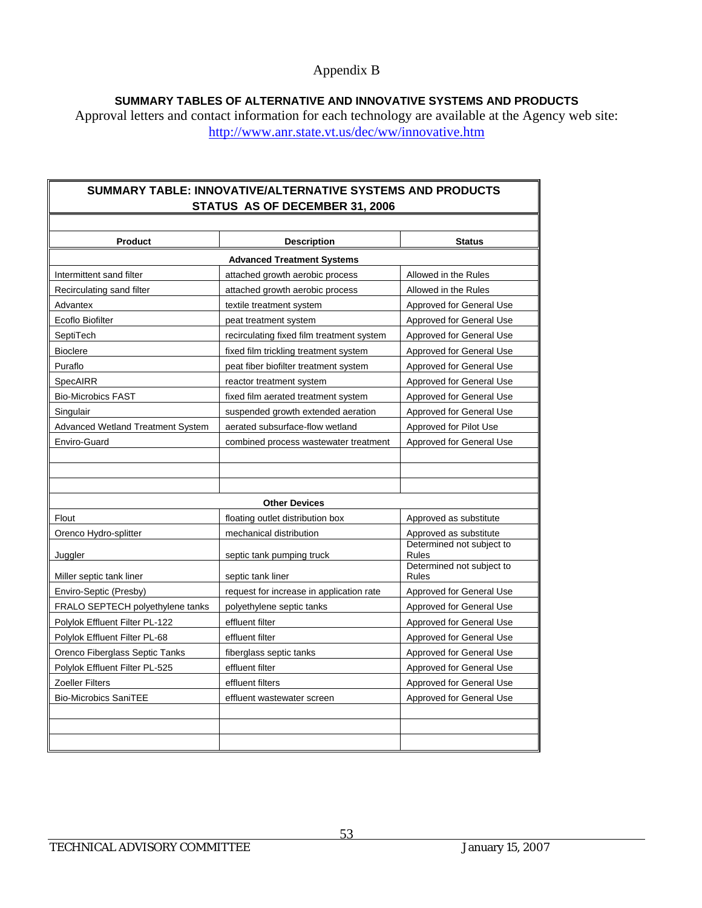#### **SUMMARY TABLES OF ALTERNATIVE AND INNOVATIVE SYSTEMS AND PRODUCTS**

Approval letters and contact information for each technology are available at the Agency web site: http://www.anr.state.vt.us/dec/ww/innovative.htm

### **SUMMARY TABLE: INNOVATIVE/ALTERNATIVE SYSTEMS AND PRODUCTS STATUS AS OF DECEMBER 31, 2006**

| <b>Product</b>                    | <b>Description</b>                        | <b>Status</b>                             |  |  |
|-----------------------------------|-------------------------------------------|-------------------------------------------|--|--|
|                                   | <b>Advanced Treatment Systems</b>         |                                           |  |  |
| Intermittent sand filter          | attached growth aerobic process           | Allowed in the Rules                      |  |  |
| Recirculating sand filter         | attached growth aerobic process           | Allowed in the Rules                      |  |  |
| Advantex                          | textile treatment system                  | Approved for General Use                  |  |  |
| Ecoflo Biofilter                  | peat treatment system                     | Approved for General Use                  |  |  |
| SeptiTech                         | recirculating fixed film treatment system | Approved for General Use                  |  |  |
| <b>Bioclere</b>                   | fixed film trickling treatment system     | Approved for General Use                  |  |  |
| Puraflo                           | peat fiber biofilter treatment system     | Approved for General Use                  |  |  |
| SpecAIRR                          | reactor treatment system                  | Approved for General Use                  |  |  |
| <b>Bio-Microbics FAST</b>         | fixed film aerated treatment system       | Approved for General Use                  |  |  |
| Singulair                         | suspended growth extended aeration        | Approved for General Use                  |  |  |
| Advanced Wetland Treatment System | aerated subsurface-flow wetland           | Approved for Pilot Use                    |  |  |
| Enviro-Guard                      | combined process wastewater treatment     | Approved for General Use                  |  |  |
|                                   |                                           |                                           |  |  |
|                                   |                                           |                                           |  |  |
|                                   |                                           |                                           |  |  |
|                                   | <b>Other Devices</b>                      |                                           |  |  |
| Flout                             | floating outlet distribution box          | Approved as substitute                    |  |  |
| Orenco Hydro-splitter             | mechanical distribution                   | Approved as substitute                    |  |  |
| Juggler                           | septic tank pumping truck                 | Determined not subject to<br><b>Rules</b> |  |  |
| Miller septic tank liner          | septic tank liner                         | Determined not subject to<br><b>Rules</b> |  |  |
| Enviro-Septic (Presby)            | request for increase in application rate  | Approved for General Use                  |  |  |
| FRALO SEPTECH polyethylene tanks  | polyethylene septic tanks                 | Approved for General Use                  |  |  |
| Polylok Effluent Filter PL-122    | effluent filter                           | Approved for General Use                  |  |  |
| Polylok Effluent Filter PL-68     | effluent filter                           | Approved for General Use                  |  |  |
| Orenco Fiberglass Septic Tanks    | fiberglass septic tanks                   | Approved for General Use                  |  |  |
| Polylok Effluent Filter PL-525    | effluent filter                           | Approved for General Use                  |  |  |
| Zoeller Filters                   | effluent filters                          | Approved for General Use                  |  |  |
| <b>Bio-Microbics SaniTEE</b>      | effluent wastewater screen                | Approved for General Use                  |  |  |
|                                   |                                           |                                           |  |  |
|                                   |                                           |                                           |  |  |
|                                   |                                           |                                           |  |  |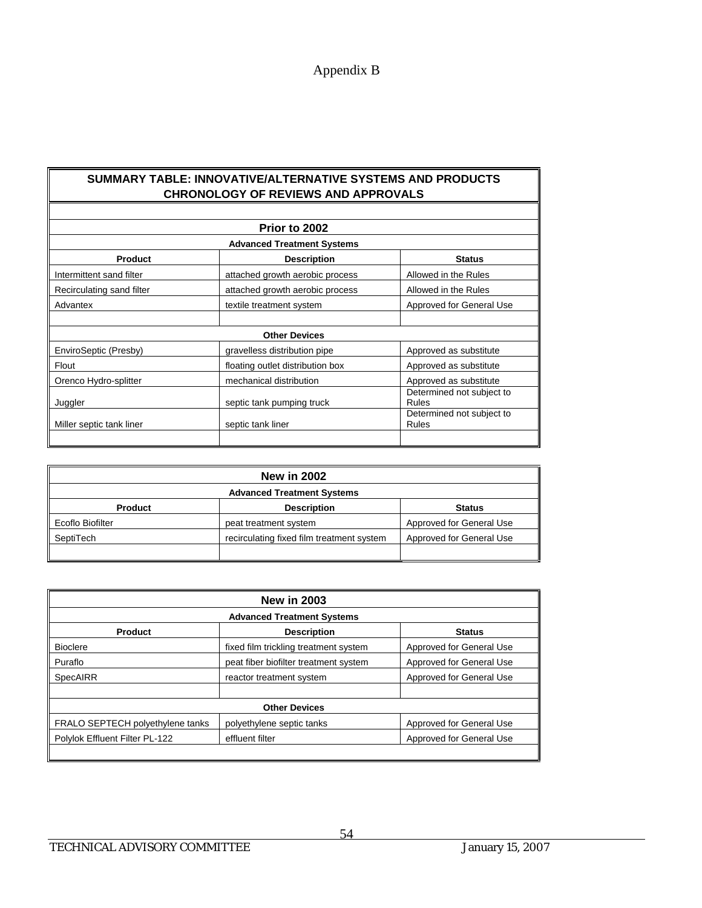#### **SUMMARY TABLE: INNOVATIVE/ALTERNATIVE SYSTEMS AND PRODUCTS CHRONOLOGY OF REVIEWS AND APPROVALS**

|                           | Prior to 2002                     |                                    |
|---------------------------|-----------------------------------|------------------------------------|
|                           | <b>Advanced Treatment Systems</b> |                                    |
| <b>Product</b>            | <b>Description</b>                | <b>Status</b>                      |
| Intermittent sand filter  | attached growth aerobic process   | Allowed in the Rules               |
| Recirculating sand filter | attached growth aerobic process   | Allowed in the Rules               |
| Advantex                  | textile treatment system          | Approved for General Use           |
|                           |                                   |                                    |
|                           | <b>Other Devices</b>              |                                    |
| EnviroSeptic (Presby)     | gravelless distribution pipe      | Approved as substitute             |
| Flout                     | floating outlet distribution box  | Approved as substitute             |
| Orenco Hydro-splitter     | mechanical distribution           | Approved as substitute             |
| Juggler                   | septic tank pumping truck         | Determined not subject to<br>Rules |
| Miller septic tank liner  | septic tank liner                 | Determined not subject to<br>Rules |

| <b>New in 2002</b>                |                                           |                          |  |
|-----------------------------------|-------------------------------------------|--------------------------|--|
| <b>Advanced Treatment Systems</b> |                                           |                          |  |
| <b>Product</b>                    | <b>Description</b>                        | <b>Status</b>            |  |
| Ecoflo Biofilter                  | peat treatment system                     | Approved for General Use |  |
| SeptiTech                         | recirculating fixed film treatment system | Approved for General Use |  |
|                                   |                                           |                          |  |

| <b>New in 2003</b>               |                                       |                          |  |
|----------------------------------|---------------------------------------|--------------------------|--|
|                                  | <b>Advanced Treatment Systems</b>     |                          |  |
| <b>Product</b>                   | <b>Description</b>                    | <b>Status</b>            |  |
| <b>Bioclere</b>                  | fixed film trickling treatment system | Approved for General Use |  |
| ll Puraflo                       | peat fiber biofilter treatment system | Approved for General Use |  |
| SpecAIRR                         | reactor treatment system              | Approved for General Use |  |
| <b>Other Devices</b>             |                                       |                          |  |
| FRALO SEPTECH polyethylene tanks | polyethylene septic tanks             | Approved for General Use |  |
| Polylok Effluent Filter PL-122   | effluent filter                       | Approved for General Use |  |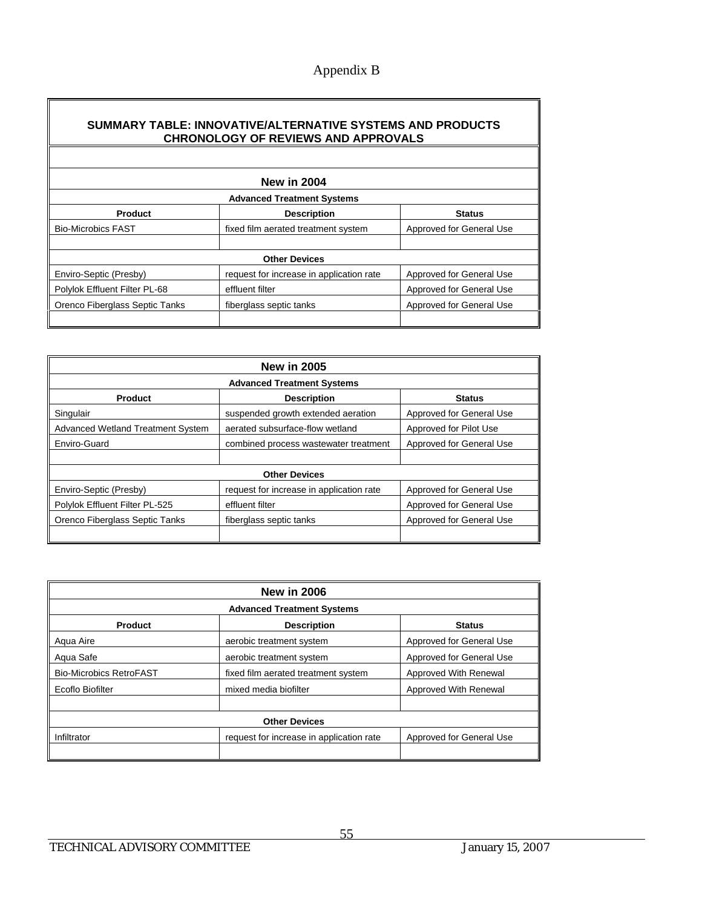## **SUMMARY TABLE: INNOVATIVE/ALTERNATIVE SYSTEMS AND PRODUCTS CHRONOLOGY OF REVIEWS AND APPROVALS**

| <b>New in 2004</b>             |                                          |                          |  |  |
|--------------------------------|------------------------------------------|--------------------------|--|--|
|                                | <b>Advanced Treatment Systems</b>        |                          |  |  |
| <b>Product</b>                 | <b>Description</b>                       | <b>Status</b>            |  |  |
| <b>Bio-Microbics FAST</b>      | fixed film aerated treatment system      | Approved for General Use |  |  |
|                                |                                          |                          |  |  |
|                                | <b>Other Devices</b>                     |                          |  |  |
| Enviro-Septic (Presby)         | request for increase in application rate | Approved for General Use |  |  |
| Polylok Effluent Filter PL-68  | effluent filter                          | Approved for General Use |  |  |
| Orenco Fiberglass Septic Tanks | fiberglass septic tanks                  | Approved for General Use |  |  |
|                                |                                          |                          |  |  |

| <b>New in 2005</b>                |                                          |                          |  |
|-----------------------------------|------------------------------------------|--------------------------|--|
|                                   | <b>Advanced Treatment Systems</b>        |                          |  |
| <b>Product</b>                    | <b>Description</b>                       | <b>Status</b>            |  |
| Singulair                         | suspended growth extended aeration       | Approved for General Use |  |
| Advanced Wetland Treatment System | aerated subsurface-flow wetland          | Approved for Pilot Use   |  |
| Enviro-Guard                      | combined process wastewater treatment    | Approved for General Use |  |
|                                   |                                          |                          |  |
| <b>Other Devices</b>              |                                          |                          |  |
| <b>Enviro-Septic (Presby)</b>     | request for increase in application rate | Approved for General Use |  |
| Polylok Effluent Filter PL-525    | effluent filter                          | Approved for General Use |  |
| Orenco Fiberglass Septic Tanks    | fiberglass septic tanks                  | Approved for General Use |  |
|                                   |                                          |                          |  |

| <b>New in 2006</b>             |                                          |                          |  |
|--------------------------------|------------------------------------------|--------------------------|--|
|                                | <b>Advanced Treatment Systems</b>        |                          |  |
| <b>Product</b>                 | <b>Description</b>                       | <b>Status</b>            |  |
| Aqua Aire                      | aerobic treatment system                 | Approved for General Use |  |
| Aqua Safe                      | aerobic treatment system                 | Approved for General Use |  |
| <b>Bio-Microbics RetroFAST</b> | fixed film aerated treatment system      | Approved With Renewal    |  |
| Ecoflo Biofilter               | mixed media biofilter                    | Approved With Renewal    |  |
|                                |                                          |                          |  |
| <b>Other Devices</b>           |                                          |                          |  |
| Infiltrator                    | request for increase in application rate | Approved for General Use |  |
|                                |                                          |                          |  |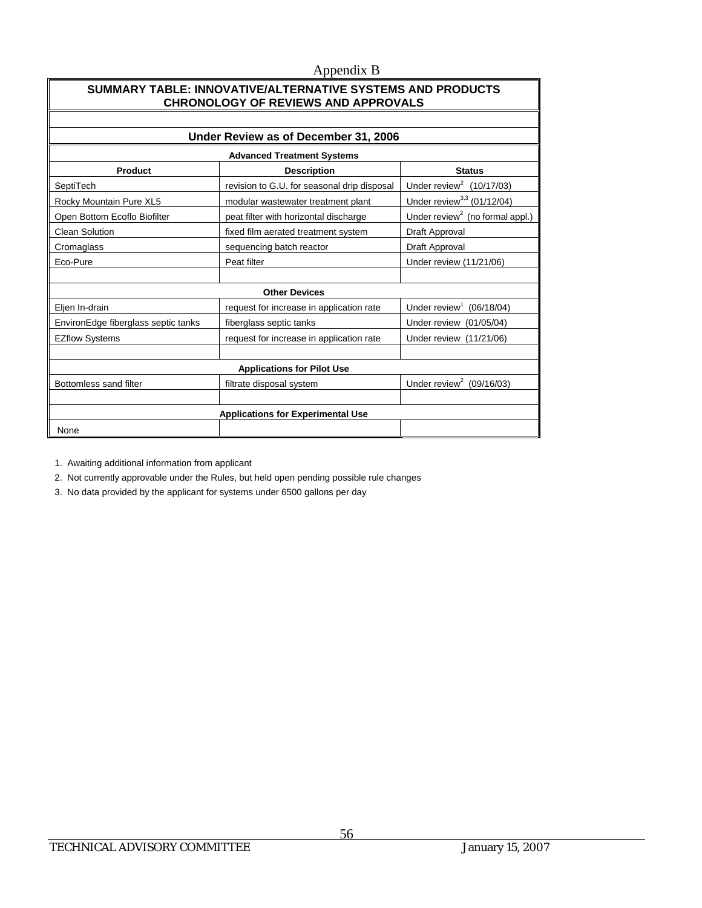#### **SUMMARY TABLE: INNOVATIVE/ALTERNATIVE SYSTEMS AND PRODUCTS CHRONOLOGY OF REVIEWS AND APPROVALS**

| Under Review as of December 31, 2006                                                                                 |                                             |                                      |  |  |  |  |  |
|----------------------------------------------------------------------------------------------------------------------|---------------------------------------------|--------------------------------------|--|--|--|--|--|
| <b>Advanced Treatment Systems</b>                                                                                    |                                             |                                      |  |  |  |  |  |
| Product<br><b>Status</b><br><b>Description</b>                                                                       |                                             |                                      |  |  |  |  |  |
| SeptiTech                                                                                                            | revision to G.U. for seasonal drip disposal | Under review <sup>2</sup> (10/17/03) |  |  |  |  |  |
| Under review <sup>3,3</sup> (01/12/04)<br>Rocky Mountain Pure XL5<br>modular wastewater treatment plant              |                                             |                                      |  |  |  |  |  |
| Under review <sup>2</sup> (no formal appl.)<br>Open Bottom Ecoflo Biofilter<br>peat filter with horizontal discharge |                                             |                                      |  |  |  |  |  |
| <b>Clean Solution</b>                                                                                                | Draft Approval                              |                                      |  |  |  |  |  |
| Cromaglass                                                                                                           | sequencing batch reactor                    |                                      |  |  |  |  |  |
| Eco-Pure<br>Peat filter                                                                                              |                                             | Under review (11/21/06)              |  |  |  |  |  |
|                                                                                                                      |                                             |                                      |  |  |  |  |  |
|                                                                                                                      | <b>Other Devices</b>                        |                                      |  |  |  |  |  |
| Under review $1$<br>(06/18/04)<br>request for increase in application rate<br>Eljen In-drain                         |                                             |                                      |  |  |  |  |  |
| EnvironEdge fiberglass septic tanks                                                                                  | fiberglass septic tanks                     | Under review (01/05/04)              |  |  |  |  |  |
| <b>EZflow Systems</b>                                                                                                | request for increase in application rate    | Under review (11/21/06)              |  |  |  |  |  |
|                                                                                                                      |                                             |                                      |  |  |  |  |  |
| <b>Applications for Pilot Use</b>                                                                                    |                                             |                                      |  |  |  |  |  |
| Bottomless sand filter                                                                                               | filtrate disposal system                    | Under review <sup>2</sup> (09/16/03) |  |  |  |  |  |
|                                                                                                                      |                                             |                                      |  |  |  |  |  |
| <b>Applications for Experimental Use</b>                                                                             |                                             |                                      |  |  |  |  |  |
| None                                                                                                                 |                                             |                                      |  |  |  |  |  |

1. Awaiting additional information from applicant

2. Not currently approvable under the Rules, but held open pending possible rule changes

3. No data provided by the applicant for systems under 6500 gallons per day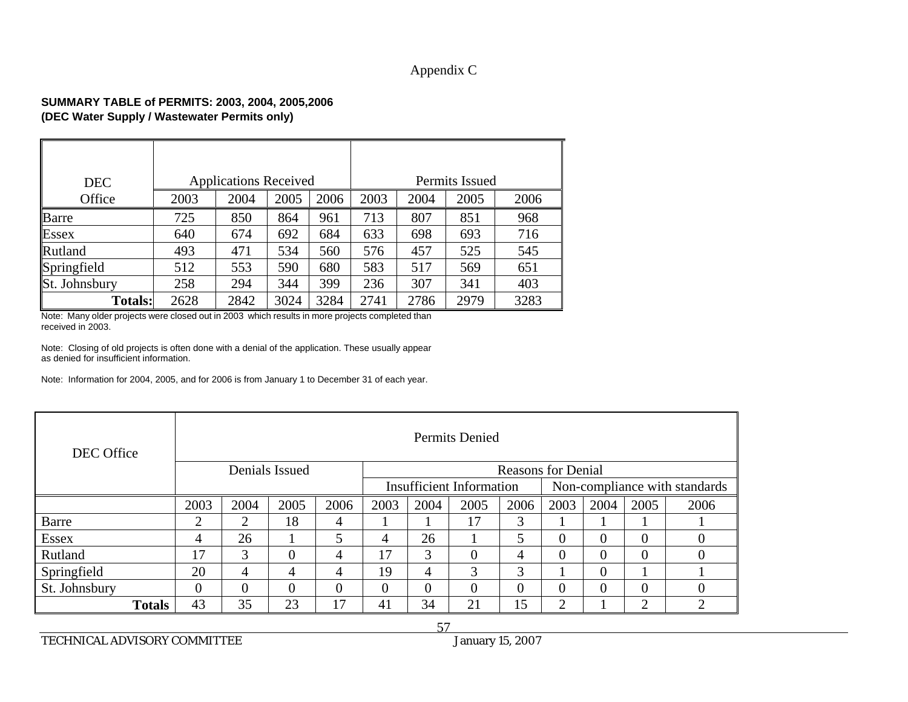## Appendix C

#### **SUMMARY TABLE of PERMITS: 2003, 2004, 2005,2006 (DEC Water Supply / Wastewater Permits only)**

| <b>DEC</b>     | <b>Applications Received</b> |      | Permits Issued |      |      |      |      |      |
|----------------|------------------------------|------|----------------|------|------|------|------|------|
| Office         | 2003                         | 2004 | 2005           | 2006 | 2003 | 2004 | 2005 | 2006 |
| Barre          | 725                          | 850  | 864            | 961  | 713  | 807  | 851  | 968  |
| <b>Essex</b>   | 640                          | 674  | 692            | 684  | 633  | 698  | 693  | 716  |
| Rutland        | 493                          | 471  | 534            | 560  | 576  | 457  | 525  | 545  |
| Springfield    | 512                          | 553  | 590            | 680  | 583  | 517  | 569  | 651  |
| St. Johnsbury  | 258                          | 294  | 344            | 399  | 236  | 307  | 341  | 403  |
| <b>Totals:</b> | 2628                         | 2842 | 3024           | 3284 | 2741 | 2786 | 2979 | 3283 |

Note: Many older projects were closed out in 2003 which results in more projects completed than received in 2003.

Note: Closing of old projects is often done with a denial of the application. These usually appear as denied for insufficient information.

Note: Information for 2004, 2005, and for 2006 is from January 1 to December 31 of each year.

| DEC Office    | Permits Denied |          |          |          |                                 |          |          |                               |                |          |          |          |
|---------------|----------------|----------|----------|----------|---------------------------------|----------|----------|-------------------------------|----------------|----------|----------|----------|
|               | Denials Issued |          |          |          | <b>Reasons for Denial</b>       |          |          |                               |                |          |          |          |
|               |                |          |          |          | <b>Insufficient Information</b> |          |          | Non-compliance with standards |                |          |          |          |
|               | 2003           | 2004     | 2005     | 2006     | 2003                            | 2004     | 2005     | 2006                          | 2003           | 2004     | 2005     | 2006     |
| Barre         | $\gamma$       | 2        | 18       | 4        |                                 |          | 17       | 3                             |                |          |          |          |
| <b>Essex</b>  | 4              | 26       |          | 5        | 4                               | 26       |          | 5                             | 0              | $\theta$ | $\Omega$ | $\Omega$ |
| Rutland       | 17             | 3        | 0        | 4        | 17                              | 3        | $\Omega$ | 4                             | 0              | $\theta$ | $\Omega$ | $\Omega$ |
| Springfield   | 20             | 4        | 4        | 4        | 19                              | 4        | 3        | 3                             |                | $\theta$ |          |          |
| St. Johnsbury | $\Omega$       | $\theta$ | $\theta$ | $\theta$ | 0                               | $\Omega$ | $\theta$ | $\theta$                      | 0              | $\theta$ | 0        | $\Omega$ |
| <b>Totals</b> | 43             | 35       | 23       | 17       | 41                              | 34       | 21       | 15                            | $\overline{2}$ |          | ◠        | ◠        |

TECHNICAL ADVISORY COMMITTEE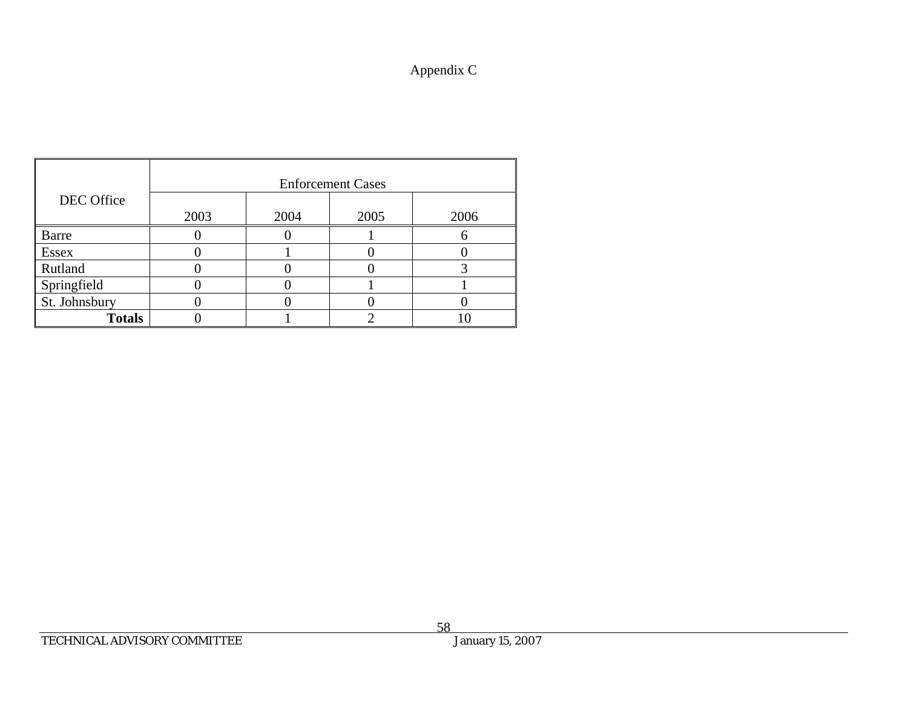## Appendix C

|                | <b>Enforcement Cases</b> |      |      |      |  |  |  |  |  |
|----------------|--------------------------|------|------|------|--|--|--|--|--|
| DEC Office     |                          |      |      |      |  |  |  |  |  |
|                | 2003                     | 2004 | 2005 | 2006 |  |  |  |  |  |
| <b>Barre</b>   |                          |      |      |      |  |  |  |  |  |
| <b>Essex</b>   |                          |      |      |      |  |  |  |  |  |
| <b>Rutland</b> |                          |      |      |      |  |  |  |  |  |
| Springfield    |                          |      |      |      |  |  |  |  |  |
| St. Johnsbury  |                          |      |      |      |  |  |  |  |  |
| <b>Totals</b>  |                          |      |      |      |  |  |  |  |  |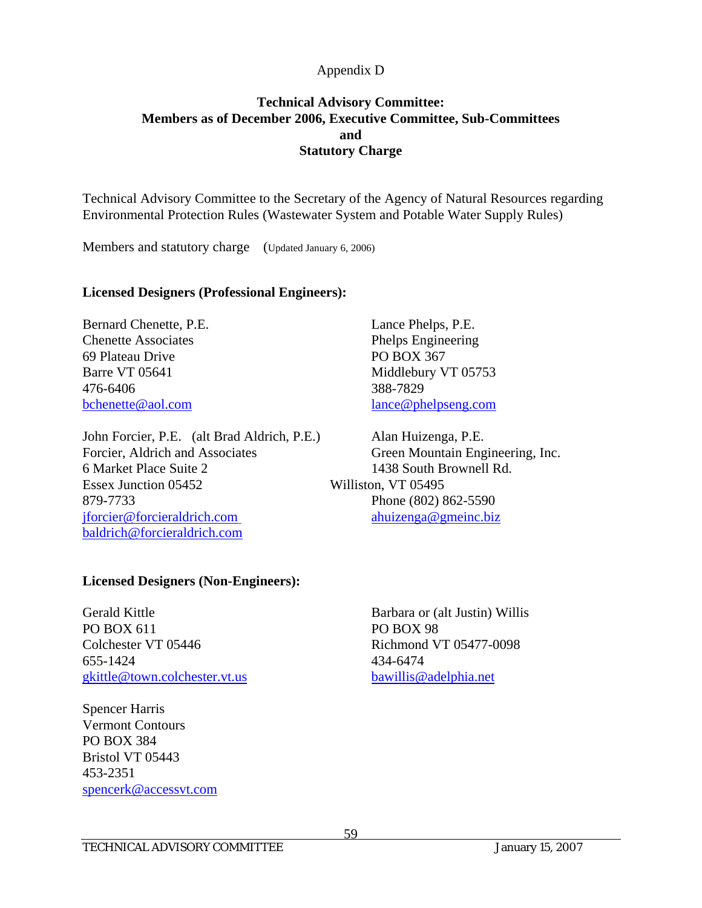## **Technical Advisory Committee: Members as of December 2006, Executive Committee, Sub-Committees and Statutory Charge**

Technical Advisory Committee to the Secretary of the Agency of Natural Resources regarding Environmental Protection Rules (Wastewater System and Potable Water Supply Rules)

Members and statutory charge (Updated January 6, 2006)

#### **Licensed Designers (Professional Engineers):**

Bernard Chenette, P.E. Lance Phelps, P.E. Chenette Associates Phelps Engineering 69 Plateau Drive PO BOX 367 476-6406 388-7829

John Forcier, P.E. (alt Brad Aldrich, P.E.) Alan Huizenga, P.E. Forcier, Aldrich and Associates Green Mountain Engineering, Inc. 6 Market Place Suite 2 1438 South Brownell Rd. Essex Junction 05452 Williston, VT 05495 879-7733 Phone (802) 862-5590 jforcier@forcieraldrich.com ahuizenga@gmeinc.biz baldrich@forcieraldrich.com

Barre VT 05641 Middlebury VT 05753 bchenette@aol.com lance@phelpseng.com

#### **Licensed Designers (Non-Engineers):**

PO BOX 611 PO BOX 98 Colchester VT 05446 Richmond VT 05477-0098 655-1424 434-6474 gkittle@town.colchester.vt.us bawillis@adelphia.net

Spencer Harris Vermont Contours PO BOX 384 Bristol VT 05443 453-2351 spencerk@accessvt.com

Gerald Kittle Barbara or (alt Justin) Willis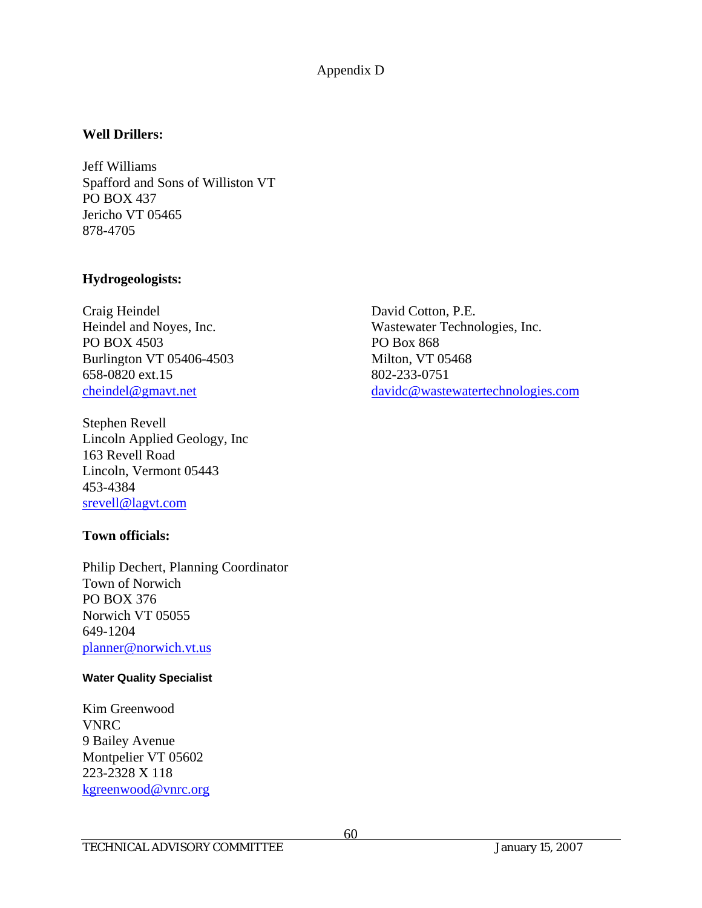## **Well Drillers:**

Jeff Williams Spafford and Sons of Williston VT PO BOX 437 Jericho VT 05465 878-4705

## **Hydrogeologists:**

Craig Heindel David Cotton, P.E. PO BOX 4503 PO Box 868 Burlington VT 05406-4503 Milton, VT 05468 658-0820 ext.15 802-233-0751

Stephen Revell Lincoln Applied Geology, Inc 163 Revell Road Lincoln, Vermont 05443 453-4384 srevell@lagvt.com

## **Town officials:**

Philip Dechert, Planning Coordinator Town of Norwich PO BOX 376 Norwich VT 05055 649-1204 planner@norwich.vt.us

#### **Water Quality Specialist**

Kim Greenwood VNRC 9 Bailey Avenue Montpelier VT 05602 223-2328 X 118 kgreenwood@vnrc.org

Heindel and Noyes, Inc. Wastewater Technologies, Inc. cheindel@gmavt.net davidc@wastewatertechnologies.com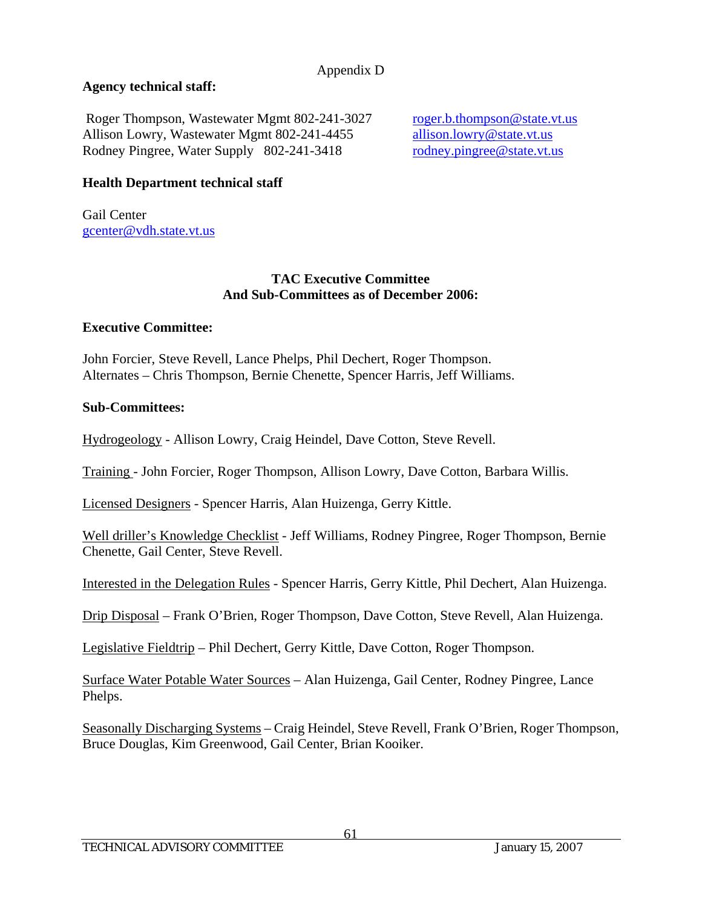## **Agency technical staff:**

Roger Thompson, Wastewater Mgmt 802-241-3027 roger.b.thompson@state.vt.us Allison Lowry, Wastewater Mgmt 802-241-4455 allison.lowry@state.vt.us Rodney Pingree, Water Supply 802-241-3418 rodney.pingree@state.vt.us

## **Health Department technical staff**

Gail Center gcenter@vdh.state.vt.us

### **TAC Executive Committee And Sub-Committees as of December 2006:**

## **Executive Committee:**

John Forcier, Steve Revell, Lance Phelps, Phil Dechert, Roger Thompson. Alternates – Chris Thompson, Bernie Chenette, Spencer Harris, Jeff Williams.

## **Sub-Committees:**

Hydrogeology - Allison Lowry, Craig Heindel, Dave Cotton, Steve Revell.

Training - John Forcier, Roger Thompson, Allison Lowry, Dave Cotton, Barbara Willis.

Licensed Designers - Spencer Harris, Alan Huizenga, Gerry Kittle.

Well driller's Knowledge Checklist - Jeff Williams, Rodney Pingree, Roger Thompson, Bernie Chenette, Gail Center, Steve Revell.

Interested in the Delegation Rules - Spencer Harris, Gerry Kittle, Phil Dechert, Alan Huizenga.

Drip Disposal – Frank O'Brien, Roger Thompson, Dave Cotton, Steve Revell, Alan Huizenga.

Legislative Fieldtrip – Phil Dechert, Gerry Kittle, Dave Cotton, Roger Thompson.

Surface Water Potable Water Sources – Alan Huizenga, Gail Center, Rodney Pingree, Lance Phelps.

Seasonally Discharging Systems – Craig Heindel, Steve Revell, Frank O'Brien, Roger Thompson, Bruce Douglas, Kim Greenwood, Gail Center, Brian Kooiker.